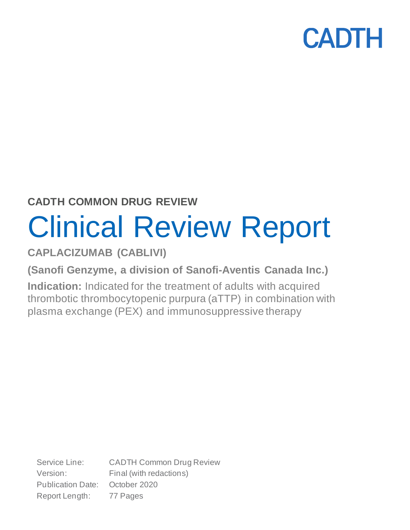## **CADTH COMMON DRUG REVIEW**

# Clinical Review Report

**CAPLACIZUMAB (CABLIVI)**

**(Sanofi Genzyme, a division of Sanofi-Aventis Canada Inc.)**

**Indication:** Indicated for the treatment of adults with acquired thrombotic thrombocytopenic purpura (aTTP) in combination with plasma exchange (PEX) and immunosuppressive therapy

Service Line: CADTH Common Drug Review Version: Final (with redactions) Publication Date: October 2020 Report Length: 77 Pages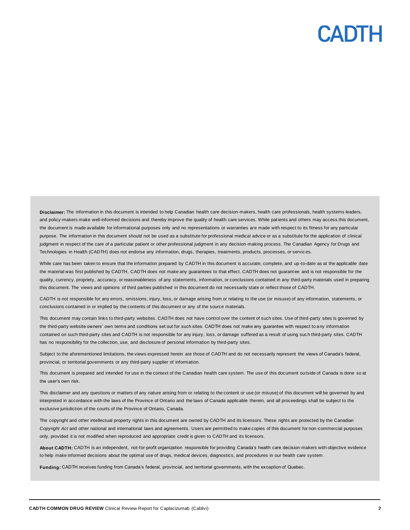## CANTH

**Disclaimer:** The information in this document is intended to help Canadian health care decision-makers, health care professionals, health systems leaders, **Disclaimer:** The information in this document is intended to help Canadian health care decision-makers, health care professionals, health systems leaders,<br>and policy-makers make well-informed decisions and thereby improve the document is made available for informational purposes only and no representations or warranties are made with respect to its fitness for any particular purpose. The information in this document should not be used as a substitute for professional medical advice or as a substitute for the application of clinical judgment in respect of the care of a particular patient or other professional judgment in any decision-making process. The Canadian Agency for Drugs and Technologies in Health (CADTH) does not endorse any information, drugs, therapies, treatments, products, processes , or services.

While care has been taken to ensure that the information prepared by CADTH in this document is accurate, complete, and up-to-date as at the applicable date the material was first published by CADTH, CADTH does not make any guarantees to that effect. CADTH does not guarantee and is not responsible for the quality, currency, propriety, accuracy, or reasonableness of any statements, information, or conclusions contained in any third-party materials used in preparing this document. The views and opinions of third parties published in this document do not necessarily state or reflect those of CADTH. iensits made available for informational purposes only and no especiesticals or warrankes are made with respective to the mean for the constant in the constant in the constant in the constant in the mean of the mean of the

CADTH is not responsible for any errors, omissions, injury, loss, or damage arising from or relating to the use (or misuse) of any information, statements, or conclusions contained in or implied by the contents of this document or any of the source materials.

This document may contain links to third-party websites. CADTH does not have control over the content of such sites. Use of third-party sites is governed by the third-party website owners' own terms and conditions set out for such sites. CADTH does not make any guarantee with respect to any information contained on such third-party sites and CADTH is not responsible for any injury, loss, or damage suffered as a result of using such third-party sites. CADTH has no responsibility for the collection, use, and disclosure of personal information by third-party sites.

Subject to the aforementioned limitations, the views expressed herein are those of CADTH and do not necessarily represent the views of Canada's federal, provincial, or territorial governments or any third-party supplier of information.

This document is prepared and intended for use in the context of the Canadian health care system. The use of this document outside of Canada is done so at the user's own risk.

This disclaimer and any questions or matters of any nature arising from or relating to the content or use (or misuse) of this document will be governed by and interpreted in accordance with the laws of the Province of Ontario and the laws of Canada applicable therein, and all proceedings shall be subject to the exclusive jurisdiction of the courts of the Province of Ontario, Canada.

The copyright and other intellectual property rights in this document are owned by CADTH and its licensors. These rights are protected by the Canadian *Copyright Act* and other national and international laws and agreements. Users are permitted to make copies of this document for non-commercial purposes only, provided it is not modified when reproduced and appropriate credit is given to CADTH and its licensors.

**About CADTH:** CADTH is an independent, not-for-profit organization responsible for providing Canada's health care decision-makers with objective evidence to help make informed decisions about the optimal use of drugs, medical devices, diagnostics, and procedures in our health care system.

**Funding:** CADTH receives funding from Canada's federal, provincial, and territorial governments, with the exception of Quebec.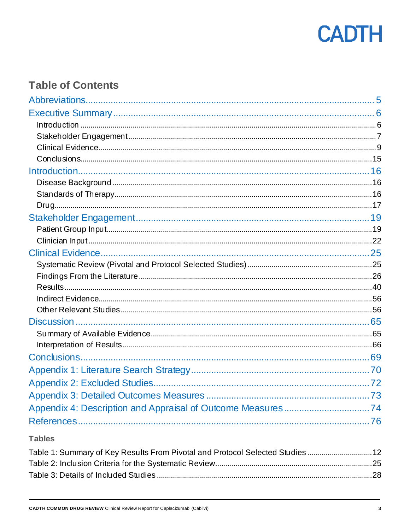

## **Table of Contents**

## **Tables**

| Table 1: Summary of Key Results From Pivotal and Protocol Selected Studies 12 |  |
|-------------------------------------------------------------------------------|--|
|                                                                               |  |
|                                                                               |  |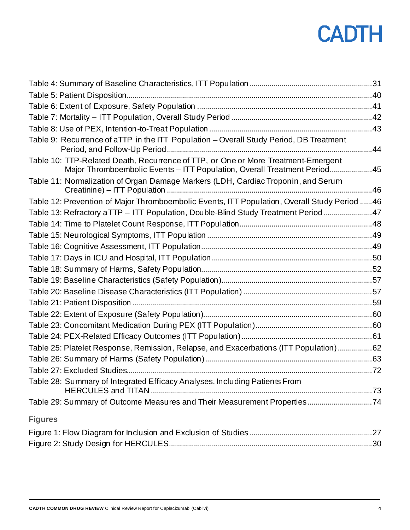| Table 9: Recurrence of aTTP in the ITT Population - Overall Study Period, DB Treatment                                                                        |  |
|---------------------------------------------------------------------------------------------------------------------------------------------------------------|--|
| Table 10: TTP-Related Death, Recurrence of TTP, or One or More Treatment-Emergent<br>Major Thromboembolic Events - ITT Population, Overall Treatment Period45 |  |
| Table 11: Normalization of Organ Damage Markers (LDH, Cardiac Troponin, and Serum                                                                             |  |
| Table 12: Prevention of Major Thromboembolic Events, ITT Population, Overall Study Period  46                                                                 |  |
| Table 13: Refractory aTTP - ITT Population, Double-Blind Study Treatment Period 47                                                                            |  |
|                                                                                                                                                               |  |
|                                                                                                                                                               |  |
|                                                                                                                                                               |  |
|                                                                                                                                                               |  |
|                                                                                                                                                               |  |
|                                                                                                                                                               |  |
|                                                                                                                                                               |  |
|                                                                                                                                                               |  |
|                                                                                                                                                               |  |
|                                                                                                                                                               |  |
|                                                                                                                                                               |  |
| Table 25: Platelet Response, Remission, Relapse, and Exacerbations (ITT Population)62                                                                         |  |
|                                                                                                                                                               |  |
|                                                                                                                                                               |  |
| Table 28: Summary of Integrated Efficacy Analyses, Including Patients From                                                                                    |  |
| Table 29: Summary of Outcome Measures and Their Measurement Properties74                                                                                      |  |
| <b>Figures</b>                                                                                                                                                |  |
|                                                                                                                                                               |  |
|                                                                                                                                                               |  |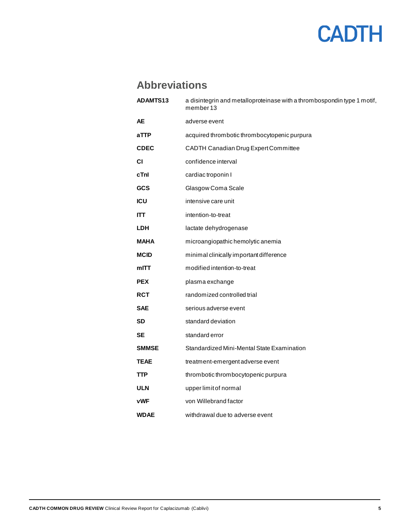## **Abbreviations**

<span id="page-4-0"></span>

| <b>ADAMTS13</b> | a disintegrin and metalloproteinase with a thrombospondin type 1 motif,<br>member 13 |  |
|-----------------|--------------------------------------------------------------------------------------|--|
| AE              | adverse event                                                                        |  |
| aTTP            | acquired thrombotic thrombocytopenic purpura                                         |  |
| <b>CDEC</b>     | CADTH Canadian Drug Expert Committee                                                 |  |
| СI              | confidence interval                                                                  |  |
| cTnl            | cardiac troponin I                                                                   |  |
| <b>GCS</b>      | Glasgow Coma Scale                                                                   |  |
| <b>ICU</b>      | intensive care unit                                                                  |  |
| <b>ITT</b>      | intention-to-treat                                                                   |  |
| <b>LDH</b>      | lactate dehydrogenase                                                                |  |
| <b>MAHA</b>     | microangiopathic hemolytic anemia                                                    |  |
| <b>MCID</b>     | minimal clinically important difference                                              |  |
| mITT            | modified intention-to-treat                                                          |  |
| <b>PEX</b>      | plasma exchange                                                                      |  |
| <b>RCT</b>      | randomized controlled trial                                                          |  |
| <b>SAE</b>      | serious adverse event                                                                |  |
| <b>SD</b>       | standard deviation                                                                   |  |
| <b>SE</b>       | standard error                                                                       |  |
| <b>SMMSE</b>    | Standardized Mini-Mental State Examination                                           |  |
| <b>TEAE</b>     | treatment-emergent adverse event                                                     |  |
| TTP             | thrombotic thrombocytopenic purpura                                                  |  |
| <b>ULN</b>      | upper limit of normal                                                                |  |
| vWF             | von Willebrand factor                                                                |  |
| <b>WDAE</b>     | withdrawal due to adverse event                                                      |  |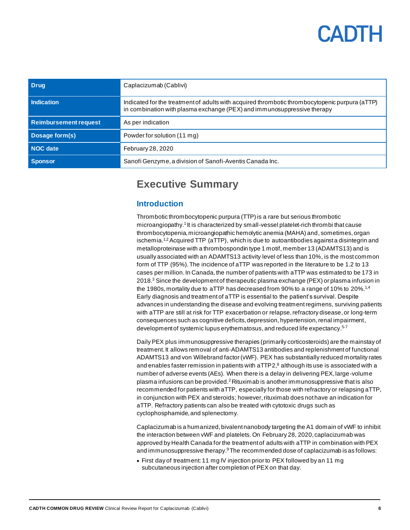<span id="page-5-0"></span>

| <b>Drug</b>                  | Caplacizumab (Cablivi)                                                                                                                                                    |  |
|------------------------------|---------------------------------------------------------------------------------------------------------------------------------------------------------------------------|--|
| Indication                   | Indicated for the treatment of adults with acquired thrombotic thrombocytopenic purpura (aTTP)<br>in combination with plasma exchange (PEX) and immunosuppressive therapy |  |
| <b>Reimbursement request</b> | As per indication                                                                                                                                                         |  |
| Dosage form(s)               | Powder for solution (11 mg)                                                                                                                                               |  |
| NOC date                     | February 28, 2020                                                                                                                                                         |  |
| <b>Sponsor</b>               | Sanofi Genzyme, a division of Sanofi-Aventis Canada Inc.                                                                                                                  |  |

## **Executive Summary**

### <span id="page-5-1"></span>**Introduction**

Thrombotic thrombocytopenic purpura (TTP) is a rare but serious thrombotic microangiopathy.<sup>1</sup> It is characterized by small-vessel platelet-rich thrombi that cause thrombocytopenia, microangiopathic hemolytic anemia (MAHA) and, sometimes, organ ischemia.<sup>1,2</sup> Acquired TTP (aTTP), which is due to autoantibodies against a disintegrin and metalloproteinase with a thrombospondin type 1 motif, member 13 (ADAMTS13) and is usually associated with an ADAMTS13 activity level of less than 10%, is the most common form of TTP (95%). The incidence of aTTP was reported in the literature to be 1.2 to 13 cases per million. In Canada, the number of patients with aTTP was estimated to be 173 in 2018.<sup>3</sup> Since the development of therapeutic plasma exchange (PEX) or plasma infusion in the 1980s, mortality due to aTTP has decreased from 90% to a range of 10% to 20%.<sup>1,4</sup> Early diagnosis and treatment of aTTP is essential to the patient's survival. Despite advances in understanding the disease and evolving treatment regimens, surviving patients with aTTP are still at risk for TTP exacerbation or relapse, refractory disease, or long-term consequences such as cognitive deficits, depression, hypertension, renal impairment, development of systemic lupus erythematosus, and reduced life expectancy.<sup>5-7</sup>

Daily PEX plus immunosuppressive therapies (primarily corticosteroids) are the mainstay of treatment. It allows removal of anti-ADAMTS13 antibodies and replenishment of functional ADAMTS13 and von Willebrand factor (vWF). PEX has substantially reduced mortality rates and enables faster remission in patients with  $aTTP2$ ,<sup>8</sup> although its use is associated with a number of adverse events (AEs). When there is a delay in delivering PEX, large-volume plasma infusions can be provided.<sup>2</sup>Rituximab is another immunosuppressive that is also recommended for patients with aTTP, especially for those with refractory or relapsing aTTP, in conjunction with PEX and steroids; however, rituximab does not have an indication for aTTP. Refractory patients can also be treated with cytotoxic drugs such as cyclophosphamide, and splenectomy.

Caplacizumab is a humanized, bivalent nanobody targeting the A1 domain of vWF to inhibit the interaction between vWF and platelets. On February 28, 2020, caplacizumab was approved by Health Canada for the treatment of adults with aTTP in combination with PEX and immunosuppressive therapy. $9$  The recommended dose of caplacizumab is as follows:

• First day of treatment: 11 mg IV injection prior to PEX followed by an 11 mg subcutaneous injection after completion of PEX on that day.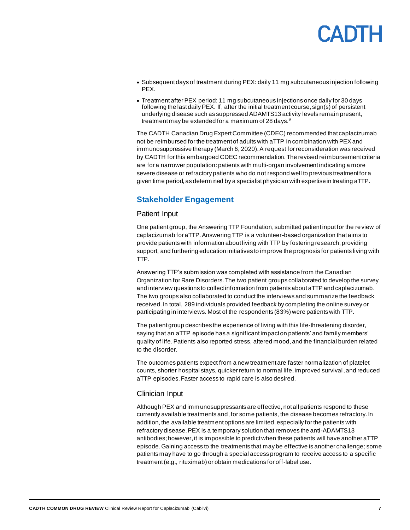## CANTH

- Subsequent days of treatment during PEX: daily 11 mg subcutaneous injection following PEX.
- Treatment after PEX period: 11 mg subcutaneous injections once daily for 30 days following the last daily PEX. If, after the initial treatment course, sign(s) of persistent underlying disease such as suppressed ADAMTS13 activity levels remain present, treatment may be extended for a maximum of 28 days.<sup>9</sup>

The CADTH Canadian Drug Expert Committee (CDEC) recommended that caplacizumab not be reimbursed for the treatment of adults with aTTP in combination with PEX and immunosuppressive therapy (March 6, 2020). A request for reconsideration was received by CADTH for this embargoed CDEC recommendation. The revised reimbursement criteria are for a narrower population: patients with multi-organ involvement indicating a more severe disease or refractory patients who do not respond well to previous treatment for a given time period, as determined by a specialist physician with expertise in treating aTTP.

### <span id="page-6-0"></span>**Stakeholder Engagement**

### Patient Input

One patient group, the Answering TTP Foundation, submitted patient input for the review of caplacizumab for aTTP. Answering TTP is a volunteer-based organization thataims to provide patients with information about living with TTP by fostering research, providing support, and furthering education initiatives to improve the prognosis for patients living with TTP.

Answering TTP's submission was completed with assistance from the Canadian Organization for Rare Disorders. The two patient groups collaborated to develop the survey and interview questions to collect information from patients about aTTP and caplacizumab. The two groups also collaborated to conduct the interviews and summarize the feedback received. In total, 289 individuals provided feedback by completing the online survey or participating in interviews. Most of the respondents (83%) were patients with TTP.

The patient group describes the experience of living with this life-threatening disorder, saying that an aTTP episode has a significant impact on patients' and family members' quality of life. Patients also reported stress, altered mood,and the financial burden related to the disorder.

The outcomes patients expect from a new treatment are faster normalization of platelet counts, shorter hospital stays, quicker return to normal life, improved survival, and reduced aTTP episodes. Faster access to rapid care is also desired.

### Clinician Input

Although PEX and immunosuppressants are effective, not all patients respond to these currently available treatments and, for some patients, the disease becomes refractory. In addition, the available treatment options are limited, especially for the patients with refractory disease. PEX is a temporary solution that removes the anti-ADAMTS13 antibodies; however, it is impossible to predict when these patients will have another  $aTTP$ episode. Gaining access to the treatments that may be effective is another challenge; some patients may have to go through a special access program to receive access to a specific treatment (e.g., rituximab) or obtain medications for off-label use.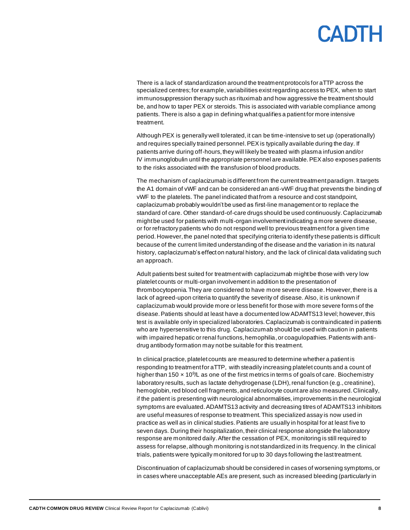There is a lack of standardization around the treatment protocols for aTTP across the specialized centres;for example, variabilities exist regarding access to PEX, when to start immunosuppression therapy such as rituximab and how aggressive the treatment should be, and how to taper PEX or steroids. This is associated with variable compliance among patients. There is also a gap in defining what qualifies a patient for more intensive treatment.

Although PEX is generally well tolerated, it can be time-intensive to set up (operationally) and requires specially trained personnel. PEX is typically available during the day. If patients arrive during off-hours, they will likely be treated with plasma infusion and/or IV immunoglobulin until the appropriate personnel are available. PEX also exposes patients to the risks associated with the transfusion of blood products.

The mechanism of caplacizumab is different from the current treatment paradigm. It targets the A1 domain of vWF and can be considered an anti-vWF drug that prevents the binding of vWF to the platelets. The panel indicated that from a resource and cost standpoint, caplacizumab probably wouldn't be used as first-line management or to replace the standard of care. Other standard-of-care drugs should be used continuously. Caplacizumab might be used for patients with multi-organ involvement indicating a more severe disease, or for refractory patients who do not respond well to previous treatment for a given time period. However, the panel noted that specifying criteria to identify these patients is difficult because of the current limited understanding of the disease and the variation in its natural history, caplacizumab's effect on natural history, and the lack of clinical data validating such an approach.

Adult patients best suited for treatment with caplacizumab might be those with very low platelet counts or multi-organ involvement in addition to the presentation of thrombocytopenia. They are considered to have more severe disease. However, there is a lack of agreed-upon criteria to quantify the severity of disease. Also, it is unknown if caplacizumab would provide more or less benefit for those with more severe forms of the disease. Patients should at least have a documented low ADAMTS13 level; however, this test is available only in specialized laboratories. Caplacizumab is contraindicated in patients who are hypersensitive to this drug. Caplacizumab should be used with caution in patients with impaired hepatic or renal functions, hemophilia, or coagulopathies. Patients with antidrug antibody formation may not be suitable for this treatment.

In clinical practice, platelet counts are measured to determine whether a patient is responding to treatment for aTTP, with steadily increasing platelet counts and a count of higher than 150  $\times$  10<sup>9</sup>/L as one of the first metrics in terms of goals of care. Biochemistry laboratory results, such as lactate dehydrogenase (LDH), renal function (e.g., creatinine), hemoglobin, red blood cell fragments, and reticulocyte count are also measured. Clinically, if the patient is presenting with neurological abnormalities, improvements in the neurological symptoms are evaluated. ADAMTS13 activity and decreasing titres of ADAMTS13 inhibitors are useful measures of response to treatment. This specialized assay is now used in practice as well as in clinical studies. Patients are usually in hospital for at least five to seven days. During their hospitalization, their clinical response alongside the laboratory response are monitored daily. After the cessation of PEX, monitoring is still required to assess for relapse, although monitoring is not standardized in its frequency. In the clinical trials, patients were typically monitored for up to 30 days following the last treatment.

Discontinuation of caplacizumab should be considered in cases of worsening symptoms, or in cases where unacceptable AEs are present, such as increased bleeding (particularly in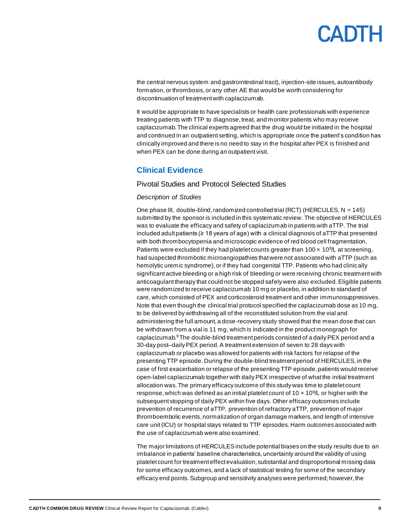the central nervous system and gastrointestinal tract), injection-site issues, autoantibody formation, or thrombosis, or any other AE that would be worth considering for discontinuation of treatment with caplacizumab.

It would be appropriate to have specialists or health care professionals with experience treating patients with TTP to diagnose, treat, and monitor patients who may receive caplacizumab. The clinical experts agreed that the drug would be initiated in the hospital and continued in an outpatient setting, which is appropriate once the patient's condition has clinically improved and there is no need to stay in the hospital after PEX is finished and when PEX can be done during an outpatient visit.

### <span id="page-8-0"></span>**Clinical Evidence**

### Pivotal Studies and Protocol Selected Studies

### *Description of Studies*

One phase III, double-blind, randomized controlled trial (RCT) (HERCULES, N = 145) submitted by the sponsor is included in this systematic review. The objective of HERCULES was to evaluate the efficacy and safety of caplacizumab in patients with aTTP. The trial included adult patients (≥ 18 years of age) with a clinical diagnosis of aTTP that presented with both thrombocytopenia and microscopic evidence of red blood cell fragmentation. Patients were excluded if they had platelet counts greater than  $100 \times 10^9$ L at screening, had suspected thrombotic microangiopathies that were not associated with aTTP (such as hemolytic uremic syndrome), or if they had congenital TTP. Patients who had clinically significant active bleeding or a high risk of bleeding or were receiving chronic treatment with anticoagulant therapy that could not be stopped safely were also excluded. Eligible patients were randomized to receive caplacizumab 10 mg or placebo, in addition to standard of care, which consisted of PEX and corticosteroid treatment and other immunosuppressives. Note that even though the clinical trial protocol specified the caplacizumab dose as 10 mg, to be delivered by withdrawing all of the reconstituted solution from the vial and administering the full amount, a dose-recovery study showed that the mean dose that can be withdrawn from a vial is 11 mg, which is indicated in the product monograph for caplacizumab. $9$ The double-blind treatment periods consisted of a daily PEX period and a 30-day post–daily PEX period. A treatment extension of seven to 28 days with caplacizumab or placebo was allowed for patients with risk factors for relapse of the presenting TTP episode. During the double-blind treatment period of HERCULES, in the case of first exacerbation or relapse of the presenting TTP episode, patients would receive open-label caplacizumab together with daily PEX irrespective of what the initial treatment allocation was. The primary efficacy outcome of this study was time to platelet count response, which was defined as an initial platelet count of 10  $\times$  10 $^{9}/$ L or higher with the subsequent stopping of daily PEX within five days. Other efficacy outcomes include prevention of recurrence of aTTP, prevention of refractory aTTP, prevention of major thromboembolic events, normalization of organ damage markers, and length of intensive care unit (ICU) or hospital stays related to TTP episodes. Harm outcomes associated with the use of caplacizumab were also examined.

The major limitations of HERCULES include potential biases on the study results due to an imbalance in patients' baseline characteristics, uncertainty around the validity of using platelet count for treatment effect evaluation, substantial and disproportional missing data for some efficacy outcomes, and a lack of statistical testing for some of the secondary efficacy end points. Subgroup and sensitivity analyses were performed; however, the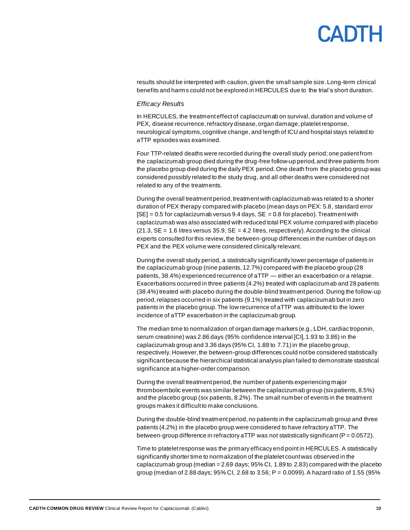## CANTH

results should be interpreted with caution,given the small sample size. Long-term clinical benefits and harms could not be explored in HERCULES due to the trial's short duration.

### *Efficacy Results*

In HERCULES, the treatment effect of caplacizumab on survival, duration and volume of PEX, disease recurrence, refractory disease, organ damage, platelet response, neurological symptoms, cognitive change,and length of ICU and hospital stays related to aTTP episodes was examined.

Four TTP-related deaths were recorded during the overall study period; one patient from the caplacizumab group died during the drug-free follow-up period, and three patients from the placebo group died during the daily PEX period. One death from the placebo group was considered possibly related to the study drug, and all other deaths were considered not related to any of the treatments.

During the overall treatment period, treatment with caplacizumab was related to a shorter duration of PEX therapy compared with placebo (mean days on PEX: 5.8, standard error  $[SE] = 0.5$  for caplacizumab versus 9.4 days,  $SE = 0.8$  for placebo). Treatment with caplacizumab was also associated with reduced total PEX volume compared with placebo  $(21.3, SE = 1.6$  litres versus 35.9,  $SE = 4.2$  litres, respectively). According to the clinical experts consulted for this review, the between-group differences in the number of days on PEX and the PEX volume were considered clinically relevant.

During the overall study period, a statistically significantly lower percentage of patients in the caplacizumab group (nine patients, 12.7%) compared with the placebo group (28 patients, 38.4%) experienced recurrence of aTTP — either an exacerbation or a relapse. Exacerbations occurred in three patients (4.2%) treated with caplacizumab and 28 patients (38.4%) treated with placebo during the double-blind treatment period.During the follow-up period, relapses occurred in six patients (9.1%) treated with caplacizumab but in zero patients in the placebo group. The low recurrence of aTTP was attributed to the lower incidence of aTTP exacerbation in the caplacizumab group.

The median time to normalization of organ damage markers (e.g., LDH, cardiac troponin, serum creatinine) was 2.86 days (95% confidence interval [CI], 1.93 to 3.86) in the caplacizumab group and 3.36 days (95% CI, 1.88 to 7.71) in the placebo group, respectively. However, the between-group differences could not be considered statistically significant because the hierarchical statistical analysis plan failed to demonstrate statistical significance at a higher-order comparison.

During the overall treatment period, the number of patients experiencing major thromboembolic events was similar between the caplacizumab group (six patients,8.5%) and the placebo group (six patients, 8.2%). The small number of events in the treatment groups makes it difficult to make conclusions.

During the double-blind treatment period, no patients in the caplacizumab group and three patients (4.2%) in the placebo group were considered to have refractory aTTP. The between-group difference in refractory aTTP was not statistically significant ( $P = 0.0572$ ).

Time to platelet response was the primary efficacy end point in HERCULES. A statistically significantly shorter time to normalization of the platelet count was observed in the caplacizumab group (median =  $2.69$  days;  $95\%$  Cl, 1.89 to  $2.83$ ) compared with the placebo group (median of 2.88 days; 95% CI, 2.68 to 3.56; P = 0.0099). A hazard ratio of 1.55 (95%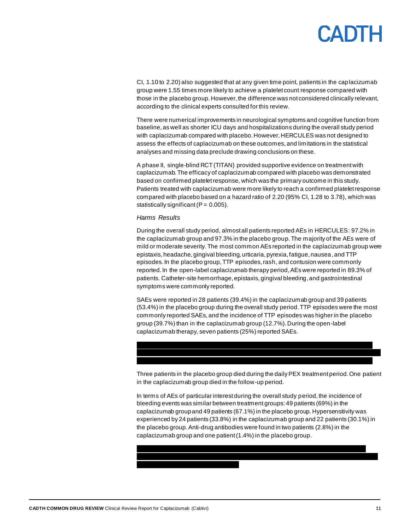CI, 1.10 to 2.20) also suggested that at any given time point, patients in the caplacizumab group were 1.55 times more likely to achieve a platelet count response compared with those in the placebo group. However, the difference was not considered clinically relevant, according to the clinical experts consulted for this review.

There were numerical improvements in neurological symptoms and cognitive function from baseline, as well as shorter ICU days and hospitalizations during the overall study period with caplacizumab compared with placebo. However, HERCULES was not designed to assess the effects of caplacizumab on these outcomes, and limitations in the statistical analyses and missing data preclude drawing conclusions on these.

A phase II, single-blind RCT (TITAN) provided supportive evidence on treatment with caplacizumab. The efficacy of caplacizumab compared with placebo was demonstrated based on confirmed platelet response, which was the primary outcome in this study. Patients treated with caplacizumab were more likely to reach a confirmed platelet response compared with placebo based on a hazard ratio of 2.20 (95% CI, 1.28 to 3.78), which was statistically significant  $(P = 0.005)$ .

### *Harms Results*

During the overall study period, almost all patients reported AEs in HERCULES: 97.2% in the caplacizumab group and 97.3% in the placebo group. The majority of the AEs were of mild or moderate severity. The most common AEs reported in the caplacizumab group were epistaxis, headache, gingival bleeding, urticaria, pyrexia, fatigue, nausea,and TTP episodes. In the placebo group, TTP episodes, rash, and contusion were commonly reported. In the open-label caplacizumab therapy period, AEs were reported in 89.3% of patients. Catheter-site hemorrhage, epistaxis, gingival bleeding,and gastrointestinal symptoms were commonly reported.

SAEs were reported in 28 patients (39.4%) in the caplacizumab group and 39 patients (53.4%) in the placebo group during the overall study period. TTP episodes were the most commonly reported SAEs, and the incidence of TTP episodes was higher in the placebo group (39.7%) than in the caplacizumab group (12.7%). During the open-label caplacizumab therapy, seven patients (25%) reported SAEs.

#### vvvvvv vvv vvvvvvv vvvvv vvvvvvv vvvv vvvvvvvv vvvvvv vvvvvvv vvvv vvvvvvvvvvvv vvv vvvv vvvvvvvv vvvvvvv vvvvvvv vvvv vvvvvvv vvvvvvvv vvv vvvvv vv vvvvvvvvv vvv vv vvvv

Three patients in the placebo group died during the daily PEX treatment period. One patient in the caplacizumab group died in the follow-up period.

In terms of AEs of particular interest during the overall study period, the incidence of bleeding events was similar between treatment groups: 49 patients (69%) in the caplacizumab group and 49 patients (67.1%) in the placebo group. Hypersensitivity was experienced by 24 patients (33.8%) in the caplacizumab group and 22 patients (30.1%) in the placebo group. Anti-drug antibodies were found in two patients (2.8%) in the caplacizumab group and one patient (1.4%) in the placebo group.

vvvvvv vvv vvvvvvvvvv vvvvvvvvv vvvv vvvvvvvvvvvvv vv vvvvvvvv vvvvvvvv vvvvvvvv vvvvvvv vv vvvvvvvv vvvvvvv vvvvvvvv vvvvvvvvvvvvvvvv vvvv vvvvvvvvv vvvvvvvvvv vvvv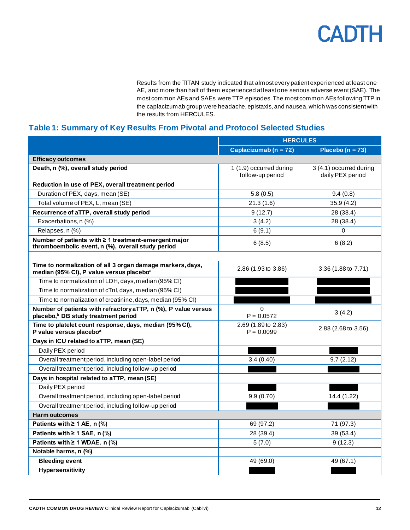Results from the TITAN study indicated that almost every patient experienced at least one AE, and more than half of them experienced at least one serious adverse event (SAE). The most common AEs and SAEs were TTP episodes. The most common AEs following TTP in the caplacizumab group were headache, epistaxis, and nausea, which was consistent with the results from HERCULES.

## <span id="page-11-0"></span>**Table 1: Summary of Key Results From Pivotal and Protocol Selected Studies**

|                                                                                                                    | <b>HERCULES</b>                             |                                             |
|--------------------------------------------------------------------------------------------------------------------|---------------------------------------------|---------------------------------------------|
|                                                                                                                    | Caplacizumab ( $n = 72$ )                   | Placebo ( $n = 73$ )                        |
| <b>Efficacy outcomes</b>                                                                                           |                                             |                                             |
| Death, n (%), overall study period                                                                                 | 1 (1.9) occurred during<br>follow-up period | 3 (4.1) occurred during<br>daily PEX period |
| Reduction in use of PEX, overall treatment period                                                                  |                                             |                                             |
| Duration of PEX, days, mean (SE)                                                                                   | 5.8(0.5)                                    | 9.4(0.8)                                    |
| Total volume of PEX, L, mean (SE)                                                                                  | 21.3(1.6)                                   | 35.9(4.2)                                   |
| Recurrence of aTTP, overall study period                                                                           | 9(12.7)                                     | 28 (38.4)                                   |
| Exacerbations, n (%)                                                                                               | 3(4.2)                                      | 28 (38.4)                                   |
| Relapses, n (%)                                                                                                    | 6(9.1)                                      | $\Omega$                                    |
| Number of patients with ≥ 1 treatment-emergent major<br>thromboembolic event, n (%), overall study period          | 6(8.5)                                      | 6(8.2)                                      |
|                                                                                                                    |                                             |                                             |
| Time to normalization of all 3 organ damage markers, days,<br>median (95% CI), P value versus placebo <sup>a</sup> | 2.86 (1.93 to 3.86)                         | 3.36 (1.88 to 7.71)                         |
| Time to normalization of LDH, days, median (95% CI)                                                                |                                             |                                             |
| Time to normalization of cTnl, days, median (95% CI)                                                               |                                             |                                             |
| Time to normalization of creatinine, days, median (95% CI)                                                         |                                             |                                             |
| Number of patients with refractory aTTP, n (%), P value versus<br>placebo, <sup>b</sup> DB study treatment period  | $\Omega$<br>$P = 0.0572$                    | 3(4.2)                                      |
| Time to platelet count response, days, median (95% CI),<br>P value versus placebo <sup>a</sup>                     | 2.69 (1.89 to 2.83)<br>$P = 0.0099$         | 2.88 (2.68 to 3.56)                         |
| Days in ICU related to aTTP, mean (SE)                                                                             |                                             |                                             |
| Daily PEX period                                                                                                   |                                             |                                             |
| Overall treatment period, including open-label period                                                              | 3.4(0.40)                                   | 9.7(2.12)                                   |
| Overall treatment period, including follow-up period                                                               |                                             |                                             |
| Days in hospital related to aTTP, mean (SE)                                                                        |                                             |                                             |
| Daily PEX period                                                                                                   |                                             |                                             |
| Overall treatment period, including open-label period                                                              | 9.9(0.70)                                   | 14.4 (1.22)                                 |
| Overall treatment period, including follow-up period                                                               |                                             |                                             |
| <b>Harm outcomes</b>                                                                                               |                                             |                                             |
| Patients with $\geq 1$ AE, n (%)                                                                                   | 69 (97.2)                                   | 71 (97.3)                                   |
| Patients with $\geq 1$ SAE, n (%)                                                                                  | 28 (39.4)                                   | 39 (53.4)                                   |
| Patients with $\geq 1$ WDAE, n (%)                                                                                 | 5(7.0)                                      | 9(12.3)                                     |
| Notable harms, n (%)                                                                                               |                                             |                                             |
| <b>Bleeding event</b>                                                                                              | 49 (69.0)                                   | 49 (67.1)                                   |
| <b>Hypersensitivity</b>                                                                                            |                                             |                                             |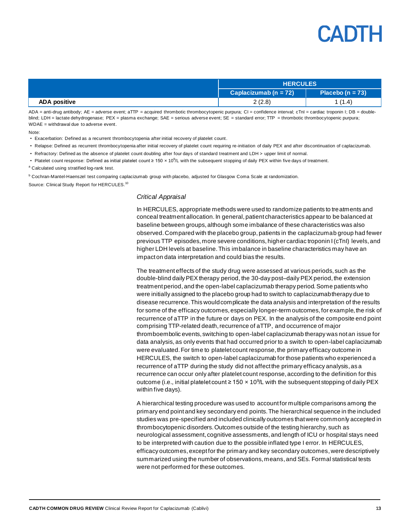|                     | <b>HERCULES</b>          |                      |
|---------------------|--------------------------|----------------------|
|                     | Caplacizumab (n = $72$ ) | Placebo ( $n = 73$ ) |
| <b>ADA positive</b> | 2(2.8)                   | 1 (1.4)              |

ADA = anti-drug antibody; AE = adverse event; aTTP = acquired thrombotic thrombocytopenic purpura; CI = confidence interval; cTnI = cardiac troponin I; DB = doubleblind; LDH = lactate dehydrogenase; PEX = plasma exchange; SAE = serious adverse event; SE = standard error; TTP = thrombotic thrombocytopenic purpura; WDAE = withdrawal due to adverse event.

Note:

• Exacerbation: Defined as a recurrent thrombocytopenia after initial recovery of platelet count.

- Relapse: Defined as recurrent thrombocytopenia after initial recovery of platelet count requiring re-initiation of daily PEX and after discontinuation of caplacizumab.
- Refractory: Defined as the absence of platelet count doubling after four days of standard treatment and LDH > upper limit of normal.
- Platelet count response: Defined as initial platelet count ≥ 150 x 10<sup>9</sup>/L with the subsequent stopping of daily PEX within five days of treatment.

a Calculated using stratified log-rank test.

**b Cochran-Mantel-Haenszel test comparing caplacizumab group with placebo, adjusted for Glasgow Coma Scale at randomization.** Source: Clinical Study Report for HERCULES.<sup>10</sup>

#### *Critical Appraisal*

In HERCULES, appropriate methods were used to randomize patients to treatments and conceal treatment allocation. In general, patient characteristics appear to be balanced at baseline between groups, although some imbalance of these characteristics was also observed. Compared with the placebo group, patients in the caplacizumab group had fewer previous TTP episodes, more severe conditions, higher cardiac troponin I (cTnI) levels,and higher LDH levels at baseline. This imbalance in baseline characteristics may have an impact on data interpretation and could bias the results.

The treatment effects of the study drug were assessed at various periods, such as the double-blind daily PEX therapy period, the 30-day post–daily PEX period, the extension treatment period, and the open-label caplacizumab therapy period. Some patients who were initially assigned to the placebo group had to switch to caplacizumab therapy due to disease recurrence. This would complicate the data analysis and interpretation of the results for some of the efficacy outcomes, especially longer-term outcomes, for example, the risk of recurrence of aTTP in the future or days on PEX. In the analysis of the composite end point comprising TTP-related death, recurrence of aTTP, and occurrence of major thromboembolic events, switching to open-label caplacizumab therapy was not an issue for data analysis, as only events that had occurred prior to a switch to open-label caplacizumab were evaluated. For time to platelet count response, the primary efficacy outcome in HERCULES, the switch to open-label caplacizumab for those patients who experienced a recurrence of aTTP during the study did not affect the primary efficacy analysis, as a recurrence can occur only after platelet count response, according to the definition for this outcome (i.e., initial platelet count ≥ 150  $\times$  10<sup>9</sup>/L with the subsequent stopping of daily PEX within five days).

A hierarchical testing procedure was used to account for multiple comparisons among the primary end point and key secondary end points. The hierarchical sequence in the included studies was pre-specified and included clinically outcomes that were commonly accepted in thrombocytopenic disorders. Outcomes outside of the testing hierarchy, such as neurological assessment, cognitive assessments, and length of ICU or hospital stays need to be interpreted with caution due to the possible inflated type I error. In HERCULES, efficacy outcomes, except for the primary and key secondary outcomes, were descriptively summarized using the number of observations, means, and SEs. Formal statistical tests were not performed for these outcomes.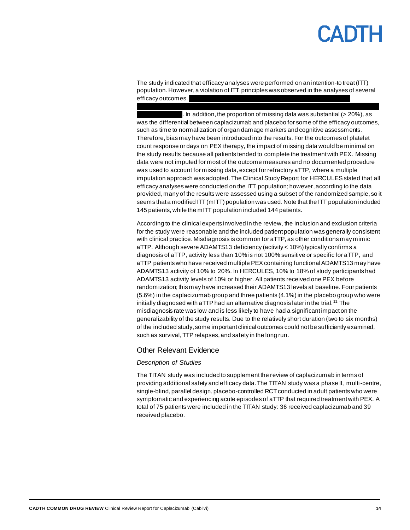## CANTH

The study indicated that efficacy analyses were performed on an intention-to treat (ITT) population. However, a violation of ITT principles was observed in the analyses of several efficacy outcomes.

vvvvvvvvvvvv vvv vv vvvv vv vvvvvvvvv vv vvvvvvv vvvvvvvvvv vvvvvv vvv v vvvv vvvvvvvv

. In addition, the proportion of missing data was substantial ( $>$  20%), as was the differential between caplacizumab and placebo for some of the efficacy outcomes, such as time to normalization of organ damage markers and cognitive assessments. Therefore, bias may have been introduced into the results. For the outcomes of platelet count response or days on PEX therapy, the impact of missing data would be minimal on the study results because all patients tended to complete the treatment with PEX. Missing data were not imputed for most of the outcome measures and no documented procedure was used to account for missing data, except for refractory aTTP, where a multiple imputation approach was adopted. The Clinical Study Report for HERCULES stated that all efficacy analyses were conducted on the ITT population; however,according to the data provided, many of the results were assessed using a subset of the randomized sample, so it seems that a modified ITT (mITT) population was used. Note that the ITT population included 145 patients, while the mITT population included 144 patients.

According to the clinical experts involved in the review, the inclusion and exclusion criteria for the study were reasonable and the included patient population was generally consistent with clinical practice. Misdiagnosis is common for aTTP, as other conditions may mimic aTTP. Although severe ADAMTS13 deficiency (activity < 10%) typically confirms a diagnosis of aTTP, activity less than 10% is not 100% sensitive or specific for aTTP, and aTTP patients who have received multiple PEX containing functional ADAMTS13 may have ADAMTS13 activity of 10% to 20%. In HERCULES, 10% to 18% of study participants had ADAMTS13 activity levels of 10% or higher. All patients received one PEX before randomization; this may have increased their ADAMTS13 levels at baseline. Four patients (5.6%) in the caplacizumab group and three patients (4.1%) in the placebo group who were initially diagnosed with aTTP had an alternative diagnosis later in the trial.<sup>11</sup> The misdiagnosis rate was low and is less likely to have had a significant impact on the generalizability of the study results. Due to the relatively short duration (two to six months) of the included study, some important clinical outcomes could not be sufficiently examined, such as survival, TTP relapses, and safety in the long run.

### Other Relevant Evidence

### *Description of Studies*

The TITAN study was included to supplement the review of caplacizumab in terms of providing additional safety and efficacy data. The TITAN study was a phase II, multi-centre, single-blind, parallel design, placebo-controlled RCT conducted in adult patients who were symptomatic and experiencing acute episodes of aTTP that required treatment with PEX. A total of 75 patients were included in the TITAN study: 36 received caplacizumab and 39 received placebo.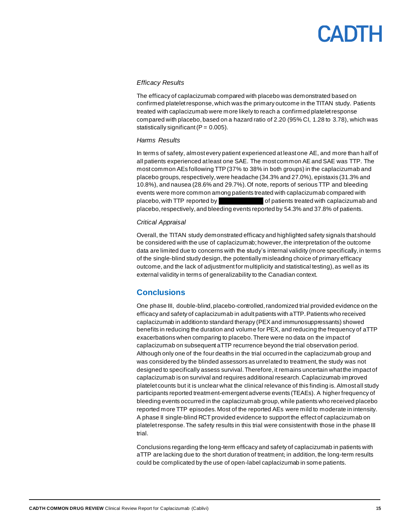### *Efficacy Results*

The efficacy of caplacizumab compared with placebo was demonstrated based on confirmed platelet response, which was the primary outcome in the TITAN study. Patients treated with caplacizumab were more likely to reach a confirmed platelet response compared with placebo, based on a hazard ratio of 2.20 (95% CI, 1.28 to 3.78), which was statistically significant ( $P = 0.005$ ).

### *Harms Results*

In terms of safety, almost every patient experienced at least one AE, and more than half of all patients experienced at least one SAE. The most common AE and SAE was TTP. The most common AEs following TTP (37% to 38% in both groups) in the caplacizumab and placebo groups, respectively, were headache (34.3% and 27.0%), epistaxis (31.3% and 10.8%), and nausea (28.6% and 29.7%). Of note, reports of serious TTP and bleeding events were more common among patients treated with caplacizumab compared with placebo, with TTP reported by vvvvo of patients treated with caplacizumab and placebo, respectively, and bleeding events reported by 54.3% and 37.8% of patients.

### *Critical Appraisal*

Overall, the TITAN study demonstrated efficacy and highlighted safety signals that should be considered with the use of caplacizumab; however, the interpretation of the outcome data are limited due to concerns with the study's internal validity (more specifically, in terms of the single-blind study design, the potentially misleading choice of primary efficacy outcome, and the lack of adjustment for multiplicity and statistical testing), as well as its external validity in terms of generalizability to the Canadian context.

## <span id="page-14-0"></span>**Conclusions**

One phase III, double-blind, placebo-controlled, randomized trial provided evidence on the efficacy and safety of caplacizumab in adult patients with aTTP. Patients who received caplacizumab in addition to standard therapy (PEX and immunosuppressants) showed benefits in reducing the duration and volume for PEX, and reducing the frequency of aTTP exacerbations when comparing to placebo. There were no data on the impact of caplacizumab on subsequent aTTP recurrence beyond the trial observation period. Although only one of the four deaths in the trial occurred in the caplacizumab group and was considered by the blinded assessors as unrelated to treatment, the study was not designed to specifically assess survival. Therefore, it remains uncertain what the impact of caplacizumab is on survival and requires additional research. Caplacizumab improved platelet counts but it is unclear what the clinical relevance of this finding is. Almost all study participants reported treatment-emergent adverse events (TEAEs). A higher frequency of bleeding events occurred in the caplacizumab group, while patients who received placebo reported more TTP episodes. Most of the reported AEs were mild to moderate in intensity. A phase II single-blind RCT provided evidence to support the effect of caplacizumab on platelet response. The safety results in this trial were consistent with those in the phase III trial.

Conclusions regarding the long-term efficacy and safety of caplacizumab in patients with aTTP are lacking due to the short duration of treatment; in addition, the long-term results could be complicated by the use of open-label caplacizumab in some patients.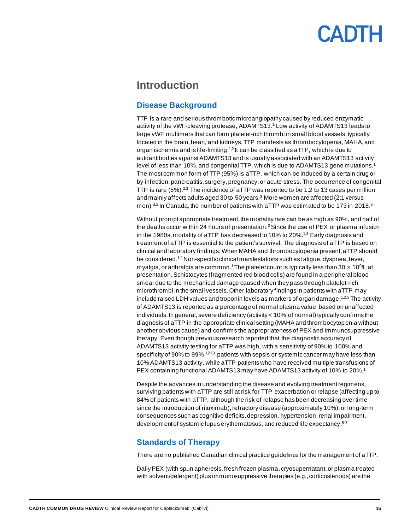## <span id="page-15-0"></span>**Introduction**

## <span id="page-15-1"></span>**Disease Background**

TTP is a rare and serious thrombotic microangiopathy caused by reduced enzymatic activity of the vWF-cleaving protease, ADAMTS13. <sup>1</sup> Low activity of ADAMTS13 leads to large vWF multimers that can form platelet-rich thrombi in small blood vessels, typically located in the brain, heart, and kidneys. TTP manifests as thrombocytopenia, MAHA, and organ ischemia and is life-limiting.<sup>1,2</sup> It can be classified as aTTP, which is due to autoantibodies against ADAMTS13 and is usually associated with an ADAMTS13 activity level of less than 10%, and congenital TTP, which is due to ADAMTS13 gene mutations.<sup>1</sup> The most common form of TTP (95%) is aTTP, which can be induced by a certain drug or by infection, pancreatitis, surgery, pregnancy, or acute stress. The occurrence of congenital TTP is rare  $(5\%)$ .<sup>2,3</sup> The incidence of aTTP was reported to be 1.2 to 13 cases per million and mainly affects adults aged 30 to 50 years. $3$  More women are affected (2:1 versus men). $3.5$  In Canada, the number of patients with aTTP was estimated to be 173 in 2018. $3$ 

Without prompt appropriate treatment, the mortality rate can be as high as 90%, and half of the deaths occur within 24 hours of presentation.<sup>2</sup> Since the use of PEX or plasma infusion in the 1980s, mortality of aTTP has decreased to 10% to 20%.1,4 Early diagnosis and treatment of aTTP is essential to the patient's survival. The diagnosis of aTTP is based on clinical and laboratory findings. When MAHA and thrombocytopenia present, aTTP should be considered.<sup>1,2</sup> Non-specific clinical manifestations such as fatigue, dyspnea, fever, myalgia, or arthralgia are common.<sup>1</sup> The platelet count is typically less than 30  $\times$  10<sup>9</sup>/L at presentation. Schistocytes (fragmented red blood cells) are found in a peripheral blood smear due to the mechanical damage caused when they pass through platelet-rich microthrombi in the small vessels. Other laboratory findings in patients with aTTP may include raised LDH values and troponin levels as markers of organ damage. $^{1,2,5}$  The activity of ADAMTS13 is reported as a percentage of normal plasma value, based on unaffected individuals. In general, severe deficiency (activity < 10% of normal) typically confirms the diagnosis of aTTP in the appropriate clinical setting (MAHA and thrombocytopenia without another obvious cause) and confirms the appropriateness of PEX and immunosuppressive therapy. Even though previous research reported that the diagnostic accuracy of ADAMTS13 activity testing for aTTP was high, with a sensitivity of 90% to 100% and specificity of 90% to 99%,<sup>12,13</sup> patients with sepsis or systemic cancer may have less than 10% ADAMTS13 activity, while aTTP patients who have received multiple transfusions of PEX containing functional ADAMTS13 may have ADAMTS13 activity of 10% to 20%.<sup>1</sup>

Despite the advances in understanding the disease and evolving treatment regimens, surviving patients with aTTP are still at risk for TTP exacerbation or relapse (affecting up to 84% of patients with aTTP, although the risk of relapse has been decreasing over time since the introduction of rituximab), refractory disease (approximately 10%), or long-term consequences such as cognitive deficits, depression, hypertension, renal impairment, development of systemic lupus erythematosus, and reduced life expectancy.<sup>5-7</sup>

### <span id="page-15-2"></span>**Standards of Therapy**

There are no published Canadian clinical practice guidelines for the management of aTTP.

Daily PEX (with spun apheresis, fresh frozen plasma, cryosupernatant, or plasma treated with solvent/detergent) plus immunosuppressive therapies (e.g., corticosteroids) are the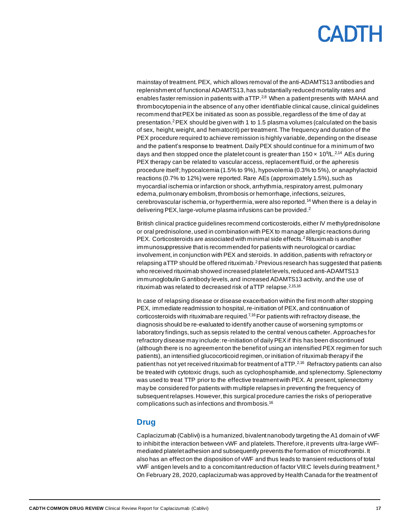mainstay of treatment. PEX, which allows removal of the anti-ADAMTS13 antibodies and replenishment of functional ADAMTS13, has substantially reduced mortality rates and enables faster remission in patients with aTTP. $^{2,8}$  When a patient presents with MAHA and thrombocytopenia in the absence of any other identifiable clinical cause, clinical guidelines recommend that PEX be initiated as soon as possible, regardless of the time of day at presentation. <sup>2</sup>PEX should be given with 1 to 1.5 plasma volumes (calculated on the basis of sex, height, weight, and hematocrit) per treatment. The frequency and duration of the PEX procedure required to achieve remission is highly variable, depending on the disease and the patient's response to treatment. Daily PEX should continue for a minimum of two days and then stopped once the platelet count is greater than  $150 \times 10^{9}/L^{2.14}$  AEs during PEX therapy can be related to vascular access, replacement fluid, or the apheresis procedure itself; hypocalcemia (1.5% to 9%), hypovolemia (0.3% to 5%), or anaphylactoid reactions (0.7% to 12%) were reported.Rare AEs (approximately 1.5%), such as myocardial ischemia or infarction or shock, arrhythmia, respiratory arrest, pulmonary edema, pulmonary embolism, thrombosis or hemorrhage, infections, seizures, cerebrovascular ischemia,or hyperthermia,were also reported.<sup>14</sup> When there is a delay in delivering PEX, large-volume plasma infusions can be provided.<sup>2</sup>

British clinical practice guidelines recommend corticosteroids,either IV methylprednisolone or oral prednisolone, used in combination with PEX to manage allergic reactions during PEX. Corticosteroids are associated with minimal side effects.<sup>2</sup> Rituximab is another immunosuppressive that is recommended for patients with neurological or cardiac involvement, in conjunction with PEX and steroids. In addition, patients with refractory or relapsing aTTP should be offered rituximab.<sup>2</sup> Previous research has suggested that patients who received rituximab showed increased platelet levels, reduced anti-ADAMTS13 immunoglobulin G antibody levels, and increased ADAMTS13 activity, and the use of rituximab was related to decreased risk of aTTP relapse.<sup>2,15,16</sup>

In case of relapsing disease or disease exacerbation within the first month after stopping PEX, immediate readmission to hospital, re-initiation of PEX, and continuation of corticosteroids with rituximab are required.<sup> $7,16$ </sup> For patients with refractory disease, the diagnosis should be re-evaluated to identify another cause of worsening symptoms or laboratory findings, such as sepsis related to the central venous catheter. Approaches for refractory disease may include: re-initiation of daily PEX if this has been discontinued (although there is no agreement on the benefit of using an intensified PEX regimen for such patients), an intensified glucocorticoid regimen, or initiation of rituximab therapy if the patient has not yet received rituximab for treatment of aTTP.<sup>2,16</sup> Refractory patients can also be treated with cytotoxic drugs, such as cyclophosphamide, and splenectomy. Splenectomy was used to treat TTP prior to the effective treatment with PEX. At present, splenectomy may be considered for patients with multiple relapses in preventing the frequency of subsequent relapses. However, this surgical procedure carries the risks of perioperative complications such as infections and thrombosis.<sup>16</sup>

### <span id="page-16-0"></span>**Drug**

Caplacizumab (Cablivi) is a humanized, bivalent nanobody targeting the A1 domain of vWF to inhibit the interaction between vWF and platelets. Therefore, it prevents ultra-large vWFmediated platelet adhesion and subsequently prevents the formation of microthrombi. It also has an effect on the disposition of vWF and thus leads to transient reductions of total vWF antigen levels and to a concomitant reduction of factor VIII:C levels during treatment. 9 On February 28, 2020, caplacizumab was approved by Health Canada for the treatment of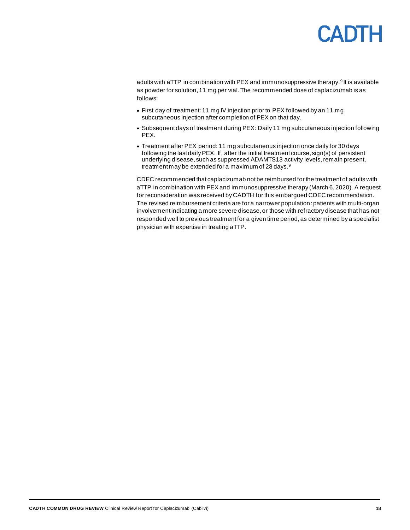adults with aTTP in combination with PEX and immunosuppressive therapy.<sup>9</sup> It is available as powder for solution, 11 mg per vial. The recommended dose of caplacizumab is as follows:

- First day of treatment: 11 mg IV injection prior to PEX followed by an 11 mg subcutaneous injection after completion of PEX on that day.
- Subsequent days of treatment during PEX: Daily 11 mg subcutaneous injection following PEX.
- Treatment after PEX period: 11 mg subcutaneous injection once daily for 30 days following the last daily PEX. If, after the initial treatment course, sign(s) of persistent underlying disease, such as suppressed ADAMTS13 activity levels,remain present, treatment may be extended for a maximum of 28 days.<sup>9</sup>

CDEC recommended that caplacizumab not be reimbursed for the treatment of adults with aTTP in combination with PEX and immunosuppressive therapy (March 6, 2020). A request for reconsideration was received by CADTH for this embargoed CDEC recommendation. The revised reimbursement criteria are for a narrower population: patients with multi-organ involvement indicating a more severe disease, or those with refractory disease that has not responded well to previous treatment for a given time period, as determined by a specialist physician with expertise in treating aTTP.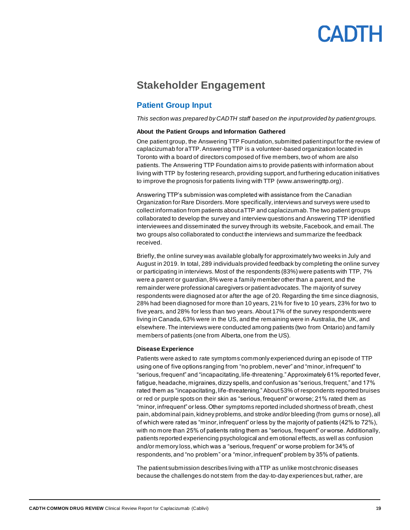## <span id="page-18-0"></span>**Stakeholder Engagement**

## <span id="page-18-1"></span>**Patient Group Input**

*This section was prepared by CADTH staff based on the input provided by patient groups.*

### **About the Patient Groups and Information Gathered**

One patient group, the Answering TTP Foundation, submitted patient input for the review of caplacizumab for aTTP. Answering TTP is a volunteer-based organization located in Toronto with a board of directors composed of five members, two of whom are also patients. The Answering TTP Foundation aims to provide patients with information about living with TTP by fostering research, providing support, and furthering education initiatives to improve the prognosis for patients living with TTP (www.answeringttp.org).

Answering TTP's submission was completed with assistance from the Canadian Organization for Rare Disorders.More specifically, interviews and surveys were used to collect information from patients about aTTP and caplacizumab. The two patient groups collaborated to develop the survey and interview questions and Answering TTP identified interviewees and disseminated the survey through its website, Facebook, and email. The two groups also collaborated to conduct the interviews and summarize the feedback received.

Briefly, the online survey was available globally for approximately two weeks in July and August in 2019. In total, 289 individuals provided feedback by completing the online survey or participating in interviews. Most of the respondents (83%) were patients with TTP, 7% were a parent or guardian, 8% were a family member other than a parent, and the remainder were professional caregivers or patient advocates. The majority of survey respondents were diagnosed at or after the age of 20. Regarding the time since diagnosis, 28% had been diagnosed for more than 10 years, 21% for five to 10 years, 23% for two to five years, and 28% for less than two years. About 17% of the survey respondents were living in Canada, 63% were in the US, and the remaining were in Australia, the UK, and elsewhere. The interviews were conducted among patients (two from Ontario) and family members of patients (one from Alberta, one from the US).

### **Disease Experience**

Patients were asked to rate symptoms commonly experienced during an episode of TTP using one of five options ranging from "no problem, never" and "minor, infrequent" to "serious, frequent" and "incapacitating, life-threatening." Approximately 61% reported fever, fatigue, headache, migraines, dizzy spells, and confusion as "serious, frequent," and 17% rated them as "incapacitating, life-threatening." About 53% of respondents reported bruises or red or purple spots on their skin as "serious, frequent" or worse; 21% rated them as "minor, infrequent" or less. Other symptoms reported included shortness of breath, chest pain, abdominal pain, kidney problems, and stroke and/or bleeding (from gums or nose), all of which were rated as "minor, infrequent" or less by the majority of patients (42% to 72%), with no more than 25% of patients rating them as "serious, frequent" or worse. Additionally, patients reported experiencing psychological and em otional effects, as well as confusion and/or memory loss,which was a "serious, frequent" or worse problem for 34% of respondents, and "no problem" or a "minor, infrequent" problem by 35% of patients.

The patient submission describes living with aTTP as unlike most chronic diseases because the challenges do not stem from the day-to-day experiences but, rather, are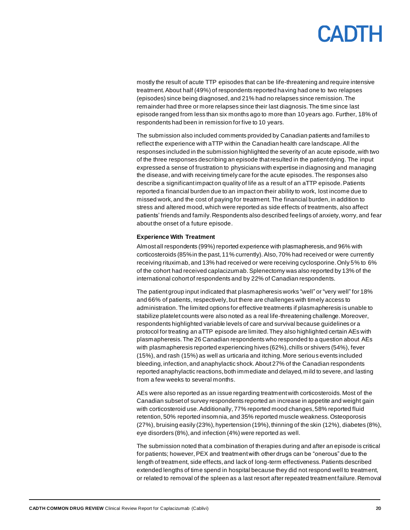mostly the result of acute TTP episodes that can be life-threatening and require intensive treatment. About half (49%) of respondents reported having had one to two relapses (episodes) since being diagnosed, and 21% had no relapses since remission. The remainder had three or more relapses since their last diagnosis. The time since last episode ranged from less than six months ago to more than 10 years ago. Further, 18% of respondents had been in remission for five to 10 years.

The submission also included comments provided by Canadian patients and families to reflect the experience with aTTP within the Canadian health care landscape. All the responses included in the submission highlighted the severity of an acute episode, with two of the three responses describing an episode that resulted in the patient dying. The input expressed a sense of frustration to physicians with expertise in diagnosing and managing the disease,and with receiving timely care for the acute episodes. The responses also describe a significant impact on quality of life as a result of an aTTP episode. Patients reported a financial burden due to an impact on their ability to work, lost income due to missed work, and the cost of paying for treatment. The financial burden, in addition to stress and altered mood, which were reported as side effects of treatments, also affect patients' friends and family. Respondents also described feelings of anxiety, worry, and fear about the onset of a future episode.

### **Experience With Treatment**

Almost all respondents (99%) reported experience with plasmapheresis, and 96% with corticosteroids (85% in the past, 11% currently).Also, 70% had received or were currently receiving rituximab, and 13% had received or were receiving cyclosporine. Only 5% to 6% of the cohort had received caplacizumab. Splenectomy was also reported by 13% of the international cohort of respondents and by 22% of Canadian respondents.

The patient group input indicated that plasmapheresis works "well" or "very well" for 18% and 66% of patients, respectively, but there are challenges with timely access to administration. The limited options for effective treatments if plasmapheresis is unable to stabilize platelet counts were also noted as a real life-threatening challenge. Moreover, respondents highlighted variable levels of care and survival because guidelines or a protocol for treating an aTTP episode are limited. They also highlighted certain AEs with plasmapheresis. The 26 Canadian respondents who responded to a question about AEs with plasmapheresis reported experiencing hives (62%), chills or shivers (54%), fever (15%), and rash (15%) as well as urticaria and itching. More serious events included bleeding, infection, and anaphylactic shock. About 27% of the Canadian respondents reported anaphylactic reactions, both immediate and delayed, mild to severe, and lasting from a few weeks to several months.

AEs were also reported as an issue regarding treatment with corticosteroids. Most of the Canadian subset of survey respondents reported an increase in appetite and weight gain with corticosteroid use. Additionally, 77% reported mood changes, 58% reported fluid retention, 50% reported insomnia, and 35% reported muscle weakness. Osteoporosis (27%), bruising easily (23%), hypertension (19%), thinning of the skin (12%), diabetes (8%), eye disorders (8%), and infection (4%) were reported as well.

The submission noted that a combination of therapies during and after an episode is critical for patients; however, PEX and treatment with other drugs can be "onerous" due to the length of treatment, side effects, and lack of long-term effectiveness. Patients described extended lengths of time spend in hospital because they did not respond well to treatment, or related to removal of the spleen as a last resort after repeated treatment failure. Removal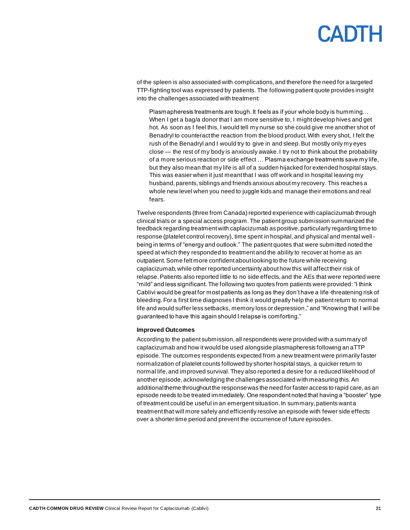of the spleen is also associated with complications, and therefore the need for a targeted TTP-fighting tool was expressed by patients. The following patient quote provides insight into the challenges associated with treatment:

Plasmapheresis treatments are tough. It feels as if your whole body is humming… When I get a bag/a donor that I am more sensitive to, I might develop hives and get hot. As soon as I feel this, I would tell my nurse so she could give me another shot of Benadryl to counteract the reaction from the blood product. With every shot, I felt the rush of the Benadryl and I would try to give in and sleep. But mostly only my eyes close — the rest of my body is anxiously awake. I try not to think about the probability of a more serious reaction or side effect … Plasma exchange treatments save my life, but they also mean that my life is all of a sudden hijacked for extended hospital stays. This was easier when it just meant that I was off work and in hospital leaving my husband, parents, siblings and friends anxious about my recovery. This reaches a whole new level when you need to juggle kids and manage their emotions and real fears.

Twelve respondents (three from Canada) reported experience with caplacizumab through clinical trials or a special access program. The patient group submission summarized the feedback regarding treatment with caplacizumab as positive, particularly regarding time to response (platelet control recovery), time spent in hospital, and physical and mental wellbeing in terms of "energy and outlook." The patient quotes that were submitted noted the speed at which they responded to treatment and the ability to recover at home as an outpatient. Some felt more confident about looking to the future while receiving caplacizumab, while other reported uncertainty about how this will affect their risk of relapse. Patients also reported little to no side effects, and the AEs that were reported were "mild" and less significant. The following two quotes from patients were provided: "I think Cablivi would be great for most patients as long as they don't have a life-threatening risk of bleeding. For a first time diagnoses I think it would greatly help the patient return to normal life and would suffer less setbacks, memory loss or depression," and "Knowing that I will be guaranteed to have this again should I relapse is comforting."

### **Improved Outcomes**

According to the patient submission, all respondents were provided with a summary of caplacizumab and how it would be used alongside plasmapheresis following an aTTP episode. The outcomes respondents expected from a new treatment were primarily faster normalization of platelet counts followed by shorter hospital stays, a quicker return to normal life, and improved survival. They also reported a desire for a reduced likelihood of another episode, acknowledging the challenges associated with measuring this. An additional theme throughout the response was the need for faster access to rapid care, as an episode needs to be treated immediately. One respondent noted that having a "booster" type of treatment could be useful in an emergent situation. In summary, patients want a treatment that will more safely and efficiently resolve an episode with fewer side effects over a shorter time period and prevent the occurrence of future episodes.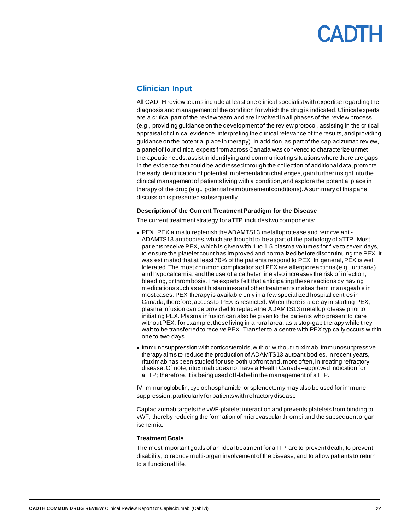## <span id="page-21-0"></span>**Clinician Input**

All CADTH review teams include at least one clinical specialist with expertise regarding the diagnosis and management of the condition for which the drug is indicated. Clinical experts are a critical part of the review team and are involved in all phases of the review process (e.g., providing guidance on the development of the review protocol, assisting in the critical appraisal of clinical evidence, interpreting the clinical relevance of the results, and providing guidance on the potential place in therapy). In addition, as part of the caplacizumab review, a panel of four clinical experts from across Canada was convened to characterize unmet therapeutic needs, assist in identifying and communicating situations where there are gaps in the evidence that could be addressed through the collection of additional data, promote the early identification of potential implementation challenges, gain further insight into the clinical management of patients living with a condition, and explore the potential place in therapy of the drug (e.g., potential reimbursement conditions).A summary of this panel discussion is presented subsequently.

### **Description of the Current Treatment Paradigm for the Disease**

The current treatment strategy for aTTP includes two components:

- PEX. PEX aims to replenish the ADAMTS13 metalloprotease and remove anti-ADAMTS13 antibodies, which are thought to be a part of the pathology of aTTP. Most patients receive PEX, which is given with 1 to 1.5 plasma volumes for five to seven days, to ensure the platelet count has improved and normalized before discontinuing the PEX. It was estimated that at least 70% of the patients respond to PEX. In general, PEX is well tolerated. The most common complications of PEX are allergic reactions (e.g., urticaria) and hypocalcemia, and the use of a catheter line also increases the risk of infection, bleeding,or thrombosis. The experts felt that anticipating these reactions by having medications such as antihistamines and other treatments makes them manageable in most cases. PEX therapy is available only in a few specialized hospital centres in Canada; therefore, access to PEX is restricted. When there is a delay in starting PEX, plasma infusion can be provided to replace the ADAMTS13 metalloprotease prior to initiating PEX. Plasma infusion can also be given to the patients who present to care without PEX, for example, those living in a rural area, as a stop-gap therapy while they wait to be transferred to receive PEX. Transfer to a centre with PEX typically occurs within one to two days.
- Immunosuppression with corticosteroids, with or without rituximab. Immunosuppressive therapy aims to reduce the production of ADAMTS13 autoantibodies. In recent years, rituximab has been studied for use both upfront and,more often, in treating refractory disease. Of note, rituximab does not have a Health Canada–approved indication for aTTP; therefore, it is being used off-label in the management of aTTP.

IV immunoglobulin, cyclophosphamide, or splenectomy may also be used for immune suppression, particularly for patients with refractory disease.

Caplacizumab targets the vWF-platelet interaction and prevents platelets from binding to vWF, thereby reducing the formation of microvascular thrombi and the subsequent organ ischemia.

### **Treatment Goals**

The most important goals of an ideal treatment for aTTP are to prevent death, to prevent disability, to reduce multi-organ involvement of the disease, and to allow patients to return to a functional life.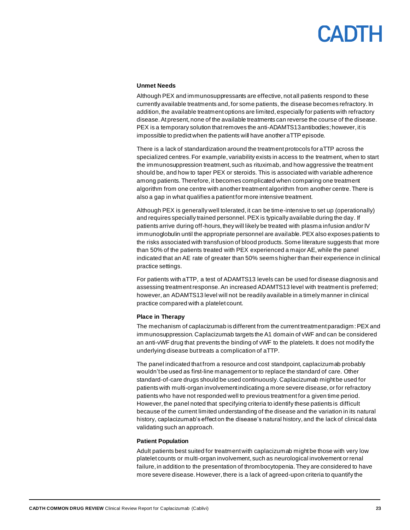## CANTH

### **Unmet Needs**

Although PEX and immunosuppressants are effective, not all patients respond to these currently available treatments and, for some patients, the disease becomes refractory. In addition, the available treatment options are limited, especially for patients with refractory disease.At present, none of the available treatments can reverse the course of the disease. PEX is a temporary solution that removes the anti-ADAMTS13 antibodies; however, it is impossible to predict when the patients will have another aTTP episode.

There is a lack of standardization around the treatment protocols for aTTP across the specialized centres.For example, variability exists in access to the treatment, when to start the immunosuppression treatment, such as rituximab, and how aggressive the treatment should be, and how to taper PEX or steroids. This is associated with variable adherence among patients. Therefore, it becomes complicated when comparing one treatment algorithm from one centre with another treatment algorithm from another centre.There is also a gap in what qualifies a patient for more intensive treatment.

Although PEX is generally well tolerated, it can be time-intensive to set up (operationally) and requires specially trained personnel. PEX is typically available during the day. If patients arrive during off-hours, they will likely be treated with plasma infusion and/or IV immunoglobulin until the appropriate personnel are available. PEX also exposes patients to the risks associated with transfusion of blood products. Some literature suggests that more than 50% of the patients treated with PEX experienced a major AE, while the panel indicated that an AE rate of greater than 50% seems higher than their experience in clinical practice settings.

For patients with aTTP, a test of ADAMTS13 levels can be used for disease diagnosis and assessing treatment response. An increased ADAMTS13 level with treatment is preferred; however, an ADAMTS13 level will not be readily available in a timely manner in clinical practice compared with a platelet count.

### **Place in Therapy**

The mechanism of caplacizumab is different from the current treatment paradigm: PEX and immunosuppression. Caplacizumab targets the A1 domain of vWF and can be considered an anti-vWF drug that prevents the binding of vWF to the platelets. It does not modify the underlying disease but treats a complication of aTTP.

The panel indicated that from a resource and cost standpoint, caplacizumab probably wouldn't be used as first-line management or to replace the standard of care. Other standard-of-care drugs should be used continuously. Caplacizumab might be used for patients with multi-organ involvement indicating a more severe disease, or for refractory patients who have not responded well to previous treatment for a given time period. However, the panel noted that specifying criteria to identify these patients is difficult because of the current limited understanding of the disease and the variation in its natural history, caplacizumab's effect on the disease's natural history, and the lack of clinical data validating such an approach.

### **Patient Population**

Adult patients best suited for treatment with caplacizumab might be those with very low platelet counts or multi-organ involvement, such as neurological involvement or renal failure, in addition to the presentation of thrombocytopenia. They are considered to have more severe disease. However, there is a lack of agreed-upon criteria to quantify the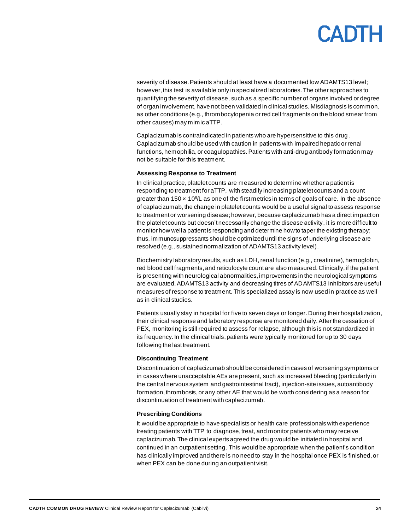## CADIH

severity of disease. Patients should at least have a documented low ADAMTS13 level; however, this test is available only in specialized laboratories. The other approaches to quantifying the severity of disease, such as a specific number of organs involved or degree of organ involvement, have not been validated in clinical studies. Misdiagnosis is common, as other conditions (e.g., thrombocytopenia or red cell fragments on the blood smear from other causes) may mimic aTTP.

Caplacizumab is contraindicated in patients who are hypersensitive to this drug. Caplacizumab should be used with caution in patients with impaired hepatic or renal functions, hemophilia, or coagulopathies. Patients with anti-drug antibody formation may not be suitable for this treatment.

### **Assessing Response to Treatment**

In clinical practice, platelet counts are measured to determine whether a patient is responding to treatment for aTTP, with steadily increasing platelet counts and a count greater than 150 $\times$  10<sup>9</sup>/L as one of the first metrics in terms of goals of care. In the absence of caplacizumab, the change in platelet counts would be a useful signal to assess response to treatment or worsening disease; however, because caplacizumab has a direct impact on the platelet counts but doesn't necessarily change the disease activity, it is more difficult to monitor how well a patient is responding and determine how to taper the existing therapy; thus, immunosuppressants should be optimized until the signs of underlying disease are resolved (e.g., sustained normalization of ADAMTS13 activity level).

Biochemistry laboratory results, such as LDH, renal function (e.g., creatinine), hemoglobin, red blood cell fragments,and reticulocyte count are also measured. Clinically, if the patient is presenting with neurological abnormalities, improvements in the neurological symptoms are evaluated. ADAMTS13 activity and decreasing titres of ADAMTS13 inhibitors are useful measures of response to treatment. This specialized assay is now used in practice as well as in clinical studies.

Patients usually stay in hospital for five to seven days or longer. During their hospitalization, their clinical response and laboratory response are monitored daily.After the cessation of PEX, monitoring is still required to assess for relapse, although this is not standardized in its frequency. In the clinical trials, patients were typically monitored for up to 30 days following the last treatment.

### **Discontinuing Treatment**

Discontinuation of caplacizumab should be considered in cases of worsening symptoms or in cases where unacceptable AEs are present, such as increased bleeding (particularly in the central nervous system and gastrointestinal tract), injection-site issues, autoantibody formation, thrombosis, or any other AE that would be worth considering as a reason for discontinuation of treatment with caplacizumab.

### **Prescribing Conditions**

It would be appropriate to have specialists or health care professionals with experience treating patients with TTP to diagnose, treat, and monitor patients who may receive caplacizumab. The clinical experts agreed the drug would be initiated in hospital and continued in an outpatient setting. This would be appropriate when the patient's condition has clinically improved and there is no need to stay in the hospital once PEX is finished, or when PEX can be done during an outpatient visit.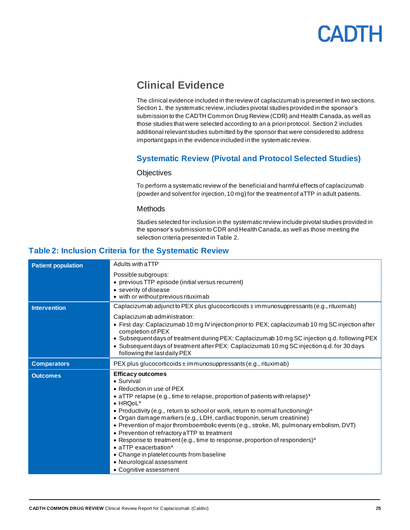

## <span id="page-24-0"></span>**Clinical Evidence**

The clinical evidence included in the review of caplacizumab is presented in two sections. Section 1, the systematic review, includes pivotal studies provided in the sponsor's submission to the CADTH Common Drug Review (CDR) and Health Canada, as well as those studies that were selected according to an a priori protocol. Section 2 includes additional relevant studies submitted by the sponsor that were considered to address important gaps in the evidence included in the systematic review.

## **Systematic Review (Pivotal and Protocol Selected Studies)**

### **Objectives**

To perform a systematic review of the beneficial and harmful effects of caplacizumab (powder and solvent for injection, 10 mg) for the treatment of aTTP in adult patients.

### **Methods**

Studies selected for inclusion in the systematic review include pivotal studies provided in the sponsor's submission to CDR and Health Canada, as well as those meeting the selection criteria presented i[n Table](#page-24-2) 2.

### <span id="page-24-2"></span><span id="page-24-1"></span>**Table 2: Inclusion Criteria for the Systematic Review**

| <b>Patient population</b> | Adults with aTTP                                                                                                                                                                                                                                                                                                                                         |  |
|---------------------------|----------------------------------------------------------------------------------------------------------------------------------------------------------------------------------------------------------------------------------------------------------------------------------------------------------------------------------------------------------|--|
|                           | Possible subgroups:                                                                                                                                                                                                                                                                                                                                      |  |
|                           | • previous TTP episode (initial versus recurrent)                                                                                                                                                                                                                                                                                                        |  |
|                           | • severity of disease                                                                                                                                                                                                                                                                                                                                    |  |
|                           | • with or without previous rituximab                                                                                                                                                                                                                                                                                                                     |  |
| <b>Intervention</b>       | Caplacizumab adjunct to PEX plus glucocorticoids $\pm$ immunosuppressants (e.g., rituximab)                                                                                                                                                                                                                                                              |  |
|                           | Caplacizumab administration:                                                                                                                                                                                                                                                                                                                             |  |
|                           | • First day: Caplacizumab 10 mg IV injection prior to PEX; caplacizumab 10 mg SC injection after<br>completion of PEX                                                                                                                                                                                                                                    |  |
|                           | . Subsequent days of treatment during PEX: Caplacizumab 10 mg SC injection q.d. following PEX<br>• Subsequent days of treatment after PEX: Caplacizumab 10 mg SC injection q.d. for 30 days<br>following the last daily PEX                                                                                                                              |  |
| <b>Comparators</b>        | PEX plus glucocorticoids ± immunosuppressants (e.g., rituximab)                                                                                                                                                                                                                                                                                          |  |
| <b>Outcomes</b>           | <b>Efficacy outcomes</b><br>• Survival<br>• Reduction in use of PEX<br>• aTTP relapse (e.g., time to relapse, proportion of patients with relapse) <sup>a</sup><br>$\bullet$ HRQoL <sup>a</sup><br>• Productivity (e.g., return to school or work, return to normal functioning) <sup>a</sup>                                                            |  |
|                           | • Organ damage markers (e.g., LDH, cardiac troponin, serum creatinine)<br>• Prevention of major thromboembolic events (e.g., stroke, MI, pulmonary embolism, DVT)<br>• Prevention of refractory aTTP to treatment<br>• Response to treatment (e.g., time to response, proportion of responders) <sup>a</sup><br>$\bullet$ aTTP exacerbation <sup>a</sup> |  |
|                           | • Change in platelet counts from baseline<br>• Neurological assessment<br>• Cognitive assessment                                                                                                                                                                                                                                                         |  |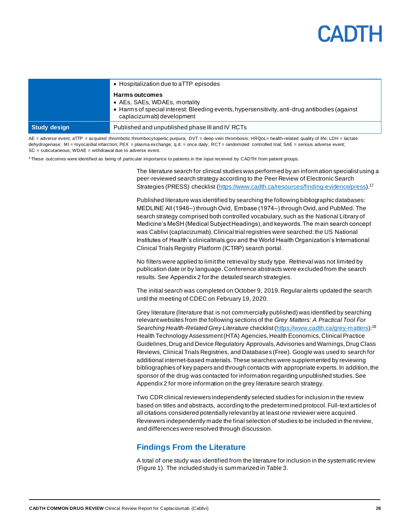## **LANT**

|              | • Hospitalization due to aTTP episodes<br>Harms outcomes<br>• AEs, SAEs, WDAEs, mortality<br>• Harms of special interest: Bleeding events, hypersensitivity, anti-drug antibodies (against<br>caplacizumab) development |
|--------------|-------------------------------------------------------------------------------------------------------------------------------------------------------------------------------------------------------------------------|
| Study design | Published and unpublished phase III and IV RCTs                                                                                                                                                                         |

AE = adverse event; aTTP = acquired thrombotic thrombocytopenic purpura; DVT = deep vein thrombosis; HRQoL= health-related quality of life; LDH = lactate dehydrogenase; MI = myocardial infarction; PEX = plasma exchange; q.d. = once daily; RCT = randomized controlled trial; SAE = serious adverse event; SC = subcutaneous; WDAE = withdrawal due to adverse event.

<sup>a</sup> These outcomes were identified as being of particular importance to patients in the input received by CADTH from patient groups.

The literature search for clinical studies was performed by an information specialist using a peer-reviewed search strategy according to the Peer Review of Electronic Search Strategies (PRESS) checklist [\(https://www.cadth.ca/resources/finding-evidence/press](https://www.cadth.ca/resources/finding-evidence/press)).<sup>17</sup>

Published literature was identified by searching the following bibliographic databases: MEDLINE All (1946‒) through Ovid, Embase (1974‒) through Ovid, and PubMed. The search strategy comprised both controlled vocabulary, such as the National Library of Medicine's MeSH (Medical Subject Headings), and keywords. The main search concept was Cablivi (caplacizumab). Clinical trial registries were searched: the US National Institutes of Health's clinicaltrials.gov and the World Health Organization's International Clinical Trials Registry Platform (ICTRP) search portal.

No filters were applied to limit the retrieval by study type. Retrieval was not limited by publication date or by language. Conference abstracts were excluded from the search results. See Appendix 2 for the detailed search strategies.

The initial search was completed on October 9, 2019. Regular alerts updated the search until the meeting of CDEC on February 19, 2020.

Grey literature (literature that is not commercially published) was identified by searching relevant websites from the following sections of the *Grey Matters: A Practical Tool For Searching Health-Related Grey Literature* checklist [\(https://www.cadth.ca/grey-matters](https://www.cadth.ca/grey-matters)):<sup>18</sup> Health Technology Assessment (HTA) Agencies, Health Economics, Clinical Practice Guidelines, Drug and Device Regulatory Approvals, Advisories and Warnings, Drug Class Reviews, Clinical Trials Registries, and Databases (Free). Google was used to search for additional internet-based materials. These searches were supplemented by reviewing bibliographies of key papers and through contacts with appropriate experts. In addition, the sponsor of the drug was contacted for information regarding unpublished studies. See Appendix 2 for more information on the grey literature search strategy.

Two CDR clinical reviewers independently selected studies for inclusion in the review based on titles and abstracts, according to the predetermined protocol. Full-text articles of all citations considered potentially relevant by at least one reviewer were acquired. Reviewers independently made the final selection of studies to be included in the review, and differences were resolved through discussion.

### <span id="page-25-0"></span>**Findings From the Literature**

A total of one study was identified from the literature for inclusion in the systematic review [\(Figure 1\)](#page-26-0). The included study is summarized i[n Table](#page-27-0) 3.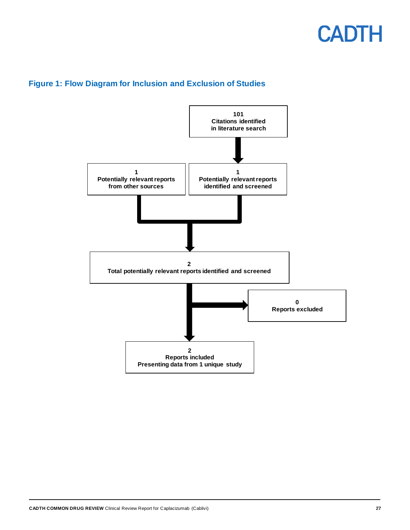<span id="page-26-0"></span>

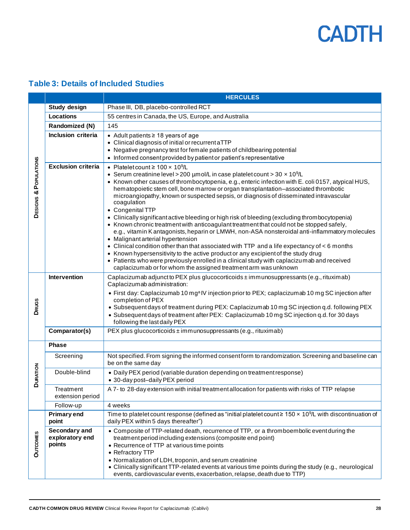## <span id="page-27-0"></span>**Table 3: Details of Included Studies**

|                       |                                            | <b>HERCULES</b>                                                                                                                                                                                                                                                                                                                                                                                                                                                                                                                                                                                                                                                                                                                                                                                                                                                                                                                                                                                                                                                                                                                                                       |  |  |
|-----------------------|--------------------------------------------|-----------------------------------------------------------------------------------------------------------------------------------------------------------------------------------------------------------------------------------------------------------------------------------------------------------------------------------------------------------------------------------------------------------------------------------------------------------------------------------------------------------------------------------------------------------------------------------------------------------------------------------------------------------------------------------------------------------------------------------------------------------------------------------------------------------------------------------------------------------------------------------------------------------------------------------------------------------------------------------------------------------------------------------------------------------------------------------------------------------------------------------------------------------------------|--|--|
|                       | <b>Study design</b>                        | Phase III, DB, placebo-controlled RCT                                                                                                                                                                                                                                                                                                                                                                                                                                                                                                                                                                                                                                                                                                                                                                                                                                                                                                                                                                                                                                                                                                                                 |  |  |
|                       | Locations                                  | 55 centres in Canada, the US, Europe, and Australia                                                                                                                                                                                                                                                                                                                                                                                                                                                                                                                                                                                                                                                                                                                                                                                                                                                                                                                                                                                                                                                                                                                   |  |  |
|                       | Randomized (N)                             | 145                                                                                                                                                                                                                                                                                                                                                                                                                                                                                                                                                                                                                                                                                                                                                                                                                                                                                                                                                                                                                                                                                                                                                                   |  |  |
|                       | Inclusion criteria                         | • Adult patients ≥ 18 years of age<br>• Clinical diagnosis of initial or recurrent aTTP<br>• Negative pregnancy test for female patients of childbearing potential<br>• Informed consent provided by patient or patient's representative                                                                                                                                                                                                                                                                                                                                                                                                                                                                                                                                                                                                                                                                                                                                                                                                                                                                                                                              |  |  |
| DESIGNS & POPULATIONS | <b>Exclusion criteria</b>                  | • Platelet count $\geq 100 \times 10^9$ /L<br>• Serum creatinine level > 200 $\mu$ mol/L in case platelet count > 30 $\times$ 10 <sup>9</sup> /L<br>• Known other causes of thrombocytopenia, e.g., enteric infection with E. coli 0157, atypical HUS,<br>hematopoietic stem cell, bone marrow or organ transplantation-associated thrombotic<br>microangiopathy, known or suspected sepsis, or diagnosis of disseminated intravascular<br>coagulation<br>• Congenital TTP<br>• Clinically significant active bleeding or high risk of bleeding (excluding thrombocytopenia)<br>• Known chronic treatment with anticoagulant treatment that could not be stopped safely,<br>e.g., vitamin K antagonists, heparin or LMWH, non-ASA nonsteroidal anti-inflammatory molecules<br>• Malignant arterial hypertension<br>• Clinical condition other than that associated with TTP and a life expectancy of < 6 months<br>• Known hypersensitivity to the active product or any excipient of the study drug<br>• Patients who were previously enrolled in a clinical study with caplacizumab and received<br>caplacizumab or for whom the assigned treatment arm was unknown |  |  |
| <b>DRUGS</b>          | Intervention                               | Caplacizumab adjunct to PEX plus glucocorticoids $\pm$ immunosuppressants (e.g., rituximab)<br>Caplacizumab administration:<br>• First day: Caplacizumab 10 mg <sup>a</sup> IV injection prior to PEX; caplacizumab 10 mg SC injection after<br>completion of PEX<br>• Subsequent days of treatment during PEX: Caplacizumab 10 mg SC injection q.d. following PEX<br>• Subsequent days of treatment after PEX: Caplacizumab 10 mg SC injection q.d. for 30 days<br>following the last daily PEX                                                                                                                                                                                                                                                                                                                                                                                                                                                                                                                                                                                                                                                                      |  |  |
|                       | Comparator(s)                              | PEX plus glucocorticoids ± immunosuppressants (e.g., rituximab)                                                                                                                                                                                                                                                                                                                                                                                                                                                                                                                                                                                                                                                                                                                                                                                                                                                                                                                                                                                                                                                                                                       |  |  |
|                       | <b>Phase</b>                               |                                                                                                                                                                                                                                                                                                                                                                                                                                                                                                                                                                                                                                                                                                                                                                                                                                                                                                                                                                                                                                                                                                                                                                       |  |  |
|                       | Screening                                  | Not specified. From signing the informed consent form to randomization. Screening and baseline can<br>be on the same day                                                                                                                                                                                                                                                                                                                                                                                                                                                                                                                                                                                                                                                                                                                                                                                                                                                                                                                                                                                                                                              |  |  |
| <b>DURATION</b>       | Double-blind                               | • Daily PEX period (variable duration depending on treatment response)<br>• 30-day post-daily PEX period                                                                                                                                                                                                                                                                                                                                                                                                                                                                                                                                                                                                                                                                                                                                                                                                                                                                                                                                                                                                                                                              |  |  |
|                       | Treatment<br>extension period              | A 7- to 28-day extension with initial treatment allocation for patients with risks of TTP relapse                                                                                                                                                                                                                                                                                                                                                                                                                                                                                                                                                                                                                                                                                                                                                                                                                                                                                                                                                                                                                                                                     |  |  |
|                       | Follow-up                                  | 4 weeks                                                                                                                                                                                                                                                                                                                                                                                                                                                                                                                                                                                                                                                                                                                                                                                                                                                                                                                                                                                                                                                                                                                                                               |  |  |
|                       | <b>Primary end</b><br>point                | Time to platelet count response (defined as "initial platelet count $\geq 150 \times 10^{9}/L$ with discontinuation of<br>daily PEX within 5 days thereafter")                                                                                                                                                                                                                                                                                                                                                                                                                                                                                                                                                                                                                                                                                                                                                                                                                                                                                                                                                                                                        |  |  |
| <b>OUTCOMES</b>       | Secondary and<br>exploratory end<br>points | • Composite of TTP-related death, recurrence of TTP, or a thromboembolic event during the<br>treatment period including extensions (composite end point)<br>• Recurrence of TTP at various time points<br>• Refractory TTP<br>• Normalization of LDH, troponin, and serum creatinine<br>• Clinically significant TTP-related events at various time points during the study (e.g., neurological<br>events, cardiovascular events, exacerbation, relapse, death due to TTP)                                                                                                                                                                                                                                                                                                                                                                                                                                                                                                                                                                                                                                                                                            |  |  |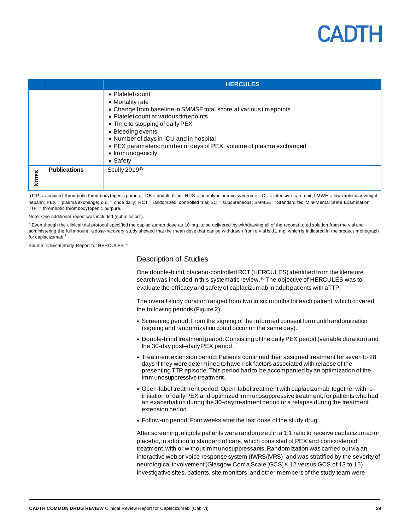|              |                     | <b>HERCULES</b>                                                                                                                                                                                                                                                                                                                                               |
|--------------|---------------------|---------------------------------------------------------------------------------------------------------------------------------------------------------------------------------------------------------------------------------------------------------------------------------------------------------------------------------------------------------------|
|              |                     | • Platelet count<br>• Mortality rate<br>• Change from baseline in SMMSE total score at various timepoints<br>• Platelet count at various timepoints<br>• Time to stopping of daily PEX<br>• Bleeding events<br>• Number of days in ICU and in hospital<br>• PEX parameters: number of days of PEX, volume of plasma exchanged<br>• Immunogenicity<br>• Safety |
| <b>Nores</b> | <b>Publications</b> | Scully 2019 <sup>19</sup>                                                                                                                                                                                                                                                                                                                                     |

aTTP = acquired thrombotic thrombocytopenic purpura; DB = double-blind; HUS = hemolytic uremic syndrome; ICU = intensive care unit; LMWH = low molecular weight heparin; PEX = plasma exchange; q.d. = once daily; RCT= randomized controlled trial; SC = subcutaneous; SMMSE = Standardized Mini-Mental State Examination; TTP = thrombotic thrombocytopenic purpura.

Note: One additional report was included (submission<sup>3</sup>).

<sup>a</sup> Even though the clinical trial protocol specified the caplacizumab dose as 10 mg, to be delivered by withdrawing all of the reconstituted solution from the vial and administering the full amount, a dose-recovery study showed that the mean dose that can be withdrawn from a vial is 11 mg, which is indicated in the product monograph for caplacizumab.<sup>9</sup>

Source: Clinical Study Report for HERCULES.<sup>10</sup>

### Description of Studies

One double-blind, placebo-controlled RCT (HERCULES) identified from the literature search was included in this systematic review.<sup>10</sup> The objective of HERCULES was to evaluate the efficacy and safety of caplacizumab in adult patients with aTTP.

The overall study duration ranged from two to six months for each patient, which covered the following periods [\(Figure 2\)](#page-29-0):

- Screening period: From the signing of the informed consent form until randomization (signing and randomization could occur on the same day).
- Double-blind treatment period: Consisting of the daily PEX period (variable duration) and the 30-day post–daily PEX period.
- Treatment extension period: Patients continued their assigned treatment for seven to 28 days if they were determined to have risk factors associated with relapse of the presenting TTP episode. This period had to be accompanied by an optimization of the immunosuppressive treatment.
- Open-label treatment period: Open-label treatment with caplacizumab,together with reinitiation of daily PEX and optimized immunosuppressive treatment, for patients who had an exacerbation during the 30-day treatment period or a relapse during the treatment extension period.
- Follow-up period: Four weeks after the last dose of the study drug.

After screening, eligible patients were randomized in a 1:1 ratio to receive caplacizumab or placebo, in addition to standard of care, which consisted of PEX and corticosteroid treatment, with or without immunosuppressants. Randomization was carried out via an interactive web or voice response system (IWRS/IVRS) and was stratified by the severity of neurological involvement (Glasgow Coma Scale [GCS] ≤ 12 versus GCS of 13 to 15). Investigative sites, patients, site monitors,and other members of the study team were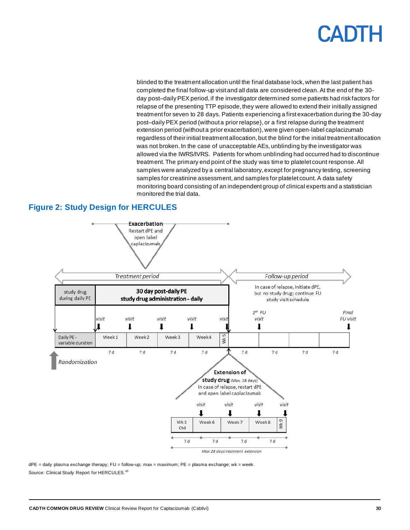blinded to the treatment allocation until the final database lock, when the last patient has completed the final follow-up visit and all data are considered clean. At the end of the 30 day post–daily PEX period, if the investigator determined some patients had risk factors for relapse of the presenting TTP episode, they were allowed to extend their initially assigned treatment for seven to 28 days. Patients experiencing a first exacerbation during the 30-day post–daily PEX period (without a prior relapse), or a first relapse during the treatment extension period (without a prior exacerbation), were given open-label caplacizumab regardless of their initial treatment allocation, but the blind for the initial treatment allocation was not broken. In the case of unacceptable AEs, unblinding by the investigator was allowed via the IWRS/IVRS. Patients for whom unblinding had occurred had to discontinue treatment. The primary end point of the study was time to platelet count response. All samples were analyzed by a central laboratory, except for pregnancy testing, screening samples for creatinine assessment, and samples for platelet count. A data safety monitoring board consisting of an independent group of clinical experts and a statistician monitored the trial data.

## <span id="page-29-0"></span>**Figure 2: Study Design for HERCULES**



dPE = daily plasma exchange therapy; FU = follow-up; max = maximum; PE = plasma exchange; wk = week. Source: Clinical Study Report for HERCULES.<sup>10</sup>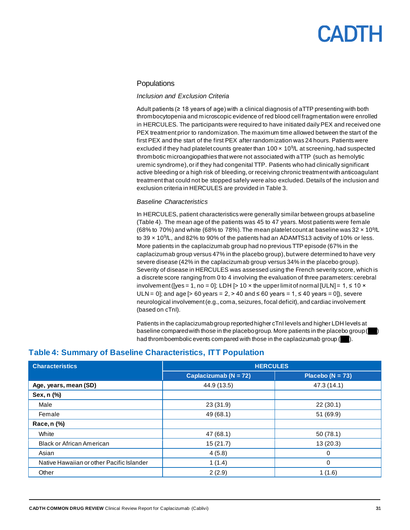### **Populations**

### *Inclusion and Exclusion Criteria*

Adult patients (≥ 18 years of age) with a clinical diagnosis of aTTP presenting with both thrombocytopenia and microscopic evidence of red blood cell fragmentation were enrolled in HERCULES. The participants were required to have initiated daily PEX and received one PEX treatment prior to randomization. The maximum time allowed between the start of the first PEX and the start of the first PEX after randomization was 24 hours. Patients were excluded if they had platelet counts greater than  $100 \times 10^{9}$ L at screening, had suspected thrombotic microangiopathies that were not associated with aTTP (such as hemolytic uremic syndrome), or if they had congenital TTP. Patients who had clinically significant active bleeding or a high risk of bleeding, or receiving chronic treatment with anticoagulant treatment that could not be stopped safely were also excluded. Details of the inclusion and exclusion criteria in HERCULES are provided i[n Table](#page-27-0) 3.

### *Baseline Characteristics*

In HERCULES, patient characteristics were generally similar between groups at baseline [\(Table](#page-30-0) 4). The mean age of the patients was 45 to 47 years. Most patients were female (68% to 70%) and white (68% to 78%). The mean platelet count at baseline was 32  $\times$  10<sup>9</sup>/L to 39  $\times$  10<sup>9</sup>/L, and 82% to 90% of the patients had an ADAMTS13 activity of 10% or less. More patients in the caplacizumab group had no previous TTP episode (67% in the caplacizumab group versus 47% in the placebo group), but were determined to have very severe disease (42% in the caplacizumab group versus 34% in the placebo group). Severity of disease in HERCULES was assessed using the French severity score, which is a discrete score ranging from 0 to 4 involving the evaluation of three parameters: cerebral involvement ([yes = 1, no = 0]; LDH [> 10 x the upper limit of normal [ULN] = 1,  $\leq$  10  $\times$ ULN = 0]; and age [> 60 years = 2, > 40 and ≤ 60 years = 1, ≤ 40 years = 0]), severe neurological involvement (e.g., coma, seizures, focal deficit), and cardiac involvement (based on cTnI).

Patients in the caplacizumab group reported higher cTnI levels and higher LDH levels at baseline compared with those in the placebo group. More patients in the placebo group ( had thromboembolic events compared with those in the caplacizumab group (

| <b>Characteristics</b>                    | <b>HERCULES</b>           |                      |  |
|-------------------------------------------|---------------------------|----------------------|--|
|                                           | Caplacizumab ( $N = 72$ ) | Placebo ( $N = 73$ ) |  |
| Age, years, mean (SD)                     | 44.9 (13.5)               | 47.3 (14.1)          |  |
| Sex, n (%)                                |                           |                      |  |
| Male                                      | 23(31.9)                  | 22(30.1)             |  |
| Female                                    | 49 (68.1)                 | 51 (69.9)            |  |
| Race, n (%)                               |                           |                      |  |
| White                                     | 47 (68.1)                 | 50(78.1)             |  |
| <b>Black or African American</b>          | 15(21.7)                  | 13(20.3)             |  |
| Asian                                     | 4(5.8)                    | $\mathbf{0}$         |  |
| Native Hawaiian or other Pacific Islander | 1(1.4)                    | 0                    |  |
| Other                                     | 2(2.9)                    | 1(1.6)               |  |

### <span id="page-30-0"></span>**Table 4: Summary of Baseline Characteristics, ITT Population**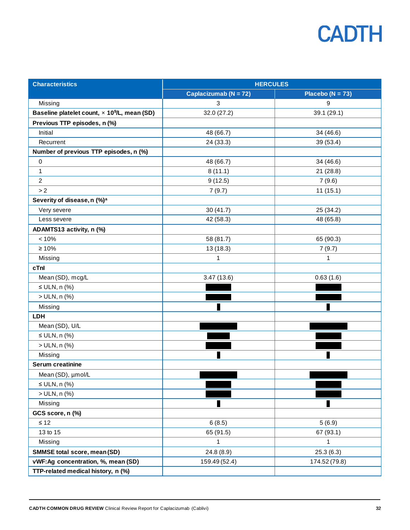| <b>Characteristics</b>                                   | <b>HERCULES</b>       |                      |
|----------------------------------------------------------|-----------------------|----------------------|
|                                                          | Caplacizumab (N = 72) | Placebo ( $N = 73$ ) |
| Missing                                                  | 3                     | 9                    |
| Baseline platelet count, x 10 <sup>9</sup> /L, mean (SD) | 32.0 (27.2)           | 39.1 (29.1)          |
| Previous TTP episodes, n (%)                             |                       |                      |
| Initial                                                  | 48 (66.7)             | 34 (46.6)            |
| Recurrent                                                | 24 (33.3)             | 39 (53.4)            |
| Number of previous TTP episodes, n (%)                   |                       |                      |
| $\pmb{0}$                                                | 48 (66.7)             | 34 (46.6)            |
| 1                                                        | 8(11.1)               | 21(28.8)             |
| $\overline{2}$                                           | 9(12.5)               | 7(9.6)               |
| > 2                                                      | 7(9.7)                | 11(15.1)             |
| Severity of disease, n (%) <sup>a</sup>                  |                       |                      |
| Very severe                                              | 30(41.7)              | 25 (34.2)            |
| Less severe                                              | 42 (58.3)             | 48 (65.8)            |
| ADAMTS13 activity, n (%)                                 |                       |                      |
| < 10%                                                    | 58 (81.7)             | 65 (90.3)            |
| $\geq 10\%$                                              | 13 (18.3)             | 7(9.7)               |
| Missing                                                  | 1                     | 1                    |
| cTnl                                                     |                       |                      |
| Mean (SD), mcg/L                                         | 3.47(13.6)            | 0.63(1.6)            |
| $\leq$ ULN, n (%)                                        |                       |                      |
| > ULN, n (%)                                             |                       |                      |
| Missing                                                  |                       |                      |
| LDH                                                      |                       |                      |
| Mean (SD), U/L                                           |                       |                      |
| $\leq$ ULN, n (%)                                        |                       |                      |
| > ULN, n (%)                                             |                       |                      |
| Missing                                                  |                       |                      |
| <b>Serum creatinine</b>                                  |                       |                      |
| Mean (SD), µmol/L                                        |                       |                      |
| $\leq$ ULN, n (%)                                        |                       |                      |
| > ULN, n (%)                                             |                       |                      |
| Missing                                                  |                       |                      |
| GCS score, n (%)                                         |                       |                      |
| $\leq 12$                                                | 6(8.5)                | 5(6.9)               |
| 13 to 15                                                 | 65 (91.5)             | 67 (93.1)            |
| Missing                                                  | 1                     | 1                    |
| <b>SMMSE total score, mean (SD)</b>                      | 24.8 (8.9)            | 25.3(6.3)            |
| vWF:Ag concentration, %, mean (SD)                       | 159.49 (52.4)         | 174.52 (79.8)        |
| TTP-related medical history, n (%)                       |                       |                      |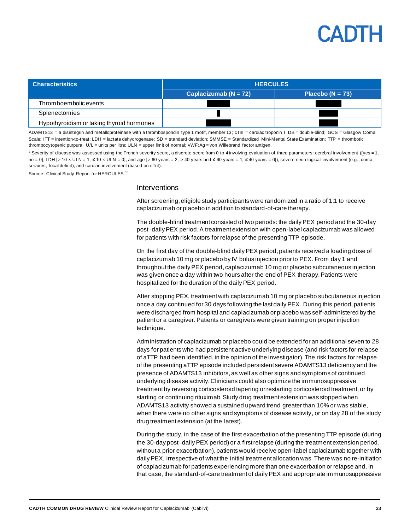

| <b>Characteristics</b>                    | <b>HERCULES</b>           |                      |
|-------------------------------------------|---------------------------|----------------------|
|                                           | Caplacizumab ( $N = 72$ ) | Placebo ( $N = 73$ ) |
| Thromboembolic events                     |                           |                      |
| Splenectomies                             |                           |                      |
| Hypothyroidism or taking thyroid hormones |                           |                      |

ADAMTS13 = a disintegrin and metalloproteinase with a thrombospondin type 1 motif, member 13; cTnI = cardiac troponin I; DB = double-blind; GCS = Glasgow Coma Scale; ITT = intention-to-treat; LDH = lactate dehydrogenase; SD = standard deviation; SMMSE = Standardized Mini-Mental State Examination; TTP = thrombotic thrombocytopenic purpura; U/L = units per litre; ULN = upper limit of normal; vWF:Ag = von Willebrand factor antigen.

<sup>a</sup> Severity of disease was assessed using the French severity score, a discrete score from 0 to 4 involving evaluation of three parameters: cerebral involvement ([yes = 1, no = 0], LDH [> 10 x ULN = 1, ≤ 10 x ULN = 0], and age [> 60 years = 2, > 40 years and ≤ 60 years = 1, ≤ 40 years = 0]), severe neurological involvement (e.g., coma, seizures, focal deficit), and cardiac involvement (based on cTnI).

Source: Clinical Study Report for HERCULES.<sup>10</sup>

### **Interventions**

After screening, eligible study participants were randomized in a ratio of 1:1 to receive caplacizumab or placebo in addition to standard-of-care therapy.

The double-blind treatment consisted of two periods: the daily PEX period and the 30-day post–daily PEX period. A treatment extension with open-label caplacizumab was allowed for patients with risk factors for relapse of the presenting TTP episode.

On the first day of the double-blind daily PEX period, patients received a loading dose of caplacizumab 10 mg or placebo by IV bolus injection prior to PEX. From day 1 and throughout the daily PEX period, caplacizumab 10 mg or placebo subcutaneous injection was given once a day within two hours after the end of PEX therapy. Patients were hospitalized for the duration of the daily PEX period.

After stopping PEX, treatment with caplacizumab 10 mg or placebo subcutaneous injection once a day continued for 30 days following the last daily PEX. During this period, patients were discharged from hospital and caplacizumab or placebo was self-administered by the patient or a caregiver. Patients or caregivers were given training on proper injection technique.

Administration of caplacizumab or placebo could be extended for an additional seven to 28 days for patients who had persistent active underlying disease (and risk factors for relapse of aTTP had been identified, in the opinion of the investigator). The risk factors for relapse of the presenting aTTP episode included persistent severe ADAMTS13 deficiency and the presence of ADAMTS13 inhibitors, as well as other signs and symptoms of continued underlying disease activity.Clinicians could also optimize the immunosuppressive treatment by reversing corticosteroid tapering or restarting corticosteroid treatment, or by starting or continuing rituximab.Study drug treatment extension was stopped when ADAMTS13 activity showed a sustained upward trend greater than 10% or was stable, when there were no other signs and symptoms of disease activity, or on day 28 of the study drug treatment extension (at the latest).

During the study, in the case of the first exacerbation of the presenting TTP episode (during the 30-day post–daily PEX period) or a first relapse (during the treatment extension period, without a prior exacerbation), patients would receive open-label caplacizumab together with daily PEX, irrespective of what the initial treatment allocation was. There was no re-initiation of caplacizumab for patients experiencing more than one exacerbation or relapse and, in that case, the standard-of-care treatment of daily PEX and appropriate immunosuppressive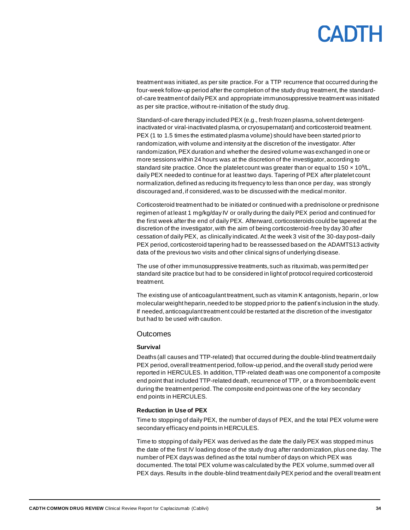treatment was initiated,as per site practice. For a TTP recurrence that occurred during the four-week follow-up period after the completion of the study drug treatment, the standardof-care treatment of daily PEX and appropriate immunosuppressive treatment was initiated as per site practice, without re-initiation of the study drug.

Standard-of-care therapy included PEX (e.g., fresh frozen plasma, solvent detergentinactivated or viral-inactivated plasma, or cryosupernatant) and corticosteroid treatment. PEX (1 to 1.5 times the estimated plasma volume) should have been started prior to randomization, with volume and intensity at the discretion of the investigator. After randomization, PEX duration and whether the desired volume was exchanged in one or more sessions within 24 hours was at the discretion of the investigator, according to standard site practice. Once the platelet count was greater than or equal to 150  $\times$  10<sup>9</sup>/L, daily PEX needed to continue for at least two days. Tapering of PEX after platelet count normalization, defined as reducing its frequency to less than once per day, was strongly discouraged and,if considered, was to be discussed with the medical monitor.

Corticosteroid treatment had to be initiated or continued with a prednisolone or prednisone regimen of at least 1 mg/kg/day IV or orally during the daily PEX period and continued for the first week after the end of daily PEX. Afterward, corticosteroids could be tapered at the discretion of the investigator, with the aim of being corticosteroid-free by day 30 after cessation of daily PEX, as clinically indicated. At the week 3 visit of the 30-day post–daily PEX period, corticosteroid tapering had to be reassessed based on the ADAMTS13 activity data of the previous two visits and other clinical signs of underlying disease.

The use of other immunosuppressive treatments, such as rituximab, was permitted per standard site practice but had to be considered in light of protocol required corticosteroid treatment.

The existing use of anticoagulant treatment, such as vitamin K antagonists, heparin, or low molecular weight heparin, needed to be stopped prior to the patient's inclusion in the study. If needed, anticoagulant treatment could be restarted at the discretion of the investigator but had to be used with caution.

### **Outcomes**

### **Survival**

Deaths (all causes and TTP-related) that occurred during the double-blind treatment daily PEX period, overall treatment period, follow-up period, and the overall study period were reported in HERCULES. In addition, TTP-related death was one component of a composite end point that included TTP-related death, recurrence of TTP, or a thromboembolic event during the treatment period. The composite end point was one of the key secondary end points in HERCULES.

### **Reduction in Use of PEX**

Time to stopping of daily PEX, the number of days of PEX, and the total PEX volume were secondary efficacy end points in HERCULES.

Time to stopping of daily PEX was derived as the date the daily PEX was stopped minus the date of the first IV loading dose of the study drug after randomization, plus one day. The number of PEX days was defined as the total number of days on which PEX was documented. The total PEX volume was calculated by the PEX volume, summed over all PEX days. Results in the double-blind treatment daily PEX period and the overall treatm ent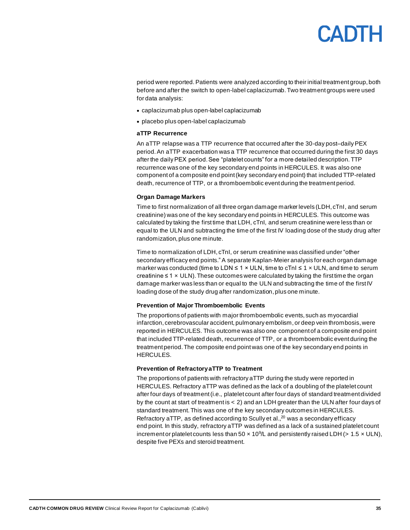## **ANTH**

period were reported.Patients were analyzed according to their initial treatment group, both before and after the switch to open-label caplacizumab. Two treatment groups were used for data analysis:

- caplacizumab plus open-label caplacizumab
- placebo plus open-label caplacizumab

#### **aTTP Recurrence**

An aTTP relapse was a TTP recurrence that occurred after the 30-day post–daily PEX period. An aTTP exacerbation was a TTP recurrence that occurred during the first 30 days after the daily PEX period. See "platelet counts" for a more detailed description. TTP recurrence was one of the key secondary end points in HERCULES. It was also one component of a composite end point(key secondary end point) that included TTP-related death, recurrence of TTP, or a thromboembolic event during the treatment period.

### **Organ Damage Markers**

Time to first normalization of all three organ damage marker levels (LDH, cTnI, and serum creatinine) was one of the key secondary end points in HERCULES. This outcome was calculated by taking the first time that LDH, cTnI, and serum creatinine were less than or equal to the ULN and subtracting the time of the first IV loading dose of the study drug after randomization, plus one minute.

Time to normalization of LDH, cTnI, or serum creatinine was classified under "other secondary efficacy end points." A separate Kaplan-Meier analysis for each organ damage marker was conducted (time to LDN  $\leq 1 \times$  ULN, time to cTnI  $\leq 1 \times$  ULN, and time to serum creatinine ≤ 1 × ULN). These outcomes were calculated by taking the first time the organ damage marker was less than or equal to the ULN and subtracting the time of the first IV loading dose of the study drug after randomization, plus one minute.

### **Prevention of Major Thromboembolic Events**

The proportions of patients with major thromboembolic events, such as myocardial infarction, cerebrovascular accident, pulmonary embolism, or deep vein thrombosis, were reported in HERCULES. This outcome was also one component of a composite end point that included TTP-related death, recurrence of TTP, or a thromboembolic event during the treatment period. The composite end pointwas one of the key secondary end points in HERCULES.

### **Prevention of Refractory aTTP to Treatment**

The proportions of patients with refractory aTTP during the study were reported in HERCULES. Refractory aTTP was defined as the lack of a doubling of the platelet count after four days of treatment (i.e., platelet count after four days of standard treatment divided by the count at start of treatment is < 2) and an LDH greater than the ULN after four days of standard treatment. This was one of the key secondary outcomes in HERCULES. Refractory aTTP, as defined according to Scully et al.,<sup>20</sup> was a secondary efficacy end point. In this study, refractory aTTP was defined as a lack of a sustained platelet count increment or platelet counts less than 50  $\times$  10<sup>9</sup>/L and persistently raised LDH (> 1.5  $\times$  ULN), despite five PEXs and steroid treatment.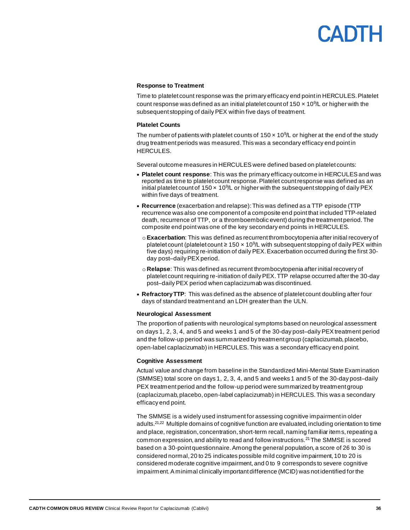## CANTH

### **Response to Treatment**

Time to platelet count response was the primary efficacy end point in HERCULES. Platelet count response was defined as an initial platelet count of  $150 \times 10^9$ L or higher with the subsequent stopping of daily PEX within five days of treatment.

### **Platelet Counts**

The number of patients with platelet counts of  $150 \times 10^{9}$ /L or higher at the end of the study drug treatment periods was measured. This was a secondary efficacy end point in HERCULES.

Several outcome measures in HERCULES were defined based on platelet counts:

- **Platelet count response**: This was the primary efficacy outcome in HERCULES and was reported as time to platelet count response. Platelet count response was defined as an initial platelet count of  $150 \times 10^{9}$ L or higher with the subsequent stopping of daily PEX within five days of treatment.
- **Recurrence** (exacerbation and relapse): This was defined as a TTP episode (TTP recurrence was also one component of a composite end point that included TTP-related death, recurrence of TTP, or a thromboembolic event) during the treatment period. The composite end pointwas one of the key secondary end points in HERCULES.
	- o**Exacerbation**: This was defined as recurrent thrombocytopenia after initial recovery of platelet count (platelet count  $\geq 150 \times 10^9$ /L with subsequent stopping of daily PEX within five days) requiring re-initiation of daily PEX. Exacerbation occurred during the first 30 day post–daily PEX period.
	- o **Relapse**: This was defined as recurrent thrombocytopenia after initial recovery of platelet count requiring re-initiation of daily PEX. TTP relapse occurred after the 30-day post–daily PEX period when caplacizumab was discontinued.
- **Refractory TTP**: This was defined as the absence of platelet count doubling after four days of standard treatment and an LDH greater than the ULN.

### **Neurological Assessment**

The proportion of patients with neurological symptoms based on neurological assessment on days 1, 2, 3, 4, and 5 and weeks 1 and 5 of the 30-day post–daily PEX treatment period and the follow-up period was summarized by treatment group (caplacizumab, placebo, open-label caplacizumab) in HERCULES. This was a secondary efficacy end point.

### **Cognitive Assessment**

Actual value and change from baseline in the Standardized Mini-Mental State Examination (SMMSE) total score on days 1, 2, 3, 4, and 5 and weeks 1 and 5 of the 30-day post–daily PEX treatment period and the follow-up period were summarized by treatment group (caplacizumab, placebo, open-label caplacizumab) in HERCULES. This was a secondary efficacy end point.

The SMMSE is a widely used instrument for assessing cognitive impairment in older adults.21,22 Multiple domains of cognitive function are evaluated, including orientation to time and place, registration, concentration, short-term recall, naming familiar items, repeating a common expression, and ability to read and follow instructions.<sup>21</sup> The SMMSE is scored based on a 30-point questionnaire. Among the general population, a score of 26 to 30 is considered normal, 20 to 25 indicates possible mild cognitive impairment, 10 to 20 is considered moderate cognitive impairment, and 0 to 9 corresponds to severe cognitive impairment.A minimal clinically important difference (MCID) was not identified for the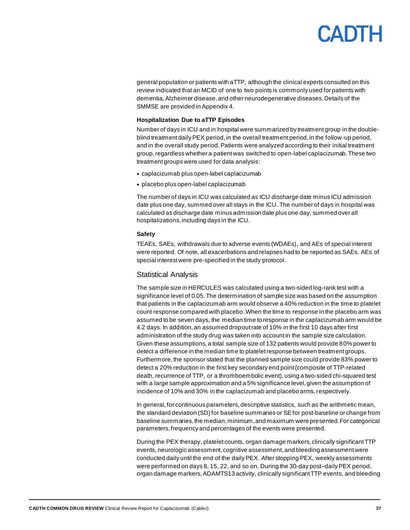# CANTH

general population or patients with aTTP, although the clinical experts consulted on this review indicated that an MCID of one to two points is commonly used for patients with dementia, Alzheimer disease, and other neurodegenerative diseases. Details of the SMMSE are provided in Appendix 4.

#### **Hospitalization Due to aTTP Episodes**

Number of days in ICU and in hospital were summarized by treatment group in the doubleblind treatment daily PEX period, in the overall treatment period, in the follow-up period, and in the overall study period. Patients were analyzed according to their initial treatment group,regardless whether a patient was switched to open-label caplacizumab. These two treatment groups were used for data analysis:

- caplacizumab plus open-label caplacizumab
- placebo plus open-label caplacizumab

The number of days in ICU was calculated as ICU discharge date minus ICU admission date plus one day, summed over all stays in the ICU. The number of days in hospital was calculated as discharge date minus admission date plus one day, summed over all hospitalizations, including days in the ICU.

#### **Safety**

TEAEs, SAEs, withdrawals due to adverse events (WDAEs), and AEs of special interest were reported. Of note, all exacerbations and relapses had to be reported as SAEs. AEs of special interest were pre-specified in the study protocol.

#### Statistical Analysis

The sample size in HERCULES was calculated using a two-sided log-rank test with a significance level of 0.05. The determination of sample size was based on the assumption that patients in the caplacizumab arm would observe a 40% reduction in the time to platelet count response compared with placebo. When the time to response in the placebo arm was assumed to be seven days, the median time to response in the caplacizumab arm would be 4.2 days. In addition, an assumed dropoutrate of 10% in the first 10 days after first administration of the study drug was taken into account in the sample size calculation. Given these assumptions, a total sample size of 132 patients would provide 80% power to detect a difference in the median time to platelet response between treatment groups. Furthermore, the sponsor stated that the planned sample size could provide 83% power to detect a 20% reduction in the first key secondary end point(composite of TTP-related death, recurrence of TTP, or a thromboembolic event), using a two-sided chi-squared test with a large sample approximation and a 5% significance level, given the assumption of incidence of 10% and 30% in the caplacizumab and placebo arms, respectively.

In general, for continuous parameters, descriptive statistics, such as the arithmetic mean, the standard deviation (SD) for baseline summaries or SE for post-baseline or change from baseline summaries, the median, minimum,and maximum were presented. For categorical parameters, frequency and percentages of the events were presented.

During the PEX therapy, platelet counts, organ damage markers, clinically significant TTP events, neurologic assessment, cognitive assessment, and bleeding assessment were conducted daily until the end of the daily PEX. After stopping PEX, weekly assessments were performed on days 8, 15, 22, and so on. During the 30-day post–daily PEX period, organ damage markers, ADAMTS13 activity, clinically significant TTP events, and bleeding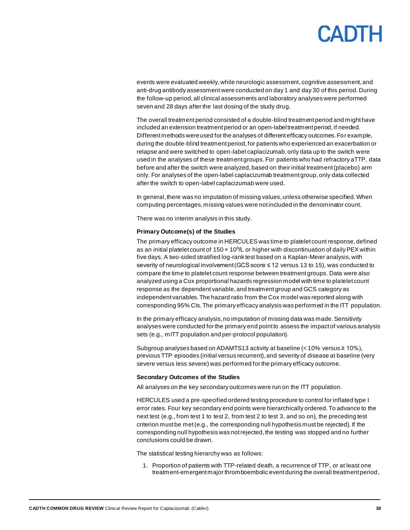# **ANTH**

events were evaluated weekly, while neurologic assessment, cognitive assessment,and anti-drug antibody assessment were conducted on day 1 and day 30 of this period. During the follow-up period, all clinical assessments and laboratory analyses were performed seven and 28 days after the last dosing of the study drug.

The overall treatment period consisted of a double-blind treatment period and might have included an extension treatment period or an open-label treatment period, if needed. Different methods were used for the analyses of different efficacy outcomes. For example, during the double-blind treatment period, for patients who experienced an exacerbation or relapse and were switched to open-label caplacizumab, only data up to the switch were used in the analyses of these treatment groups. For patients who had refractory aTTP, data before and after the switch were analyzed, based on their initial treatment (placebo) arm only. For analyses of the open-label caplacizumab treatment group, only data collected after the switch to open-label caplacizumab were used.

In general, there was no imputation of missing values, unless otherwise specified. When computing percentages, missing values were not included in the denominator count.

There was no interim analysis in this study.

#### **Primary Outcome(s) of the Studies**

The primary efficacy outcome in HERCULES was time to platelet count response, defined as an initial platelet count of  $150 \times 10^{9}$ /L or higher with discontinuation of daily PEX within five days. A two-sided stratified log-rank test based on a Kaplan-Meier analysis, with severity of neurological involvement (GCS score ≤ 12 versus 13 to 15), was conducted to compare the time to platelet count response between treatment groups. Data were also analyzed using a Cox proportional hazards regression model with time to platelet count response as the dependent variable, and treatment group and GCS category as independent variables. The hazard ratio from the Cox model was reported along with corresponding 95% CIs.The primary efficacy analysis was performed in the ITT population.

In the primary efficacy analysis, no imputation of missing data was made. Sensitivity analyses were conducted for the primary end point to assess the impact of various analysis sets (e.g., mITT population and per-protocol population).

Subgroup analyses based on ADAMTS13 activity at baseline ( $<$  10% versus  $\ge$  10%), previous TTP episodes (initial versus recurrent), and severity of disease at baseline (very severe versus less severe) was performed for the primary efficacy outcome.

#### **Secondary Outcomes of the Studies**

All analyses on the key secondary outcomes were run on the ITT population.

HERCULES used a pre-specified ordered testing procedure to control for inflated type I error rates. Four key secondary end points were hierarchically ordered. To advance to the next test (e.g., from test 1 to test 2, from test 2 to test 3, and so on), the preceding test criterion must be met (e.g., the corresponding null hypothesis must be rejected). If the corresponding null hypothesis was not rejected, the testing was stopped and no further conclusions could be drawn.

The statistical testing hierarchy was as follows:

1. Proportion of patients with TTP-related death, a recurrence of TTP, or at least one treatment-emergent major thromboembolic event during the overall treatment period,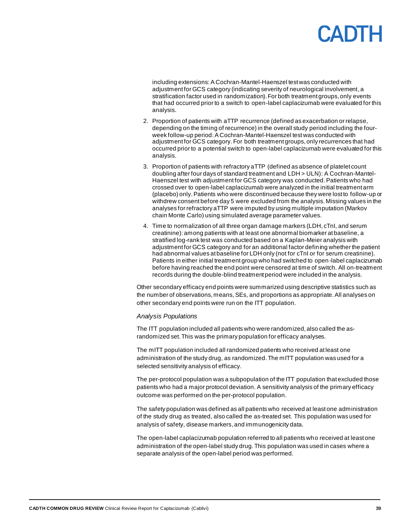including extensions: A Cochran-Mantel-Haenszel test was conducted with adjustment for GCS category (indicating severity of neurological involvement,a stratification factor used in randomization). For both treatment groups, only events that had occurred prior to a switch to open-label caplacizumab were evaluated for this analysis.

- 2. Proportion of patients with aTTP recurrence (defined as exacerbation or relapse, depending on the timing of recurrence) in the overall study period including the fourweek follow-up period: A Cochran-Mantel-Haenszel test was conducted with adjustment for GCS category. For both treatment groups, only recurrences that had occurred prior to a potential switch to open-label caplacizumab were evaluated for this analysis.
- 3. Proportion of patients with refractory aTTP (defined as absence of platelet count doubling after four days of standard treatment and LDH > ULN): A Cochran-Mantel-Haenszel test with adjustment for GCS category was conducted. Patients who had crossed over to open-label caplacizumab were analyzed in the initial treatment arm (placebo) only.Patients who were discontinued because they were lost to follow-up or withdrew consent before day 5 were excluded from the analysis. Missing values in the analyses for refractory aTTP were imputed by using multiple imputation (Markov chain Monte Carlo) using simulated average parameter values.
- 4. Time to normalization of all three organ damage markers (LDH, cTnI, and serum creatinine): among patients with at least one abnormal biomarker at baseline, a stratified log-rank test was conducted based on a Kaplan-Meier analysis with adjustment for GCS category and for an additional factor defining whether the patient had abnormal values at baseline for LDH only (not for cTnI or for serum creatinine). Patients in either initial treatment group who had switched to open-label caplacizumab before having reached the end point were censored at time of switch. All on-treatment records during the double-blind treatment period were included in the analysis.

Other secondary efficacy end points were summarized using descriptive statistics such as the number of observations, means, SEs, and proportions as appropriate. All analyses on other secondary end points were run on the ITT population.

#### *Analysis Populations*

The ITT population included all patients who were randomized, also called the asrandomized set. This was the primary population for efficacy analyses.

The mITT population included all randomized patients who received at least one administration of the study drug, as randomized.The mITT population was used for a selected sensitivity analysis of efficacy.

The per-protocol population was a subpopulation of the ITT population that excluded those patients who had a major protocol deviation. A sensitivity analysis of the primary efficacy outcome was performed on the per-protocol population.

The safety population was defined as all patients who received at least one administration of the study drug as treated, also called the as-treated set. This population was used for analysis of safety, disease markers,and immunogenicity data.

The open-label caplacizumab population referred to all patients who received at least one administration of the open-label study drug. This population was used in cases where a separate analysis of the open-label period was performed.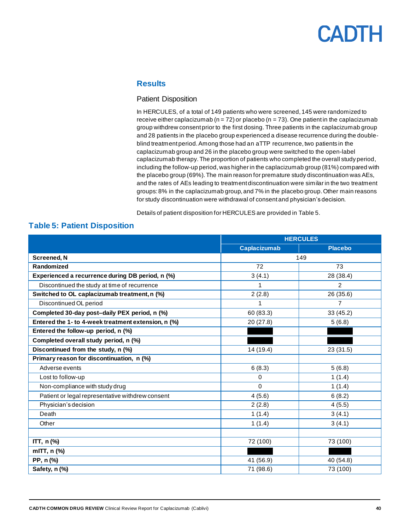### **Results**

#### Patient Disposition

In HERCULES, of a total of 149 patients who were screened, 145 were randomized to receive either caplacizumab ( $n = 72$ ) or placebo ( $n = 73$ ). One patient in the caplacizumab group withdrew consent prior to the first dosing. Three patients in the caplacizumab group and 28 patients in the placebo group experienced a disease recurrence during the doubleblind treatment period. Among those had an aTTP recurrence, two patients in the caplacizumab group and 26 in the placebo group were switched to the open-label caplacizumab therapy. The proportion of patients who completed the overall study period, including the follow-up period, was higher in the caplacizumab group (81%) compared with the placebo group (69%).The main reason for premature study discontinuation was AEs, and the rates of AEs leading to treatment discontinuation were similar in the two treatment groups:8% in the caplacizumab group, and 7% in the placebo group. Other main reasons for study discontinuation were withdrawal of consent and physician's decision.

Details of patient disposition for HERCULES are provided i[n Table](#page-39-0) 5.

### <span id="page-39-0"></span>**Table 5: Patient Disposition**

|                                                     | <b>HERCULES</b>     |                |
|-----------------------------------------------------|---------------------|----------------|
|                                                     | <b>Caplacizumab</b> | <b>Placebo</b> |
| <b>Screened, N</b>                                  | 149                 |                |
| Randomized                                          | 72                  | 73             |
| Experienced a recurrence during DB period, n (%)    | 3(4.1)              | 28 (38.4)      |
| Discontinued the study at time of recurrence        |                     | $\overline{2}$ |
| Switched to OL caplacizumab treatment, n (%)        | 2(2.8)              | 26 (35.6)      |
| Discontinued OL period                              |                     | $\overline{7}$ |
| Completed 30-day post-daily PEX period, n (%)       | 60 (83.3)           | 33 (45.2)      |
| Entered the 1- to 4-week treatment extension, n (%) | 20 (27.8)           | 5(6.8)         |
| Entered the follow-up period, n (%)                 |                     |                |
| Completed overall study period, n (%)               |                     |                |
| Discontinued from the study, n (%)                  | 14 (19.4)           | 23 (31.5)      |
| Primary reason for discontinuation, n (%)           |                     |                |
| Adverse events                                      | 6(8.3)              | 5(6.8)         |
| Lost to follow-up                                   | 0                   | 1(1.4)         |
| Non-compliance with study drug                      | 0                   | 1(1.4)         |
| Patient or legal representative withdrew consent    | 4(5.6)              | 6(8.2)         |
| Physician's decision                                | 2(2.8)              | 4(5.5)         |
| Death                                               | 1(1.4)              | 3(4.1)         |
| Other                                               | 1(1.4)              | 3(4.1)         |
|                                                     |                     |                |
| ITT, n (%)                                          | 72 (100)            | 73 (100)       |
| mITT, n (%)                                         |                     |                |
| PP, n (%)                                           | 41 (56.9)           | 40 (54.8)      |
| Safety, n (%)                                       | 71 (98.6)           | 73 (100)       |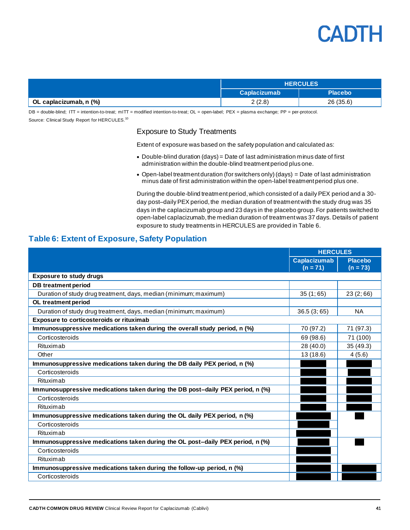

|                        | <b>HERCULES</b>     |                |
|------------------------|---------------------|----------------|
|                        | <b>Caplacizumab</b> | <b>Placebo</b> |
| OL caplacizumab, n (%) | 2(2.8)              | 26 (35.6)      |

DB = double-blind; ITT = intention-to-treat; mITT = modified intention-to-treat; OL = open-label; PEX = plasma exchange; PP = per-protocol. Source: Clinical Study Report for HERCULES.<sup>10</sup>

### Exposure to Study Treatments

Extent of exposure was based on the safety population and calculated as:

- Double-blind duration (days) = Date of last administration minus date of first administration within the double-blind treatment period plus one.
- Open-label treatment duration (for switchers only) (days) = Date of last administration minus date of first administration within the open-label treatment period plus one.

During the double-blind treatment period,which consisted of a daily PEX period and a 30 day post–daily PEX period, the median duration of treatment with the study drug was 35 days in the caplacizumab group and 23 days in the placebo group. For patients switched to open-label caplacizumab, the median duration of treatment was 37 days. Details of patient exposure to study treatments in HERCULES are provided i[n Table](#page-40-0) 6.

### <span id="page-40-0"></span>**Table 6: Extent of Exposure, Safety Population**

|                                                                                | <b>HERCULES</b>                   |                              |
|--------------------------------------------------------------------------------|-----------------------------------|------------------------------|
|                                                                                | <b>Caplacizumab</b><br>$(n = 71)$ | <b>Placebo</b><br>$(n = 73)$ |
| <b>Exposure to study drugs</b>                                                 |                                   |                              |
| <b>DB</b> treatment period                                                     |                                   |                              |
| Duration of study drug treatment, days, median (minimum; maximum)              | 35(1;65)                          | 23(2;66)                     |
| OL treatment period                                                            |                                   |                              |
| Duration of study drug treatment, days, median (minimum; maximum)              | 36.5(3;65)                        | <b>NA</b>                    |
| <b>Exposure to corticosteroids or rituximab</b>                                |                                   |                              |
| Immunosuppressive medications taken during the overall study period, n (%)     | 70 (97.2)                         | 71 (97.3)                    |
| Corticosteroids                                                                | 69 (98.6)                         | 71 (100)                     |
| Rituximab                                                                      | 28 (40.0)                         | 35 (49.3)                    |
| Other                                                                          | 13 (18.6)                         | 4(5.6)                       |
| Immunosuppressive medications taken during the DB daily PEX period, n (%)      |                                   |                              |
| Corticosteroids                                                                |                                   |                              |
| Rituximab                                                                      |                                   |                              |
| Immunosuppressive medications taken during the DB post-daily PEX period, n (%) |                                   |                              |
| Corticosteroids                                                                |                                   |                              |
| Rituximab                                                                      |                                   |                              |
| Immunosuppressive medications taken during the OL daily PEX period, n (%)      |                                   |                              |
| Corticosteroids                                                                |                                   |                              |
| Rituximab                                                                      |                                   |                              |
| Immunosuppressive medications taken during the OL post-daily PEX period, n (%) |                                   |                              |
| Corticosteroids                                                                |                                   |                              |
| Rituximab                                                                      |                                   |                              |
| Immunosuppressive medications taken during the follow-up period, n (%)         |                                   |                              |
| Corticosteroids                                                                |                                   |                              |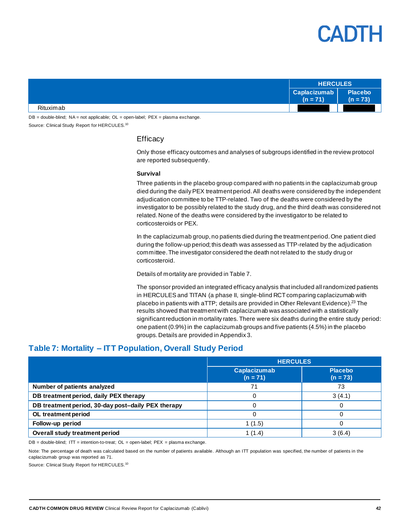

|           | <b>HERCULES</b>            |                              |
|-----------|----------------------------|------------------------------|
|           | Caplacizumab<br>$(n = 71)$ | <b>Placebo</b><br>$(n = 73)$ |
| Rituximab |                            |                              |

DB = double-blind; NA = not applicable; OL = open-label; PEX = plasma exchange. Source: Clinical Study Report for HERCULES.<sup>10</sup>

### **Efficacy**

Only those efficacy outcomes and analyses of subgroups identified in the review protocol are reported subsequently.

#### **Survival**

Three patients in the placebo group compared with no patients in the caplacizumab group died during the daily PEX treatment period. All deaths were considered by the independent adjudication committee to be TTP-related. Two of the deaths were considered by the investigator to be possibly related to the study drug, and the third death was considered not related. None of the deaths were considered by the investigator to be related to corticosteroids or PEX.

In the caplacizumab group, no patients died during the treatment period.One patient died during the follow-up period; this death was assessed as TTP-related by the adjudication committee. The investigator considered the death not related to the study drug or corticosteroid.

Details of mortality are provided i[n Table](#page-41-0) 7.

The sponsor provided an integrated efficacy analysis that included all randomized patients in HERCULES and TITAN (a phase II, single-blind RCT comparing caplacizumab with placebo in patients with aTTP; details are provided in Other Relevant Evidence).<sup>23</sup> The results showed that treatment with caplacizumab was associated with a statistically significant reduction in mortality rates. There were six deaths during the entire study period: one patient (0.9%) in the caplacizumab groups and five patients (4.5%) in the placebo groups. Details are provided in Appendix 3.

### <span id="page-41-0"></span>**Table 7: Mortality – ITT Population, Overall Study Period**

|                                                    | <b>HERCULES</b>                   |                              |
|----------------------------------------------------|-----------------------------------|------------------------------|
|                                                    | <b>Caplacizumab</b><br>$(n = 71)$ | <b>Placebo</b><br>$(n = 73)$ |
| Number of patients analyzed                        | 71                                | 73                           |
| DB treatment period, daily PEX therapy             |                                   | 3(4.1)                       |
| DB treatment period, 30-day post-daily PEX therapy |                                   |                              |
| OL treatment period                                |                                   |                              |
| Follow-up period                                   | 1(1.5)                            | 0                            |
| Overall study treatment period                     | 1(1.4)                            | 3(6.4)                       |

 $DB =$  double-blind;  $IT =$  intention-to-treat;  $OL =$  open-label;  $PEX =$  plasma exchange.

Note: The percentage of death was calculated based on the number of patients available. Although an ITT population was specified, the number of patients in the caplacizumab group was reported as 71.

Source: Clinical Study Report for HERCULES.<sup>10</sup>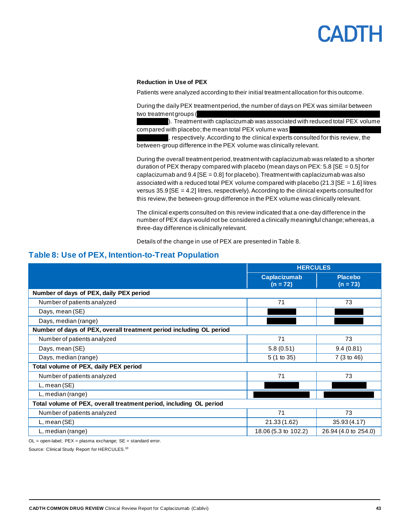#### **Reduction in Use of PEX**

Patients were analyzed according to their initial treatment allocation for this outcome.

During the daily PEX treatment period, the number of days on PEX was similar between two treatment groups (

 $\blacktriangleright$ . Treatment with caplacizumab was associated with reduced total PEX volume compared with placebo; the mean total PEX volume was

respectively. According to the clinical experts consulted for this review, the between-group difference in the PEX volume was clinically relevant.

During the overall treatment period, treatment with caplacizumab was related to a shorter duration of PEX therapy compared with placebo (mean days on PEX:  $5.8$  [SE = 0.5] for caplacizumab and  $9.4$  [SE = 0.8] for placebo). Treatment with caplacizumab was also associated with a reduced total PEX volume compared with placebo (21.3 [SE = 1.6] litres versus  $35.9$   $[SE = 4.2]$  litres, respectively). According to the clinical experts consulted for this review, the between-group difference in the PEX volume was clinically relevant.

The clinical experts consulted on this review indicated that a one-day difference in the number of PEX days would not be considered a clinically meaningful change; whereas, a three-day difference is clinically relevant.

Details of the change in use of PEX are presented i[n Table](#page-42-0) 8.

### <span id="page-42-0"></span>**Table 8: Use of PEX, Intention-to-Treat Population**

|                                                                     | <b>HERCULES</b>                   |                              |
|---------------------------------------------------------------------|-----------------------------------|------------------------------|
|                                                                     | <b>Caplacizumab</b><br>$(n = 72)$ | <b>Placebo</b><br>$(n = 73)$ |
| Number of days of PEX, daily PEX period                             |                                   |                              |
| Number of patients analyzed                                         | 71                                | 73                           |
| Days, mean (SE)                                                     |                                   |                              |
| Days, median (range)                                                |                                   |                              |
| Number of days of PEX, overall treatment period including OL period |                                   |                              |
| Number of patients analyzed                                         | 71                                | 73                           |
| Days, mean (SE)                                                     | 5.8(0.51)                         | 9.4(0.81)                    |
| Days, median (range)                                                | 5 (1 to 35)                       | 7 (3 to 46)                  |
| Total volume of PEX, daily PEX period                               |                                   |                              |
| Number of patients analyzed                                         | 71                                | 73                           |
| L, mean (SE)                                                        |                                   |                              |
| L, median (range)                                                   |                                   |                              |
| Total volume of PEX, overall treatment period, including OL period  |                                   |                              |
| Number of patients analyzed                                         | 71                                | 73                           |
| L, mean (SE)                                                        | 21.33 (1.62)                      | 35.93(4.17)                  |
| L, median (range)                                                   | 18.06 (5.3 to 102.2)              | 26.94 (4.0 to 254.0)         |

OL = open-label; PEX = plasma exchange; SE = standard error.

Source: Clinical Study Report for HERCULES.<sup>10</sup>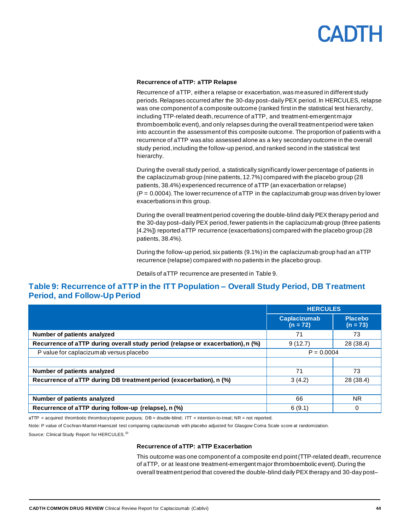#### **Recurrence of aTTP: aTTP Relapse**

Recurrence of aTTP, either a relapse or exacerbation, was measured in different study periods. Relapses occurred after the 30-day post–daily PEX period. In HERCULES, relapse was one component of a composite outcome (ranked first in the statistical test hierarchy, including TTP-related death, recurrence of aTTP, and treatment-emergent major thromboembolic event), and only relapses during the overall treatment period were taken into account in the assessment of this composite outcome. The proportion of patients with a recurrence of aTTP was also assessed alone as a key secondary outcome in the overall study period,including the follow-up period, and ranked second in the statistical test hierarchy.

During the overall study period, a statistically significantly lower percentage of patients in the caplacizumab group (nine patients, 12.7%) compared with the placebo group (28 patients, 38.4%) experienced recurrence of aTTP (an exacerbation or relapse)  $(P = 0.0004)$ . The lower recurrence of aTTP in the caplacizumab group was driven by lower exacerbations in this group.

During the overall treatment period covering the double-blind daily PEX therapy period and the 30-day post–daily PEX period, fewer patients in the caplacizumab group (three patients [4.2%]) reported aTTP recurrence (exacerbations) compared with the placebo group (28 patients, 38.4%).

During the follow-up period, six patients (9.1%) in the caplacizumab group had an aTTP recurrence (relapse) compared with no patients in the placebo group.

Details of aTTP recurrence are presented i[n Table](#page-43-0) 9.

### <span id="page-43-0"></span>**Table 9: Recurrence of aTTP in the ITT Population – Overall Study Period, DB Treatment Period, and Follow-Up Period**

|                                                                                 | <b>HERCULES</b>                   |                              |
|---------------------------------------------------------------------------------|-----------------------------------|------------------------------|
|                                                                                 | <b>Caplacizumab</b><br>$(n = 72)$ | <b>Placebo</b><br>$(n = 73)$ |
| Number of patients analyzed                                                     | 71                                | 73                           |
| Recurrence of aTTP during overall study period (relapse or exacerbation), n (%) | 9(12.7)                           | 28 (38.4)                    |
| P value for caplacizumab versus placebo                                         | $P = 0.0004$                      |                              |
|                                                                                 |                                   |                              |
| Number of patients analyzed                                                     | 71                                | 73                           |
| Recurrence of aTTP during DB treatment period (exacerbation), n (%)             | 3(4.2)                            | 28 (38.4)                    |
|                                                                                 |                                   |                              |
| Number of patients analyzed                                                     | 66                                | NR.                          |
| Recurrence of aTTP during follow-up (relapse), n (%)                            | 6(9.1)                            | 0                            |

aTTP = acquired thrombotic thrombocytopenic purpura; DB = double-blind; ITT = intention-to-treat; NR = not reported.

Note: P value of Cochran-Mantel-Haenszel test comparing caplacizumab with placebo adjusted for Glasgow Coma Scale score at randomization.

Source: Clinical Study Report for HERCULES.<sup>10</sup>

#### **Recurrence of aTTP: aTTP Exacerbation**

This outcome was one component of a composite end point(TTP-related death, recurrence of aTTP, or at least one treatment-emergent major thromboembolic event). During the overall treatment period that covered the double-blind daily PEX therapy and 30-day post–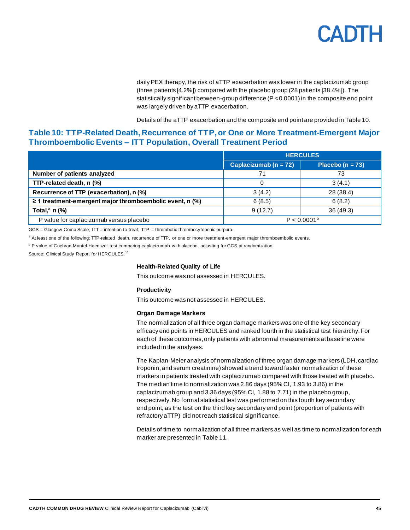daily PEX therapy, the risk of aTTP exacerbation was lower in the caplacizumab group (three patients [4.2%]) compared with the placebo group (28 patients [38.4%]). The statistically significant between-group difference (P < 0.0001) in the composite end point was largely driven by aTTP exacerbation.

Details of the aTTP exacerbation and the composite end point are provided i[n Table](#page-44-0) 10.

### <span id="page-44-0"></span>**Table 10: TTP-Related Death, Recurrence of TTP, or One or More Treatment-Emergent Major Thromboembolic Events – ITT Population, Overall Treatment Period**

|                                                               | <b>HERCULES</b>           |                     |
|---------------------------------------------------------------|---------------------------|---------------------|
|                                                               | Caplacizumab ( $n = 72$ ) | Placebo (n = $73$ ) |
| Number of patients analyzed                                   | 71                        | 73                  |
| TTP-related death, n (%)                                      |                           | 3(4.1)              |
| Recurrence of TTP (exacerbation), n (%)                       | 3(4.2)                    | 28 (38.4)           |
| $\geq$ 1 treatment-emergent major thromboembolic event, n (%) | 6(8.5)                    | 6(8.2)              |
| Total, $a$ n $(\%)$                                           | 9(12.7)                   | 36 (49.3)           |
| P value for caplacizumab versus placebo                       | P < 0.0001 <sup>b</sup>   |                     |

GCS = Glasgow Coma Scale; ITT = intention-to-treat; TTP = thrombotic thrombocytopenic purpura.

a At least one of the following: TTP-related death, recurrence of TTP, or one or more treatment-emergent major thromboembolic events.

<sup>b</sup> P value of Cochran-Mantel-Haenszel test comparing caplacizumab with placebo, adjusting for GCS at randomization.

Source: Clinical Study Report for HERCULES.<sup>10</sup>

#### **Health-Related Quality of Life**

This outcome was not assessed in HERCULES.

#### **Productivity**

This outcome was not assessed in HERCULES.

#### **Organ Damage Markers**

The normalization of all three organ damage markers was one of the key secondary efficacy end points in HERCULES and ranked fourth in the statistical test hierarchy. For each of these outcomes, only patients with abnormal measurements at baseline were included in the analyses.

The Kaplan-Meier analysis of normalization of three organ damage markers (LDH, cardiac troponin,and serum creatinine) showed a trend toward faster normalization of these markers in patients treated with caplacizumab compared with those treated with placebo. The median time to normalization was 2.86 days (95% CI, 1.93 to 3.86) in the caplacizumab group and 3.36 days (95% CI, 1.88 to 7.71) in the placebo group, respectively. No formal statistical test was performed on this fourth key secondary end point, as the test on the third key secondary end point (proportion of patients with refractory aTTP) did not reach statistical significance.

Details of time to normalization of all three markers as well as time to normalization for each marker are presented in [Table](#page-45-0) 11.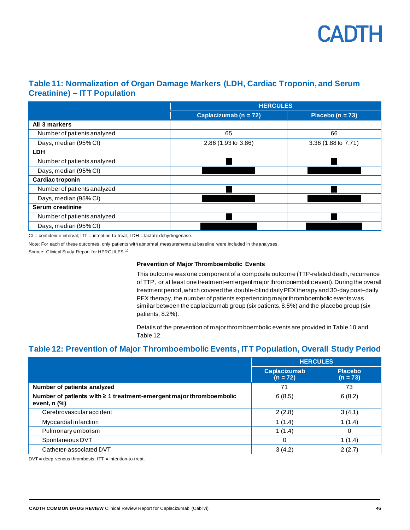

## <span id="page-45-0"></span>**Table 11: Normalization of Organ Damage Markers (LDH, Cardiac Troponin, and Serum Creatinine) – ITT Population**

|                             | <b>HERCULES</b>           |                      |
|-----------------------------|---------------------------|----------------------|
|                             | Caplacizumab ( $n = 72$ ) | Placebo ( $n = 73$ ) |
| All 3 markers               |                           |                      |
| Number of patients analyzed | 65                        | 66                   |
| Days, median (95% CI)       | 2.86 (1.93 to 3.86)       | 3.36 (1.88 to 7.71)  |
| <b>LDH</b>                  |                           |                      |
| Number of patients analyzed |                           |                      |
| Days, median (95% CI)       |                           |                      |
| Cardiac troponin            |                           |                      |
| Number of patients analyzed |                           |                      |
| Days, median (95% CI)       |                           |                      |
| <b>Serum creatinine</b>     |                           |                      |
| Number of patients analyzed |                           |                      |
| Days, median (95% CI)       |                           |                      |

 $CI = confidence$  interval;  $IT =$  intention-to-treat;  $LDH =$  lactate dehydrogenase.

Note: For each of these outcomes, only patients with abnormal measurements at baseline were included in the analyses.

Source: Clinical Study Report for HERCULES.<sup>10</sup>

#### **Prevention of Major Thromboembolic Events**

This outcome was one component of a composite outcome (TTP-related death, recurrence of TTP, or at least one treatment-emergent major thromboembolic event). During the overall treatment period, which covered the double-blind daily PEX therapy and 30-day post–daily PEX therapy, the number of patients experiencing major thromboembolic events was similar between the caplacizumab group (six patients, 8.5%) and the placebo group (six patients, 8.2%).

Details of the prevention of major thromboembolic events are provided i[n Table](#page-44-0) 10 and [Table](#page-45-1) 12.

### <span id="page-45-1"></span>**Table 12: Prevention of Major Thromboembolic Events, ITT Population, Overall Study Period**

|                                                                                       | <b>HERCULES</b>                   |                              |
|---------------------------------------------------------------------------------------|-----------------------------------|------------------------------|
|                                                                                       | <b>Caplacizumab</b><br>$(n = 72)$ | <b>Placebo</b><br>$(n = 73)$ |
| Number of patients analyzed                                                           | 71                                | 73                           |
| Number of patients with ≥ 1 treatment-emergent major thromboembolic<br>event, $n$ $%$ | 6(8.5)                            | 6(8.2)                       |
| Cerebrovascular accident                                                              | 2(2.8)                            | 3(4.1)                       |
| Myocardial infarction                                                                 | 1(1.4)                            | 1(1.4)                       |
| Pulmonary embolism                                                                    | 1(1.4)                            | $\Omega$                     |
| Spontaneous DVT                                                                       | 0                                 | 1(1.4)                       |
| Catheter-associated DVT                                                               | 3(4.2)                            | 2(2.7)                       |

 $DVT = deep$  venous thrombosis;  $IT = intention-to-treat$ .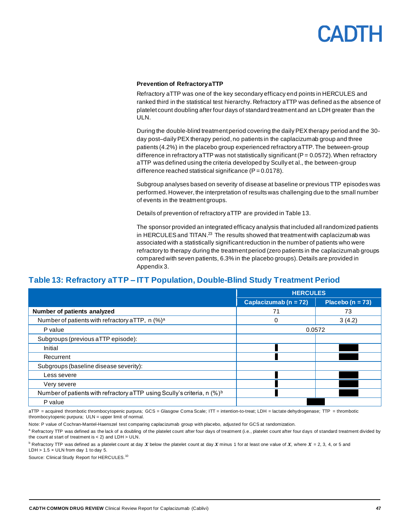#### **Prevention of Refractory aTTP**

Refractory aTTP was one of the key secondary efficacy end points in HERCULES and ranked third in the statistical test hierarchy. Refractory aTTP was defined as the absence of platelet count doubling after four days of standard treatment and an LDH greater than the ULN.

During the double-blind treatment period covering the daily PEX therapy period and the 30 day post–daily PEX therapy period, no patients in the caplacizumab group and three patients (4.2%) in the placebo group experienced refractory aTTP. The between-group difference in refractory aTTP was not statistically significant ( $P = 0.0572$ ). When refractory aTTP was defined using the criteria developed by Scully et al., the between-group difference reached statistical significance  $(P = 0.0178)$ .

Subgroup analyses based on severity of disease at baseline or previous TTP episodes was performed. However, the interpretation of results was challenging due to the small number of events in the treatment groups.

Details of prevention of refractory aTTP are provided i[n Table](#page-46-0) 13.

The sponsor provided an integrated efficacy analysis that included all randomized patients in HERCULES and TITAN.<sup>23</sup> The results showed that treatment with caplacizumab was associated with a statistically significant reduction in the number of patients who were refractory to therapy during the treatment period (zero patients in the caplacizumab groups compared with seven patients, 6.3% in the placebo groups). Details are provided in Appendix 3.

### <span id="page-46-0"></span>**Table 13: Refractory aTTP – ITT Population, Double-Blind Study Treatment Period**

|                                                                             | <b>HERCULES</b>           |                      |
|-----------------------------------------------------------------------------|---------------------------|----------------------|
|                                                                             | Caplacizumab ( $n = 72$ ) | Placebo ( $n = 73$ ) |
| Number of patients analyzed                                                 | 71                        | 73                   |
| Number of patients with refractory aTTP, n (%) <sup>a</sup>                 | 0                         | 3(4.2)               |
| P value                                                                     | 0.0572                    |                      |
| Subgroups (previous aTTP episode):                                          |                           |                      |
| Initial                                                                     |                           |                      |
| Recurrent                                                                   |                           |                      |
| Subgroups (baseline disease severity):                                      |                           |                      |
| Less severe                                                                 |                           |                      |
| Very severe                                                                 |                           |                      |
| Number of patients with refractory aTTP using Scully's criteria, n $(\%)^b$ |                           |                      |
| P value                                                                     |                           |                      |

aTTP = acquired thrombotic thrombocytopenic purpura; GCS = Glasgow Coma Scale; ITT = intention-to-treat; LDH = lactate dehydrogenase; TTP = thrombotic thrombocytopenic purpura; ULN = upper limit of normal.

Note: P value of Cochran-Mantel-Haenszel test comparing caplacizumab group with placebo, adjusted for GCS at randomization.

a Refractory TTP was defined as the lack of a doubling of the platelet count after four days of treatment (i.e., platelet count after four days of standard treatment divided by the count at start of treatment is  $<$  2) and LDH  $>$  ULN.

 $^{\text{b}}$  Refractory TTP was defined as a platelet count at day  $\mathcal X$  below the platelet count at day  $\mathcal X$  minus 1 for at least one value of  $\mathcal X$ , where  $\mathcal X$  = 2, 3, 4, or 5 and LDH  $> 1.5 \times$  ULN from day 1 to day 5.

Source: Clinical Study Report for HERCULES.<sup>10</sup>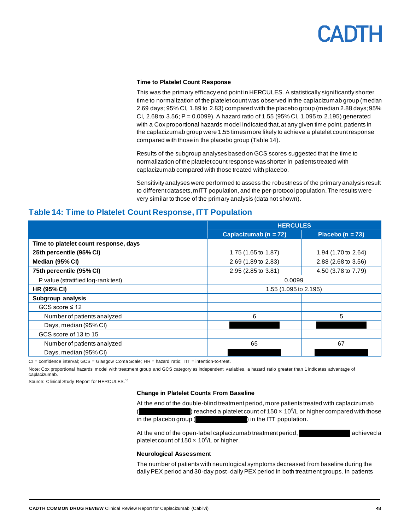#### **Time to Platelet Count Response**

This was the primary efficacy end point in HERCULES. A statistically significantly shorter time to normalization of the platelet count was observed in the caplacizumab group (median 2.69 days; 95% CI, 1.89 to 2.83) compared with the placebo group (median 2.88 days; 95% CI, 2.68 to 3.56; P = 0.0099). A hazard ratio of 1.55 (95% CI, 1.095 to 2.195) generated with a Cox proportional hazards model indicated that, at any given time point, patients in the caplacizumab group were 1.55 times more likely to achieve a platelet count response compared with those in the placebo group [\(Table](#page-47-0) 14).

Results of the subgroup analyses based on GCS scores suggested that the time to normalization of the platelet count response was shorter in patients treated with caplacizumab compared with those treated with placebo.

Sensitivity analyses were performed to assess the robustness of the primary analysis result to different datasets, mITT population,and the per-protocol population. The results were very similar to those of the primary analysis (data not shown).

### <span id="page-47-0"></span>**Table 14: Time to Platelet Count Response, ITT Population**

|                                       | <b>HERCULES</b>           |                      |
|---------------------------------------|---------------------------|----------------------|
|                                       | Caplacizumab ( $n = 72$ ) | Placebo ( $n = 73$ ) |
| Time to platelet count response, days |                           |                      |
| 25th percentile (95% CI)              | 1.75 (1.65 to 1.87)       | 1.94 (1.70 to 2.64)  |
| Median (95% CI)                       | 2.69 (1.89 to 2.83)       | 2.88 (2.68 to 3.56)  |
| 75th percentile (95% CI)              | 2.95 (2.85 to 3.81)       | 4.50 (3.78 to 7.79)  |
| P value (stratified log-rank test)    | 0.0099                    |                      |
| <b>HR (95% CI)</b>                    | 1.55 (1.095 to 2.195)     |                      |
| Subgroup analysis                     |                           |                      |
| GCS score $\leq 12$                   |                           |                      |
| Number of patients analyzed           | 6                         | 5                    |
| Days, median (95% CI)                 |                           |                      |
| GCS score of 13 to 15                 |                           |                      |
| Number of patients analyzed           | 65                        | 67                   |
| Days, median (95% CI)                 |                           |                      |

CI = confidence interval; GCS = Glasgow Coma Scale; HR = hazard ratio; ITT = intention-to-treat.

Note: Cox proportional hazards model with treatment group and GCS category as independent variables, a hazard ratio greater than 1 indicates advantage of caplacizumab.

Source: Clinical Study Report for HERCULES.<sup>10</sup>

#### **Change in Platelet Counts From Baseline**

At the end of the double-blind treatment period, more patients treated with caplacizumab (**verviol**) reached a platelet count of  $150 \times 10^9$ L or higher compared with those in the placebo group ( $v = v$ ) in the ITT population.

At the end of the open-label caplacizumab treatment period, vacance varieved a platelet count of  $150 \times 10^9$ /L or higher.

### **Neurological Assessment**

The number of patients with neurological symptoms decreased from baseline during the daily PEX period and 30-day post–daily PEX period in both treatment groups. In patients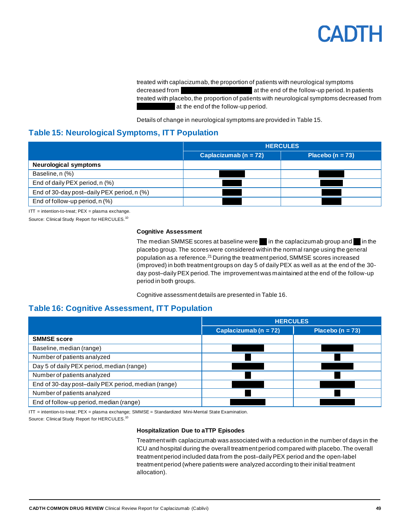treated with caplacizumab, the proportion of patients with neurological symptoms decreased from vvvvvoltal via voltation via the end of the follow-up period. In patients treated with placebo, the proportion of patients with neurological symptoms decreased from at the end of the follow-up period.

Details of change in neurological symptoms are provided i[n Table](#page-48-0) 15.

## <span id="page-48-0"></span>**Table 15: Neurological Symptoms, ITT Population**

|                                            | <b>HERCULES</b>           |                      |  |
|--------------------------------------------|---------------------------|----------------------|--|
|                                            | Caplacizumab ( $n = 72$ ) | Placebo ( $n = 73$ ) |  |
| <b>Neurological symptoms</b>               |                           |                      |  |
| Baseline, n (%)                            |                           |                      |  |
| End of daily PEX period, n (%)             |                           |                      |  |
| End of 30-day post-daily PEX period, n (%) |                           |                      |  |
| End of follow-up period, n (%)             |                           |                      |  |

 $IT =$  intention-to-treat;  $PEX =$  plasma exchange.

Source: Clinical Study Report for HERCULES.<sup>10</sup>

#### **Cognitive Assessment**

The median SMMSE scores at baseline were  $\Box$  in the caplacizumab group and  $\Box$  in the placebo group. The scores were considered within the normal range using the general population as a reference.<sup>21</sup> During the treatment period, SMMSE scores increased (improved) in both treatment groups on day 5 of daily PEX as well as at the end of the 30 day post–daily PEX period. The improvement was maintained at the end of the follow-up period in both groups.

Cognitive assessment details are presented i[n Table](#page-48-1) 16.

### <span id="page-48-1"></span>**Table 16: Cognitive Assessment, ITT Population**

|                                                     | <b>HERCULES</b>           |                      |
|-----------------------------------------------------|---------------------------|----------------------|
|                                                     | Caplacizumab ( $n = 72$ ) | Placebo ( $n = 73$ ) |
| <b>SMMSE score</b>                                  |                           |                      |
| Baseline, median (range)                            |                           |                      |
| Number of patients analyzed                         |                           |                      |
| Day 5 of daily PEX period, median (range)           |                           |                      |
| Number of patients analyzed                         |                           |                      |
| End of 30-day post-daily PEX period, median (range) |                           |                      |
| Number of patients analyzed                         |                           |                      |
| End of follow-up period, median (range)             |                           |                      |

ITT = intention-to-treat; PEX = plasma exchange; SMMSE = Standardized Mini-Mental State Examination. Source: Clinical Study Report for HERCULES.<sup>10</sup>

#### **Hospitalization Due to aTTP Episodes**

Treatment with caplacizumab was associated with a reduction in the number of days in the ICU and hospital during the overall treatment period compared with placebo. The overall treatment period included data from the post–daily PEX period and the open-label treatment period (where patients were analyzed according to their initial treatment allocation).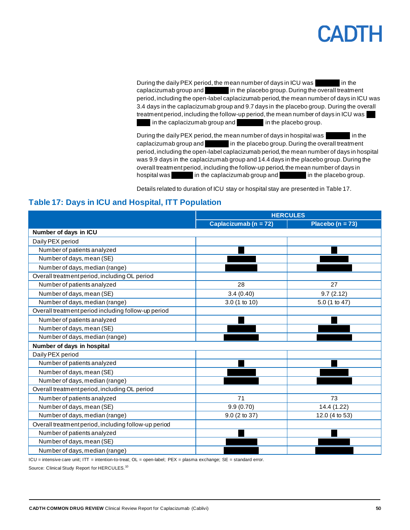During the daily PEX period, the mean number of days in ICU was in the caplacizumab group and vviolence in the placebo group. During the overall treatment period, including the open-label caplacizumab period, the mean number of days in ICU was 3.4 days in the caplacizumab group and 9.7 days in the placebo group. During the overall treatment period, including the follow-up period, the mean number of days in ICU was in the caplacizumab group and  $\Box$  in the placebo group.

During the daily PEX period, the mean number of days in hospital was in the caplacizumab group and value in the placebo group. During the overall treatment period, including the open-label caplacizumab period, the mean number of days in hospital was 9.9 days in the caplacizumab group and 14.4 days in the placebo group. During the overall treatment period, including the follow-up period, the mean number of days in hospital was variable in the caplacizumab group and variable in the placebo group.

Details related to duration of ICU stay or hospital stay are presented i[n Table](#page-49-0) 17.

# <span id="page-49-0"></span>**Table 17: Days in ICU and Hospital, ITT Population**

|                                                      | <b>HERCULES</b>       |                      |  |
|------------------------------------------------------|-----------------------|----------------------|--|
|                                                      | Caplacizumab (n = 72) | Placebo ( $n = 73$ ) |  |
| Number of days in ICU                                |                       |                      |  |
| Daily PEX period                                     |                       |                      |  |
| Number of patients analyzed                          |                       |                      |  |
| Number of days, mean (SE)                            |                       |                      |  |
| Number of days, median (range)                       |                       |                      |  |
| Overall treatment period, including OL period        |                       |                      |  |
| Number of patients analyzed                          | 28                    | 27                   |  |
| Number of days, mean (SE)                            | 3.4(0.40)             | 9.7(2.12)            |  |
| Number of days, median (range)                       | 3.0 (1 to 10)         | 5.0 (1 to 47)        |  |
| Overall treatment period including follow-up period  |                       |                      |  |
| Number of patients analyzed                          |                       |                      |  |
| Number of days, mean (SE)                            |                       |                      |  |
| Number of days, median (range)                       |                       |                      |  |
| Number of days in hospital                           |                       |                      |  |
| Daily PEX period                                     |                       |                      |  |
| Number of patients analyzed                          |                       |                      |  |
| Number of days, mean (SE)                            |                       |                      |  |
| Number of days, median (range)                       |                       |                      |  |
| Overall treatment period, including OL period        |                       |                      |  |
| Number of patients analyzed                          | 71                    | 73                   |  |
| Number of days, mean (SE)                            | 9.9(0.70)             | 14.4 (1.22)          |  |
| Number of days, median (range)                       | 9.0 (2 to 37)         | 12.0 (4 to 53)       |  |
| Overall treatment period, including follow-up period |                       |                      |  |
| Number of patients analyzed                          |                       |                      |  |
| Number of days, mean (SE)                            |                       |                      |  |
| Number of days, median (range)                       |                       |                      |  |

ICU = intensive care unit; ITT = intention-to-treat; OL = open-label; PEX = plasma exchange; SE = standard error.

Source: Clinical Study Report for HERCULES.<sup>10</sup>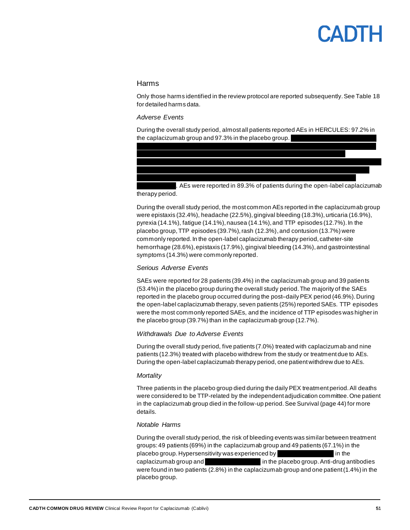#### Harms

Only those harms identified in the review protocol are reported subsequently. Se[e Table](#page-51-0) 18 for detailed harms data.

#### *Adverse Events*

During the overall study period, almost all patients reported AEs in HERCULES: 97.2% in the caplacizumab group and  $97.3\%$  in the placebo group. vvvv vvvvvvvvv vv vvvvvvvv vvvvvvv vv vvv vvvvvvvvvvvv vvvvv vvv vv vvvvvvvv vvvvv vv

vvv vvvvvvv vvvvvv vvvvvvvv vvv vvvv vvvvvvvv vvvv vvvvvv vvvvvvvvv vv vvv

. AEs were reported in 89.3% of patients during the open-label caplacizumab therapy period.

vvvvvvvvvvvv vvvvv vvvvvvvv vvvv vvvvvvv vvv vvvvvvvv vvvvvvv vvv vv vvvvvvvv vvvvvvvv vvvvvvvv vvvvvvvvvvvvvv vvvvv vvvvvv vvv vvvv vvvvvvvv vvvv vvvvv vvvvvvvvv vv vvv vvvvvvvvvvvv vvvvv vvvvvvvv vvvv vvvvvvv vvv vvvvvvvv vvvvvvv vvv vv vvvvvvvv

During the overall study period, the most common AEs reported in the caplacizumab group were epistaxis (32.4%), headache (22.5%), gingival bleeding (18.3%), urticaria (16.9%), pyrexia  $(14.1\%)$ , fatigue  $(14.1\%)$ , nausea  $(14.1\%)$ , and TTP episodes  $(12.7\%)$ . In the placebo group, TTP episodes (39.7%), rash (12.3%), and contusion (13.7%) were commonly reported. In the open-label caplacizumab therapy period, catheter-site hemorrhage (28.6%), epistaxis (17.9%), gingival bleeding (14.3%), and gastrointestinal symptoms (14.3%) were commonly reported.

#### *Serious Adverse Events*

SAEs were reported for 28 patients (39.4%) in the caplacizumab group and 39 patients (53.4%) in the placebo group during the overall study period. The majority of the SAEs reported in the placebo group occurred during the post–daily PEX period (46.9%). During the open-label caplacizumab therapy, seven patients (25%) reported SAEs. TTP episodes were the most commonly reported SAEs, and the incidence of TTP episodes was higher in the placebo group (39.7%) than in the caplacizumab group (12.7%).

#### *Withdrawals Due to Adverse Events*

During the overall study period, five patients (7.0%) treated with caplacizumab and nine patients (12.3%) treated with placebo withdrew from the study or treatment due to AEs. During the open-label caplacizumab therapy period, one patient withdrew due to AEs.

#### *Mortality*

Three patients in the placebo group died during the daily PEX treatment period. All deaths were considered to be TTP-related by the independent adjudication committee. One patient in the caplacizumab group died in the follow-up period. See Survival (page 44) for more details.

#### *Notable Harms*

During the overall study period, the risk of bleeding events was similar between treatment groups:49 patients (69%) in the caplacizumab group and 49 patients (67.1%) in the placebo group. Hypersensitivity was experienced by variance with the values of the caplacizumab group and vvvvvivive via the placebo group. Anti-drug antibodies were found in two patients (2.8%) in the caplacizumab group and one patient (1.4%) in the placebo group.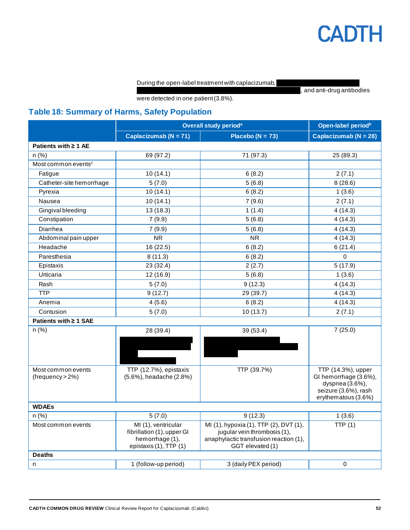#### During the open-label treatment with caplacizumab,

vand anti-drug antibodies

were detected in one patient (3.8%).

# <span id="page-51-0"></span>**Table 18: Summary of Harms, Safety Population**

|                                        | Overall study period <sup>a</sup>                                                              |                                                                                                                                      | Open-label period <sup>b</sup>                                                                                |
|----------------------------------------|------------------------------------------------------------------------------------------------|--------------------------------------------------------------------------------------------------------------------------------------|---------------------------------------------------------------------------------------------------------------|
|                                        | Caplacizumab ( $N = 71$ )                                                                      | Placebo ( $N = 73$ )                                                                                                                 | Caplacizumab ( $N = 28$ )                                                                                     |
| Patients with $\geq 1$ AE              |                                                                                                |                                                                                                                                      |                                                                                                               |
| n(%)                                   | 69 (97.2)                                                                                      | 71 (97.3)                                                                                                                            | 25 (89.3)                                                                                                     |
| Most common events <sup>c</sup>        |                                                                                                |                                                                                                                                      |                                                                                                               |
| Fatigue                                | 10(14.1)                                                                                       | 6(8.2)                                                                                                                               | 2(7.1)                                                                                                        |
| Catheter-site hemorrhage               | 5(7.0)                                                                                         | 5(6.8)                                                                                                                               | 8(28.6)                                                                                                       |
| Pyrexia                                | 10(14.1)                                                                                       | 6(8.2)                                                                                                                               | 1(3.6)                                                                                                        |
| Nausea                                 | 10(14.1)                                                                                       | 7(9.6)                                                                                                                               | 2(7.1)                                                                                                        |
| Gingival bleeding                      | 13 (18.3)                                                                                      | 1(1.4)                                                                                                                               | 4(14.3)                                                                                                       |
| Constipation                           | 7(9.9)                                                                                         | 5(6.8)                                                                                                                               | 4(14.3)                                                                                                       |
| Diarrhea                               | 7(9.9)                                                                                         | 5(6.8)                                                                                                                               | 4(14.3)                                                                                                       |
| Abdominal pain upper                   | <b>NR</b>                                                                                      | <b>NR</b>                                                                                                                            | 4(14.3)                                                                                                       |
| Headache                               | 16 (22.5)                                                                                      | 6(8.2)                                                                                                                               | 6(21.4)                                                                                                       |
| Paresthesia                            | 8(11.3)                                                                                        | 6(8.2)                                                                                                                               | $\Omega$                                                                                                      |
| Epistaxis                              | 23 (32.4)                                                                                      | 2(2.7)                                                                                                                               | 5(17.9)                                                                                                       |
| Urticaria                              | 12 (16.9)                                                                                      | 5(6.8)                                                                                                                               | 1(3.6)                                                                                                        |
| Rash                                   | 5(7.0)                                                                                         | 9(12.3)                                                                                                                              | 4(14.3)                                                                                                       |
| <b>TTP</b>                             | 9(12.7)                                                                                        | 29 (39.7)                                                                                                                            | 4(14.3)                                                                                                       |
| Anemia                                 | 4(5.6)                                                                                         | 6(8.2)                                                                                                                               | 4(14.3)                                                                                                       |
| Contusion                              | 5(7.0)                                                                                         | 10(13.7)                                                                                                                             | 2(7.1)                                                                                                        |
| Patients with ≥ 1 SAE                  |                                                                                                |                                                                                                                                      |                                                                                                               |
| n(%)                                   | 28 (39.4)                                                                                      | 39 (53.4)                                                                                                                            | 7(25.0)                                                                                                       |
| Most common events<br>(frequency > 2%) | TTP (12.7%), epistaxis<br>(5.6%), headache (2.8%)                                              | TTP (39.7%)                                                                                                                          | TTP (14.3%), upper<br>GI hemorrhage (3.6%),<br>dyspnea (3.6%),<br>seizure (3.6%), rash<br>erythematous (3.6%) |
| <b>WDAEs</b>                           |                                                                                                |                                                                                                                                      |                                                                                                               |
| n(%)                                   | 5(7.0)                                                                                         | 9(12.3)                                                                                                                              | 1(3.6)                                                                                                        |
| Most common events                     | MI (1), ventricular<br>fibrillation (1), upper GI<br>hemorrhage (1),<br>epistaxis (1), TTP (1) | MI (1), hypoxia (1), TTP (2), DVT (1),<br>jugular vein thrombosis (1),<br>anaphylactic transfusion reaction (1),<br>GGT elevated (1) | TTP(1)                                                                                                        |
| <b>Deaths</b>                          |                                                                                                |                                                                                                                                      |                                                                                                               |
| n                                      | 1 (follow-up period)                                                                           | 3 (daily PEX period)                                                                                                                 | $\Omega$                                                                                                      |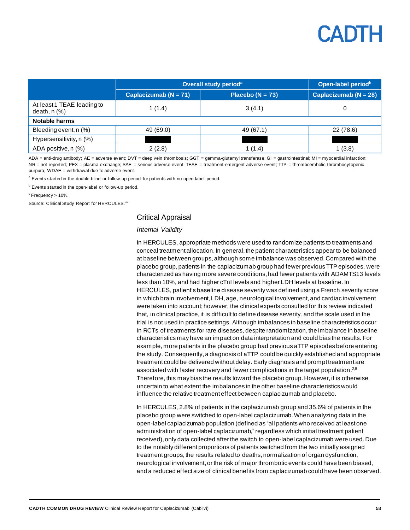

|                                                | Overall study period <sup>a</sup> |                      | Open-label period <sup>b</sup> |
|------------------------------------------------|-----------------------------------|----------------------|--------------------------------|
|                                                | Caplacizumab ( $N = 71$ )         | Placebo ( $N = 73$ ) | Caplacizumab ( $N = 28$ )      |
| At least 1 TEAE leading to<br>death, $n$ $%$ ) | 1(1.4)                            | 3(4.1)               |                                |
| Notable harms                                  |                                   |                      |                                |
| Bleeding event, n (%)                          | 49 (69.0)                         | 49 (67.1)            | 22 (78.6)                      |
| Hypersensitivity, n (%)                        |                                   |                      |                                |
| ADA positive, n (%)                            | 2(2.8)                            | 1 (1.4)              | 1(3.8)                         |

ADA = anti-drug antibody; AE = adverse event; DVT = deep vein thrombosis; GGT = gamma-glutamyl transferase; GI = gastrointestinal; MI = myocardial infarction; NR = not reported; PEX = plasma exchange; SAE = serious adverse event; TEAE = treatment-emergent adverse event; TTP = thromboembolic thrombocytopenic purpura; WDAE = withdrawal due to adverse event.

<sup>a</sup> Events started in the double-blind or follow-up period for patients with no open-label period.

**b** Events started in the open-label or follow-up period.

 $c$ Frequency > 10%.

Source: Clinical Study Report for HERCULES.<sup>10</sup>

#### Critical Appraisal

#### *Internal Validity*

In HERCULES, appropriate methods were used to randomize patients to treatments and conceal treatment allocation. In general, the patient characteristics appear to be balanced at baseline between groups, although some imbalance was observed. Compared with the placebo group, patients in the caplacizumab group had fewer previous TTP episodes, were characterized as having more severe conditions, had fewer patients with ADAMTS13 levels less than 10%, and had higher cTnI levels and higher LDH levels at baseline. In HERCULES, patient's baseline disease severity was defined using a French severity score in which brain involvement, LDH, age, neurological involvement, and cardiac involvement were taken into account; however, the clinical experts consulted for this review indicated that, in clinical practice, it is difficult to define disease severity, and the scale used in the trial is not used in practice settings. Although imbalances in baseline characteristics occur in RCTs of treatments for rare diseases, despite randomization, the imbalance in baseline characteristics may have an impact on data interpretation and could bias the results. For example, more patients in the placebo group had previous aTTP episodes before entering the study. Consequently, a diagnosis of aTTP could be quickly established and appropriate treatment could be delivered without delay. Early diagnosis and prompt treatment are associated with faster recovery and fewer complications in the target population.<sup>2,8</sup> Therefore, this may bias the results toward the placebo group.However, it is otherwise uncertain to what extent the imbalances in the other baseline characteristics would influence the relative treatment effect between caplacizumab and placebo.

In HERCULES, 2.8% of patients in the caplacizumab group and 35.6% of patients in the placebo group were switched to open-label caplacizumab. When analyzing data in the open-label caplacizumab population (defined as "all patients who received at least one administration of open-label caplacizumab," regardless which initial treatment patient received),only data collected after the switch to open-label caplacizumab were used. Due to the notably different proportions of patients switched from the two initially assigned treatment groups, the results related to deaths, normalization of organ dysfunction, neurological involvement,or the risk of major thrombotic events could have been biased, and a reduced effect size of clinical benefits from caplacizumab could have been observed.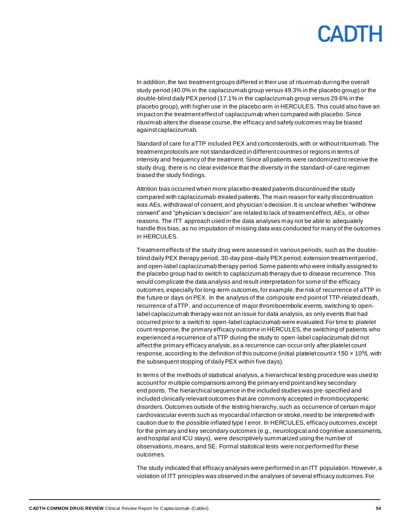In addition, the two treatment groups differed in their use of rituximab during the overall study period (40.0% in the caplacizumab group versus 49.3% in the placebo group) or the double-blind daily PEX period (17.1% in the caplacizumab group versus 29.6% in the placebo group),with higher use in the placebo arm in HERCULES. This could also have an impact on the treatment effect of caplacizumab when compared with placebo. Since rituximab alters the disease course, the efficacy and safety outcomes may be biased against caplacizumab.

Standard of care for aTTP included PEX and corticosteroids, with or without rituximab. The treatment protocols are not standardized in different countries or regions in terms of intensity and frequency of the treatment. Since all patients were randomized to receive the study drug, there is no clear evidence that the diversity in the standard-of-care regimen biased the study findings.

Attrition bias occurred when more placebo-treated patients discontinued the study compared with caplacizumab-treated patients. The main reason for early discontinuation was AEs, withdrawal of consent, and physician's decision. It is unclear whether "withdrew consent" and "physician's decision" are related to lack of treatment effect, AEs, or other reasons. The ITT approach used in the data analyses may not be able to adequately handle this bias, as no imputation of missing data was conducted for many of the outcomes in HERCULES.

Treatment effects of the study drug were assessed in various periods, such as the doubleblind daily PEX therapy period, 30-day post–daily PEX period, extension treatment period, and open-label caplacizumab therapy period. Some patients who were initially assigned to the placebo group had to switch to caplacizumab therapy due to disease recurrence. This would complicate the data analysis and result interpretation for some of the efficacy outcomes, especially for long-term outcomes, for example, the risk of recurrence of aTTP in the future or days on PEX. In the analysis of the composite end point of TTP-related death, recurrence of aTTP, and occurrence of major thromboembolic events, switching to openlabel caplacizumab therapy was not an issue for data analysis, as only events that had occurred prior to a switch to open-label caplacizumab were evaluated. For time to platelet count response, the primary efficacy outcome in HERCULES, the switching of patients who experienced a recurrence of aTTP during the study to open-label caplacizumab did not affect the primary efficacy analysis, as a recurrence can occur only after platelet count response, according to the definition of this outcome (initial platelet count ≥ 150  $\times$  10<sup>9</sup>/L with the subsequent stopping of daily PEX within five days).

In terms of the methods of statistical analysis, a hierarchical testing procedure was used to account for multiple comparisons among the primary end point and key secondary end points. The hierarchical sequence in the included studies was pre-specified and included clinically relevant outcomes that are commonly accepted in thrombocytopenic disorders. Outcomes outside of the testing hierarchy, such as occurrence of certain major cardiovascular events such as myocardial infarction or stroke, need to be interpreted with caution due to the possible inflated type I error. In HERCULES, efficacy outcomes, except for the primary and key secondary outcomes (e.g., neurological and cognitive assessments, and hospital and ICU stays), were descriptively summarized using the number of observations, means,and SE. Formal statistical tests were not performed for these outcomes.

The study indicated that efficacy analyses were performed in an ITT population. However, a violation of ITT principles was observed in the analyses of several efficacy outcomes. For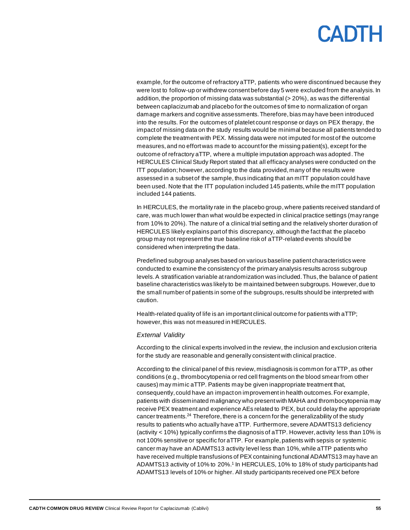example, for the outcome of refractory aTTP, patients who were discontinued because they were lost to follow-up or withdrew consent before day 5 were excluded from the analysis. In addition, the proportion of missing data was substantial  $(> 20\%)$ , as was the differential between caplacizumab and placebo for the outcomes of time to normalization of organ damage markers and cognitive assessments.Therefore, bias may have been introduced into the results. For the outcomes of platelet count response or days on PEX therapy, the impact of missing data on the study results would be minimal because all patients tended to complete the treatment with PEX. Missing data were not imputed for most of the outcome measures, and no effort was made to account for the missing patient(s), except for the outcome of refractory aTTP, where a multiple imputation approach was adopted.The HERCULES Clinical Study Report stated that all efficacy analyses were conducted on the ITT population; however,according to the data provided, many of the results were assessed in a subset of the sample, thus indicating that an mITT population could have been used. Note that the ITT population included 145 patients, while the mITT population included 144 patients.

In HERCULES, the mortality rate in the placebo group,where patients received standard of care, was much lower than what would be expected in clinical practice settings (may range from 10% to 20%). The nature of a clinical trial setting and the relatively shorter duration of HERCULES likely explains part of this discrepancy, although the fact that the placebo group may not represent the true baseline risk of aTTP-related events should be considered when interpreting the data.

Predefined subgroup analyses based on various baseline patient characteristics were conducted to examine the consistency of the primary analysis results across subgroup levels. A stratification variable at randomization was included. Thus, the balance of patient baseline characteristics was likely to be maintained between subgroups. However, due to the small number of patients in some of the subgroups, results should be interpreted with caution.

Health-related quality of life is an important clinical outcome for patients with aTTP; however, this was not measured in HERCULES.

#### *External Validity*

According to the clinical experts involved in the review, the inclusion and exclusion criteria for the study are reasonable and generally consistent with clinical practice.

According to the clinical panel of this review, misdiagnosis is common for aTTP, as other conditions (e.g., thrombocytopenia or red cell fragments on the blood smear from other causes) may mimic aTTP. Patients may be given inappropriate treatment that, consequently, could have an impact on improvement in health outcomes. For example, patients with disseminated malignancy who present with MAHA and thrombocytopenia may receive PEX treatment and experience AEs related to PEX, but could delay the appropriate cancer treatments.<sup>24</sup> Therefore, there is a concern for the generalizability of the study results to patients who actually have aTTP. Furthermore, severe ADAMTS13 deficiency (activity  $<$  10%) typically confirms the diagnosis of aTTP. However, activity less than 10% is not 100% sensitive or specific for aTTP. For example, patients with sepsis or systemic cancer may have an ADAMTS13 activity level less than 10%, while aTTP patients who have received multiple transfusions of PEX containing functional ADAMTS13 may have an ADAMTS13 activity of 10% to 20%.<sup>1</sup> In HERCULES, 10% to 18% of study participants had ADAMTS13 levels of 10% or higher. All study participants received one PEX before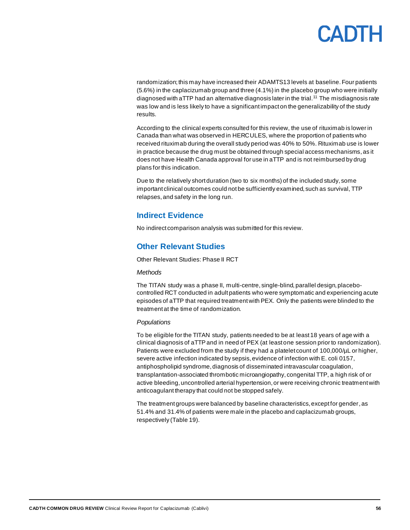# CANTH

randomization;this may have increased their ADAMTS13 levels at baseline. Four patients (5.6%) in the caplacizumab group and three (4.1%) in the placebo group who were initially diagnosed with aTTP had an alternative diagnosis later in the trial.<sup>11</sup> The misdiagnosis rate was low and is less likely to have a significant impact on the generalizability of the study results.

According to the clinical experts consulted for this review, the use of rituximab is lower in Canada than what was observed in HERCULES, where the proportion of patients who received rituximab during the overall study period was 40% to 50%. Rituximab use is lower in practice because the drug must be obtained through special access mechanisms, as it does not have Health Canada approval for use in aTTP and is not reimbursed by drug plans for this indication.

Due to the relatively short duration (two to six months) of the included study, some important clinical outcomes could not be sufficiently examined, such as survival, TTP relapses,and safety in the long run.

### **Indirect Evidence**

No indirect comparison analysis was submitted for this review.

### **Other Relevant Studies**

Other Relevant Studies: Phase II RCT

#### *Methods*

The TITAN study was a phase II, multi-centre, single-blind, parallel design, placebocontrolled RCT conducted in adult patients who were symptomatic and experiencing acute episodes of aTTP that required treatment with PEX. Only the patients were blinded to the treatment at the time of randomization.

#### *Populations*

To be eligible for the TITAN study, patients needed to be at least 18 years of age with a clinical diagnosis of aTTP and in need of PEX (at least one session prior to randomization). Patients were excluded from the study if they had a platelet count of 100,000/µL or higher, severe active infection indicated by sepsis, evidence of infection with E. coli 0157, antiphospholipid syndrome, diagnosis of disseminated intravascular coagulation, transplantation-associated thrombotic microangiopathy, congenital TTP, a high risk of or active bleeding, uncontrolled arterial hypertension,or were receiving chronic treatment with anticoagulant therapy that could not be stopped safely.

The treatment groups were balanced by baseline characteristics, except for gender,as 51.4% and 31.4% of patients were male in the placebo and caplacizumab groups, respectively [\(Table](#page-56-0) 19).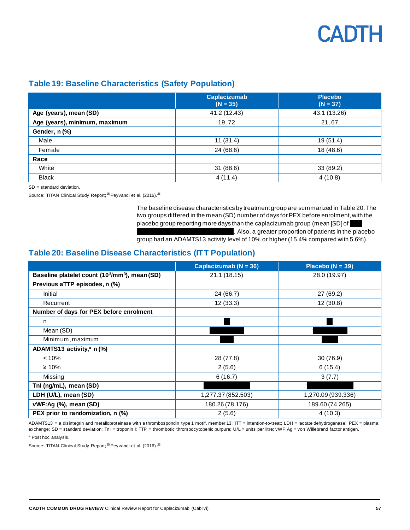### <span id="page-56-0"></span>**Table 19: Baseline Characteristics (Safety Population)**

|                               | <b>Caplacizumab</b><br>$(N = 35)$ | <b>Placebo</b><br>$(N = 37)$ |
|-------------------------------|-----------------------------------|------------------------------|
| Age (years), mean (SD)        | 41.2 (12.43)                      | 43.1 (13.26)                 |
| Age (years), minimum, maximum | 19,72                             | 21,67                        |
| Gender, n (%)                 |                                   |                              |
| Male                          | 11(31.4)                          | 19 (51.4)                    |
| Female                        | 24 (68.6)                         | 18 (48.6)                    |
| Race                          |                                   |                              |
| White                         | 31(88.6)                          | 33 (89.2)                    |
| <b>Black</b>                  | 4(11.4)                           | 4(10.8)                      |

SD = standard deviation.

Source: TITAN Clinical Study Report;<sup>25</sup> Peyvandi et al. (2016).<sup>26</sup>

The baseline disease characteristics by treatment group are summarized in [Table](#page-56-1) 20. The two groups differed in the mean (SD) number of days for PEX before enrolment, with the placebo group reporting more days than the caplacizumab group (mean  $[SD]$ of . Also, a greater proportion of patients in the placebo group had an ADAMTS13 activity level of 10% or higher (15.4% compared with 5.6%).

## <span id="page-56-1"></span>**Table 20: Baseline Disease Characteristics (ITT Population)**

|                                                                        | Caplacizumab ( $N = 36$ ) | Placebo ( $N = 39$ ) |
|------------------------------------------------------------------------|---------------------------|----------------------|
| Baseline platelet count (10 <sup>3</sup> /mm <sup>3</sup> ), mean (SD) | 21.1 (18.15)              | 28.0 (19.97)         |
| Previous aTTP episodes, n (%)                                          |                           |                      |
| Initial                                                                | 24 (66.7)                 | 27 (69.2)            |
| Recurrent                                                              | 12(33.3)                  | 12(30.8)             |
| Number of days for PEX before enrolment                                |                           |                      |
| n                                                                      |                           |                      |
| Mean (SD)                                                              |                           |                      |
| Minimum, maximum                                                       |                           |                      |
| ADAMTS13 activity, $a$ n (%)                                           |                           |                      |
| < 10%                                                                  | 28 (77.8)                 | 30 (76.9)            |
| $\geq 10\%$                                                            | 2(5.6)                    | 6(15.4)              |
| Missing                                                                | 6(16.7)                   | 3(7.7)               |
| Tnl (ng/mL), mean (SD)                                                 |                           |                      |
| LDH (U/L), mean (SD)                                                   | 1,277.37 (852.503)        | 1,270.09 (939.336)   |
| vWF:Ag (%), mean (SD)                                                  | 180.26 (78.176)           | 189.60 (74.265)      |
| PEX prior to randomization, n (%)                                      | 2(5.6)                    | 4(10.3)              |

ADAMTS13 = a disintegrin and metalloproteinase with a thrombospondin type 1 motif, member 13; ITT = intention-to-treat; LDH = lactate dehydrogenase; PEX = plasma exchange; SD = standard deviation; TnI = troponin I; TTP = thrombotic thrombocytopenic purpura; U/L = units per litre; vWF:Ag = von Willebrand factor antigen. <sup>a</sup> Post hoc analysis.

Source: TITAN Clinical Study Report;<sup>25</sup> Peyvandi et al. (2016).<sup>26</sup>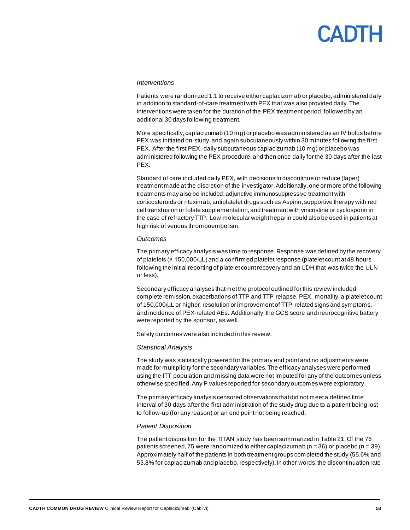# CANTH

#### *Interventions*

Patients were randomized 1:1 to receive either caplacizumab or placebo, administered daily in addition to standard-of-care treatment with PEX that was also provided daily. The interventions were taken for the duration of the PEX treatment period, followed by an additional 30 days following treatment.

More specifically, caplacizumab (10 mg) or placebo was administered as an IV bolus before PEX was initiated on-study, and again subcutaneously within 30 minutes following the first PEX. After the first PEX, daily subcutaneous caplacizumab (10 mg) or placebo was administered following the PEX procedure, and then once daily for the 30 days after the last PEX.

Standard of care included daily PEX, with decisions to discontinue or reduce (taper) treatment made at the discretion of the investigator. Additionally, one or more of the following treatments may also be included: adjunctive immunosuppressive treatment with corticosteroids or rituximab, antiplatelet drugs such as Aspirin, supportive therapy with red cell transfusion or folate supplementation, and treatment with vincristine or cyclosporin in the case of refractory TTP. Low molecular weight heparin could also be used in patients at high risk of venous thromboembolism.

#### *Outcomes*

The primary efficacy analysis was time to response. Response was defined by the recovery of platelets ( $\geq 150,000/\mu L$ ) and a confirmed platelet response (platelet count at 48 hours following the initial reporting of platelet count recovery and an LDH that was twice the ULN or less).

Secondary efficacy analyses that met the protocol outlined for this review included complete remission, exacerbations of TTP and TTP relapse, PEX, mortality, a platelet count of 150,000/µL or higher, resolution or improvement of TTP-related signs and symptoms, and incidence of PEX-related AEs. Additionally, the GCS score and neurocognitive battery were reported by the sponsor, as well.

Safety outcomes were also included in this review.

#### *Statistical Analysis*

The study was statistically powered for the primary end point and no adjustments were made for multiplicity for the secondary variables. The efficacy analyses were performed using the ITT population and missing data were not imputed for any of the outcomes unless otherwise specified. Any P values reported for secondary outcomes were exploratory.

The primary efficacy analysis censored observations that did not meet a defined time interval of 30 days after the first administration of the study drug due to a patient being lost to follow-up (for any reason) or an end point not being reached.

#### *Patient Disposition*

The patient disposition for the TITAN study has been summarized i[n Table](#page-58-0) 21. Of the 76 patients screened, 75 were randomized to either caplacizumab ( $n = 36$ ) or placebo ( $n = 39$ ). Approximately half of the patients in both treatment groups completed the study (55.6% and 53.8% for caplacizumab and placebo, respectively). In other words, the discontinuation rate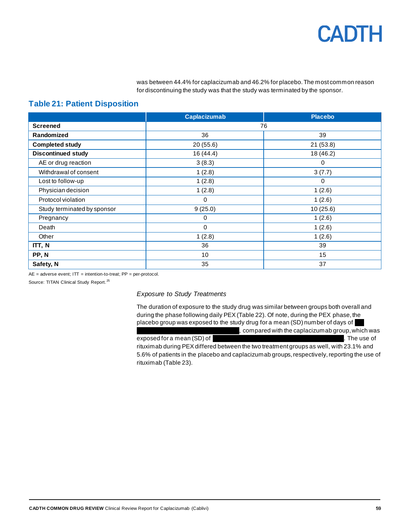was between 44.4% for caplacizumab and 46.2% for placebo. The most common reason for discontinuing the study was that the study was terminated by the sponsor.

### <span id="page-58-0"></span>**Table 21: Patient Disposition**

|                             | <b>Caplacizumab</b> | <b>Placebo</b> |
|-----------------------------|---------------------|----------------|
| <b>Screened</b>             | 76                  |                |
| Randomized                  | 36                  | 39             |
| <b>Completed study</b>      | 20(55.6)            | 21(53.8)       |
| <b>Discontinued study</b>   | 16(44.4)            | 18 (46.2)      |
| AE or drug reaction         | 3(8.3)              | 0              |
| Withdrawal of consent       | 1(2.8)              | 3(7.7)         |
| Lost to follow-up           | 1(2.8)              | $\Omega$       |
| Physician decision          | 1(2.8)              | 1(2.6)         |
| Protocol violation          | 0                   | 1(2.6)         |
| Study terminated by sponsor | 9(25.0)             | 10(25.6)       |
| Pregnancy                   | 0                   | 1(2.6)         |
| Death                       | 0                   | 1(2.6)         |
| Other                       | 1(2.8)              | 1(2.6)         |
| ITT, N                      | 36                  | 39             |
| PP, N                       | 10 <sup>1</sup>     | 15             |
| Safety, N                   | 35                  | 37             |

 $AE =$  adverse event;  $IT =$  intention-to-treat;  $PP =$  per-protocol.

Source: TITAN Clinical Study Report.<sup>25</sup>

*Exposure to Study Treatments*

The duration of exposure to the study drug was similar between groups both overall and during the phase following daily PEX [\(Table](#page-59-0) 22). Of note, during the PEX phase, the placebo group was exposed to the study drug for a mean (SD) number of days of , compared with the caplacizumab group, which was

exposed for a mean (SD) of vvv vvvvvv vvvv vvvv v vvvvv vv vvvvv vv vv vvvv. The use of rituximab during PEX differed between the two treatment groups as well, with 23.1% and 5.6% of patients in the placebo and caplacizumab groups, respectively, reporting the use of rituximab [\(Table](#page-59-1) 23).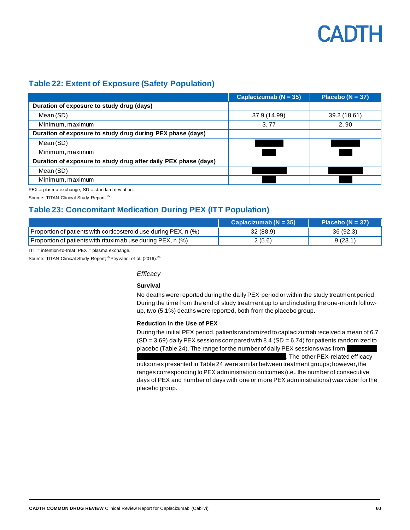

## <span id="page-59-0"></span>**Table 22: Extent of Exposure (Safety Population)**

|                                                                 | Caplacizumab ( $N = 35$ ) | Placebo ( $N = 37$ ) |
|-----------------------------------------------------------------|---------------------------|----------------------|
| Duration of exposure to study drug (days)                       |                           |                      |
| Mean (SD)                                                       | 37.9 (14.99)              | 39.2 (18.61)         |
| Minimum, maximum                                                | 3,77                      | 2,90                 |
| Duration of exposure to study drug during PEX phase (days)      |                           |                      |
| Mean (SD)                                                       |                           |                      |
| Minimum, maximum                                                |                           |                      |
| Duration of exposure to study drug after daily PEX phase (days) |                           |                      |
| Mean (SD)                                                       |                           |                      |
| Minimum, maximum                                                |                           |                      |

PEX = plasma exchange; SD = standard deviation.

Source: TITAN Clinical Study Report.<sup>25</sup>

# <span id="page-59-1"></span>**Table 23: Concomitant Medication During PEX (ITT Population)**

|                                                                  | Caplacizumab ( $N = 35$ ) | Placebo ( $N = 37$ ) |
|------------------------------------------------------------------|---------------------------|----------------------|
| Proportion of patients with corticosteroid use during PEX, n (%) | 32(88.9)                  | 36 (92.3)            |
| Proportion of patients with rituximab use during PEX, n (%)      | 2(5.6)                    | 9(23.1)              |

 $IT =$  intention-to-treat;  $PEX =$  plasma exchange.

Source: TITAN Clinical Study Report;<sup>25</sup> Peyvandi et al. (2016).<sup>26</sup>

#### *Efficacy*

#### **Survival**

No deaths were reported during the daily PEX period or within the study treatment period. During the time from the end of study treatment up to and including the one-month followup, two (5.1%) deaths were reported, both from the placebo group.

#### **Reduction in the Use of PEX**

During the initial PEX period, patients randomized to caplacizumab received a mean of 6.7  $(SD = 3.69)$  daily PEX sessions compared with 8.4  $(SD = 6.74)$  for patients randomized to placebo [\(Table](#page-60-0) 24). The range for the number of daily PEX sessions was from

. The other PEX-related efficacy

outcomes presented i[n Table](#page-60-0) 24 were similar between treatment groups; however, the ranges corresponding to PEX administration outcomes (i.e., the number of consecutive days of PEX and number of days with one or more PEX administrations) was wider for the placebo group.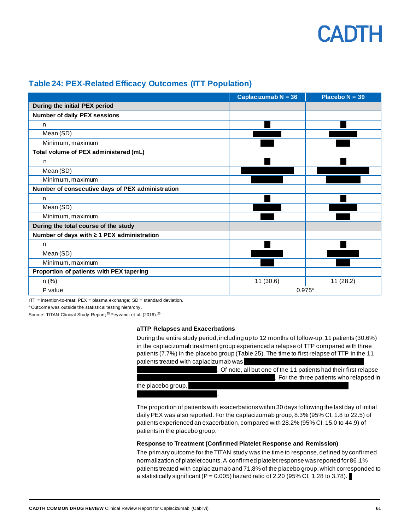### <span id="page-60-0"></span>**Table 24: PEX-Related Efficacy Outcomes (ITT Population)**

|                                                  | Caplacizumab $N = 36$ | Placebo $N = 39$ |
|--------------------------------------------------|-----------------------|------------------|
| During the initial PEX period                    |                       |                  |
| <b>Number of daily PEX sessions</b>              |                       |                  |
| n                                                |                       |                  |
| Mean (SD)                                        |                       |                  |
| Minimum, maximum                                 |                       |                  |
| Total volume of PEX administered (mL)            |                       |                  |
| n                                                |                       |                  |
| Mean (SD)                                        |                       |                  |
| Minimum, maximum                                 |                       |                  |
| Number of consecutive days of PEX administration |                       |                  |
| n                                                |                       |                  |
| Mean (SD)                                        |                       |                  |
| Minimum, maximum                                 |                       |                  |
| During the total course of the study             |                       |                  |
| Number of days with $\geq 1$ PEX administration  |                       |                  |
| n                                                |                       |                  |
| Mean (SD)                                        |                       |                  |
| Minimum, maximum                                 |                       |                  |
| Proportion of patients with PEX tapering         |                       |                  |
| $n$ (%)                                          | 11(30.6)              | 11(28.2)         |
| P value                                          | 0.975a                |                  |

 $IT =$  intention-to-treat;  $PEX =$  plasma exchange;  $SD =$  standard deviation.

<sup>a</sup> Outcome was outside the statistical testing hierarchy.

Source: TITAN Clinical Study Report;<sup>25</sup> Peyvandi et al. (2016).<sup>26</sup>

#### **aTTP Relapses and Exacerbations**

During the entire study period, including up to 12 months of follow-up, 11 patients (30.6%) in the caplacizumab treatment group experienced a relapse of TTP compared with three patients (7.7%) in the placebo group [\(Table](#page-61-0) 25). The time to first relapse of TTP in the 11 patients treated with caplacizumab was

|                    | . Of note, all but one of the 11 patients had their first relapse |  |
|--------------------|-------------------------------------------------------------------|--|
|                    | . For the three patients who relapsed in                          |  |
| the placebo group, |                                                                   |  |
|                    |                                                                   |  |

The proportion of patients with exacerbations within 30 days following the last day of initial daily PEX was also reported. For the caplacizumab group, 8.3% (95% CI, 1.8 to 22.5) of patients experienced an exacerbation, compared with 28.2% (95% CI, 15.0 to 44.9) of patients in the placebo group.

#### **Response to Treatment (Confirmed Platelet Response and Remission)**

The primary outcome for the TITAN study was the time to response, defined by confirmed normalization of platelet counts. A confirmed platelet response was reported for 86.1% patients treated with caplacizumab and 71.8% of the placebo group, which corresponded to a statistically significant (P =  $0.005$ ) hazard ratio of 2.20 (95% CI, 1.28 to 3.78).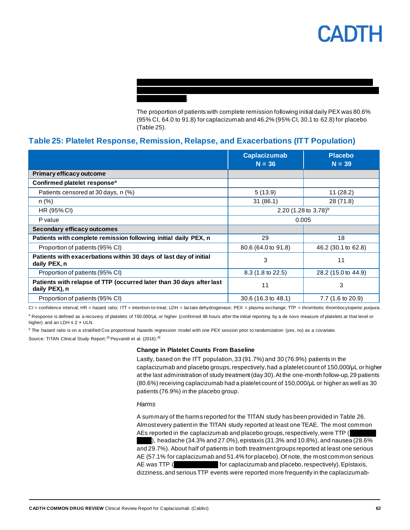The proportion of patients with complete remission following initial daily PEX was 80.6% (95% CI, 64.0 to 91.8) for caplacizumab and 46.2% (95% CI, 30.1 to 62.8) for placebo [\(Table](#page-61-0) 25).

vvvvvvvvvvv vvvvvvvv vvv vvvvvvvvv vvvvv vvv vvv vvvvvvvv vvv vv v vvvv vvvvv vvvvvv vvv vvvvv vvvvvvv vv vvvvvvvv vvvv vvv vvvvvvvvvvvv vvv vvvvvvv vvvvvv vvv v vvvvvvvvv

### <span id="page-61-0"></span>**Table 25: Platelet Response, Remission, Relapse, and Exacerbations (ITT Population)**

vvvvvvvv vvvvvvvv.

|                                                                                       | <b>Caplacizumab</b><br>$N = 36$  | <b>Placebo</b><br>$N = 39$ |
|---------------------------------------------------------------------------------------|----------------------------------|----------------------------|
| <b>Primary efficacy outcome</b>                                                       |                                  |                            |
| Confirmed platelet response <sup>a</sup>                                              |                                  |                            |
| Patients censored at 30 days, n (%)                                                   | 5(13.9)                          | 11(28.2)                   |
| $n (\%)$                                                                              | 31(86.1)                         | 28 (71.8)                  |
| HR (95% CI)                                                                           | 2.20 $(1.28 \text{ to } 3.78)^b$ |                            |
| P value                                                                               | 0.005                            |                            |
| Secondary efficacy outcomes                                                           |                                  |                            |
| Patients with complete remission following initial daily PEX, n                       | 29                               | 18                         |
| Proportion of patients (95% CI)                                                       | 80.6 (64.0 to 91.8)              | 46.2 (30.1 to 62.8)        |
| Patients with exacerbations within 30 days of last day of initial<br>daily PEX, n     | 3                                | 11                         |
| Proportion of patients (95% CI)                                                       | 8.3 (1.8 to 22.5)                | 28.2 (15.0 to 44.9)        |
| Patients with relapse of TTP (occurred later than 30 days after last<br>daily PEX), n | 11                               | 3                          |
| Proportion of patients (95% CI)                                                       | 30.6 (16.3 to 48.1)              | 7.7 (1.6 to 20.9)          |

CI = confidence interval; HR = hazard ratio; ITT = intention-to-treat; LDH = lactate dehydrogenase; PEX = plasma exchange; TTP = thrombotic thrombocytopenic purpura. a Response is defined as a recovery of platelets of 150,000/μL or higher (confirmed 48 hours after the initial reporting by a de novo measure of platelets at that level or higher) and an LDH  $\leq$  2  $\times$  ULN.

<sup>b</sup> The hazard ratio is on a stratified Cox proportional hazards regression model with one PEX session prior to randomization (yes, no) as a covariate.

Source: TITAN Clinical Study Report;<sup>25</sup> Peyvandi et al. (2016).<sup>26</sup>

#### **Change in Platelet Counts From Baseline**

Lastly, based on the ITT population, 33 (91.7%) and 30 (76.9%) patients in the caplacizumab and placebo groups, respectively, had a platelet count of 150,000/μL or higher at the last administration of study treatment (day 30). At the one-month follow-up, 29 patients (80.6%) receiving caplacizumab had a platelet count of 150,000/μL or higher as well as 30 patients (76.9%) in the placebo group.

#### *Harms*

A summary of the harms reported for the TITAN study has been provided i[n Table](#page-62-0) 26. Almost every patient in the TITAN study reported at least one TEAE. The most common AEs reported in the caplacizumab and placebo groups, respectively, were  $TTP$  ( ), headache (34.3% and 27.0%), epistaxis (31.3% and 10.8%), and nausea (28.6% and 29.7%). About half of patients in both treatment groups reported at least one serious AE (57.1% for caplacizumab and 51.4% for placebo). Of note, the most common serious AE was TTP (vview of caplacizumab and placebo, respectively). Epistaxis, dizziness, and serious TTP events were reported more frequently in the caplacizumab-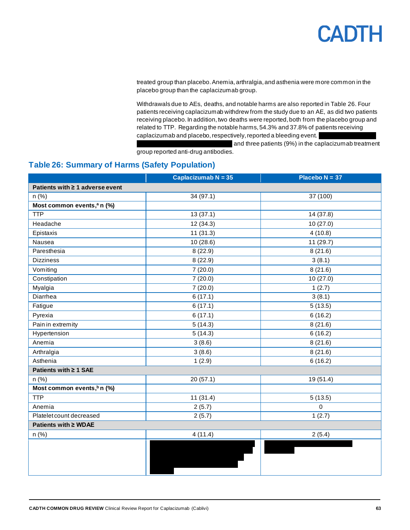

treated group than placebo. Anemia, arthralgia, and asthenia were more common in the placebo group than the caplacizumab group.

Withdrawals due to AEs, deaths, and notable harms are also reported in [Table](#page-62-0) 26. Four patients receiving caplacizumab withdrew from the study due to an AE, as did two patients receiving placebo. In addition, two deaths were reported, both from the placebo group and related to TTP. Regarding the notable harms, 54.3% and 37.8% of patients receiving caplacizumab and placebo, respectively, reported a bleeding event.

and three patients (9%) in the caplacizumab treatment group reported anti-drug antibodies.

## <span id="page-62-0"></span>**Table 26: Summary of Harms (Safety Population)**

|                                        | Caplacizumab $N = 35$ | Placebo $N = 37$ |
|----------------------------------------|-----------------------|------------------|
| Patients with ≥ 1 adverse event        |                       |                  |
| n (%)                                  | 34 (97.1)             | 37 (100)         |
| Most common events, <sup>a</sup> n (%) |                       |                  |
| <b>TTP</b>                             | 13(37.1)              | 14 (37.8)        |
| Headache                               | 12(34.3)              | 10 (27.0)        |
| Epistaxis                              | 11(31.3)              | 4(10.8)          |
| Nausea                                 | 10(28.6)              | 11(29.7)         |
| Paresthesia                            | 8(22.9)               | 8(21.6)          |
| <b>Dizziness</b>                       | 8(22.9)               | 3(8.1)           |
| Vomiting                               | 7(20.0)               | 8(21.6)          |
| Constipation                           | 7(20.0)               | 10(27.0)         |
| Myalgia                                | 7(20.0)               | 1(2.7)           |
| Diarrhea                               | 6(17.1)               | 3(8.1)           |
| Fatigue                                | 6(17.1)               | 5(13.5)          |
| Pyrexia                                | 6(17.1)               | 6(16.2)          |
| Pain in extremity                      | 5(14.3)               | 8(21.6)          |
| Hypertension                           | 5(14.3)               | 6(16.2)          |
| Anemia                                 | 3(8.6)                | 8(21.6)          |
| Arthralgia                             | 3(8.6)                | 8(21.6)          |
| Asthenia                               | 1(2.9)                | 6(16.2)          |
| Patients with ≥ 1 SAE                  |                       |                  |
| $n$ (%)                                | 20 (57.1)             | 19 (51.4)        |
| Most common events, <sup>b</sup> n (%) |                       |                  |
| <b>TTP</b>                             | 11(31.4)              | 5(13.5)          |
| Anemia                                 | 2(5.7)                | $\pmb{0}$        |
| Platelet count decreased               | 2(5.7)                | 1(2.7)           |
| Patients with ≥ WDAE                   |                       |                  |
| n (%)                                  | 4(11.4)               | 2(5.4)           |
|                                        |                       |                  |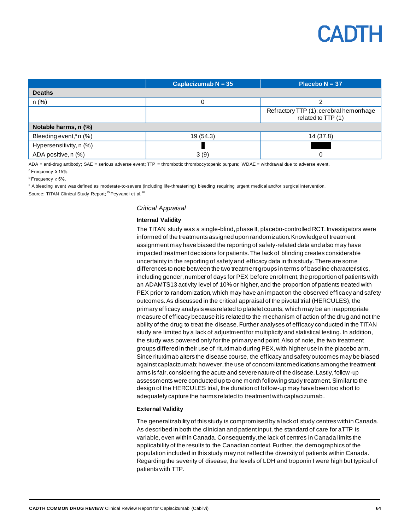

|                                       | Caplacizumab $N = 35$ | Placebo $N = 37$                                              |
|---------------------------------------|-----------------------|---------------------------------------------------------------|
| <b>Deaths</b>                         |                       |                                                               |
| $n$ (%)                               |                       |                                                               |
|                                       |                       | Refractory TTP (1); cerebral hemorrhage<br>related to TTP (1) |
| Notable harms, n (%)                  |                       |                                                               |
| Bleeding event, <sup>c</sup> n $(\%)$ | 19 (54.3)             | 14 (37.8)                                                     |
| Hypersensitivity, n (%)               |                       |                                                               |
| ADA positive, n (%)                   | 3(9)                  |                                                               |

ADA = anti-drug antibody; SAE = serious adverse event; TTP = thrombotic thrombocytopenic purpura; WDAE = withdrawal due to adverse event.  $a$ Frequency ≥ 15%.

 $b$ Frequency ≥ 5%.

<sup>c</sup> A bleeding event was defined as moderate-to-severe (including life-threatening) bleeding requiring urgent medical and/or surgical intervention.

Source: TITAN Clinical Study Report;<sup>25</sup> Peyvandi et al.<sup>26</sup>

#### *Critical Appraisal*

#### **Internal Validity**

The TITAN study was a single-blind, phase II, placebo-controlled RCT. Investigators were informed of the treatments assigned upon randomization. Knowledge of treatment assignment may have biased the reporting of safety-related data and also may have impacted treatment decisions for patients. The lack of blinding creates considerable uncertainty in the reporting of safety and efficacy data in this study. There are some differences to note between the two treatment groups in terms of baseline characteristics, including gender, number of days for PEX before enrolment, the proportion of patients with an ADAMTS13 activity level of 10% or higher, and the proportion of patients treated with PEX prior to randomization, which may have an impact on the observed efficacy and safety outcomes. As discussed in the critical appraisal of the pivotal trial (HERCULES), the primary efficacy analysis was related to platelet counts, which may be an inappropriate measure of efficacy because it is related to the mechanism of action of the drug and not the ability of the drug to treat the disease. Further analyses of efficacy conducted in the TITAN study are limited by a lack of adjustment for multiplicity and statistical testing. In addition, the study was powered only for the primary end point. Also of note, the two treatment groups differed in their use of rituximab during PEX, with higher use in the placebo arm. Since rituximab alters the disease course, the efficacy and safety outcomes may be biased against caplacizumab; however, the use of concomitant medications among the treatment arms is fair, considering the acute and severe nature of the disease. Lastly, follow-up assessments were conducted up to one month following study treatment. Similar to the design of the HERCULES trial, the duration of follow-up may have been too short to adequately capture the harms related to treatment with caplacizumab.

#### **External Validity**

The generalizability of this study is compromised by a lack of study centres within Canada. As described in both the clinician and patient input, the standard of care for aTTP is variable, even within Canada. Consequently, the lack of centres in Canada limits the applicability of the results to the Canadian context. Further, the demographics of the population included in this study may not reflect the diversity of patients within Canada. Regarding the severity of disease, the levels of LDH and troponin I were high but typical of patients with TTP.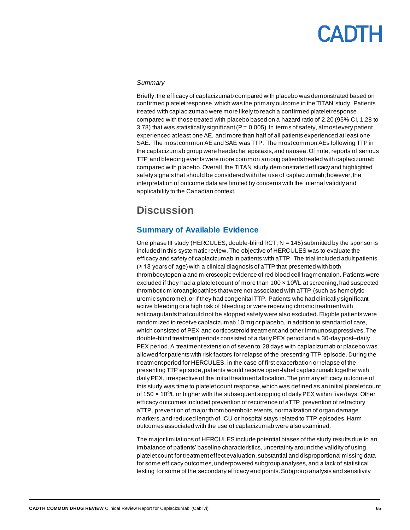#### *Summary*

Briefly, the efficacy of caplacizumab compared with placebo was demonstrated based on confirmed platelet response, which was the primary outcome in the TITAN study. Patients treated with caplacizumab were more likely to reach a confirmed platelet response compared with those treated with placebo based on a hazard ratio of 2.20 (95% CI, 1.28 to 3.78) that was statistically significant ( $P = 0.005$ ). In terms of safety, almost every patient experienced at least one AE, and more than half of all patients experienced at least one SAE. The most common AE and SAE was TTP. The most common AEs following TTP in the caplacizumab group were headache, epistaxis, and nausea. Of note, reports of serious TTP and bleeding events were more common among patients treated with caplacizumab compared with placebo. Overall, the TITAN study demonstrated efficacy and highlighted safety signals that should be considered with the use of caplacizumab; however, the interpretation of outcome data are limited by concerns with the internal validity and applicability to the Canadian context.

# **Discussion**

### **Summary of Available Evidence**

One phase III study (HERCULES, double-blind RCT,  $N = 145$ ) submitted by the sponsor is included in this systematic review. The objective of HERCULES was to evaluate the efficacy and safety of caplacizumab in patients with aTTP. The trial included adult patients (≥ 18 years of age) with a clinical diagnosis of aTTP that presented with both thrombocytopenia and microscopic evidence of red blood cell fragmentation. Patients were excluded if they had a platelet count of more than  $100 \times 10^{9}$ L at screening, had suspected thrombotic microangiopathies that were not associated with aTTP (such as hemolytic uremic syndrome), or if they had congenital TTP. Patients who had clinically significant active bleeding or a high risk of bleeding or were receiving chronic treatment with anticoagulants that could not be stopped safely were also excluded. Eligible patients were randomized to receive caplacizumab 10 mg or placebo, in addition to standard of care, which consisted of PEX and corticosteroid treatment and other immunosuppressives.The double-blind treatment periods consisted of a daily PEX period and a 30-day post–daily PEX period. A treatment extension of seven to 28 days with caplacizumab or placebo was allowed for patients with risk factors for relapse of the presenting TTP episode. During the treatment period for HERCULES, in the case of first exacerbation or relapse of the presenting TTP episode, patients would receive open-label caplacizumab together with daily PEX, irrespective of the initial treatment allocation. The primary efficacy outcome of this study was time to platelet count response, which was defined as an initial platelet count of 150 x 10<sup>9</sup>/L or higher with the subsequent stopping of daily PEX within five days. Other efficacy outcomes included prevention of recurrence of aTTP, prevention of refractory aTTP, prevention of major thromboembolic events, normalization of organ damage markers, and reduced length of ICU or hospital stays related to TTP episodes. Harm outcomes associated with the use of caplacizumab were also examined.

The major limitations of HERCULES include potential biases of the study results due to an imbalance of patients' baseline characteristics, uncertainty around the validity of using platelet count for treatment effect evaluation, substantial and disproportional missing data for some efficacy outcomes, underpowered subgroup analyses, and a lack of statistical testing for some of the secondary efficacy end points. Subgroup analysis and sensitivity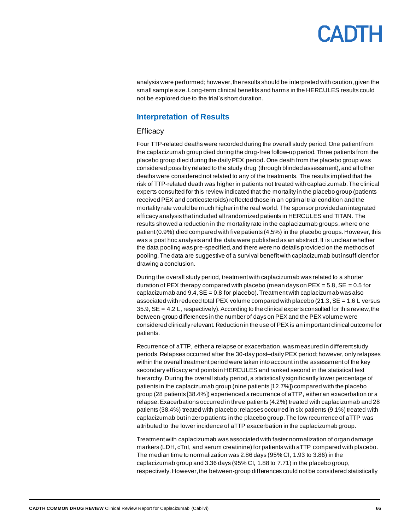# CANTH

analysis were performed; however, the results should be interpreted with caution, given the small sample size. Long-term clinical benefits and harms in the HERCULES results could not be explored due to the trial's short duration.

### **Interpretation of Results**

#### **Efficacy**

Four TTP-related deaths were recorded during the overall study period. One patient from the caplacizumab group died during the drug-free follow-up period. Three patients from the placebo group died during the daily PEX period. One death from the placebo group was considered possibly related to the study drug (through blinded assessment), and all other deaths were considered not related to any of the treatments. The results implied that the risk of TTP-related death was higher in patients not treated with caplacizumab. The clinical experts consulted for this review indicated that the mortality in the placebo group (patients received PEX and corticosteroids) reflected those in an optimal trial condition and the mortality rate would be much higher in the real world. The sponsor provided an integrated efficacy analysis that included all randomized patients in HERCULES and TITAN. The results showed a reduction in the mortality rate in the caplacizumab groups, where one patient(0.9%) died compared with five patients (4.5%) in the placebo groups. However, this was a post hoc analysis and the data were published as an abstract. It is unclear whether the data pooling was pre-specified, and there were no details provided on the methods of pooling. The data are suggestive of a survival benefit with caplacizumab but insufficient for drawing a conclusion.

During the overall study period, treatment with caplacizumab was related to a shorter duration of PEX therapy compared with placebo (mean days on PEX =  $5.8$ , SE =  $0.5$  for caplacizumab and  $9.4$ ,  $SE = 0.8$  for placebo). Treatment with caplacizumab was also associated with reduced total PEX volume compared with placebo  $(21.3, SE = 1.6 L)$  versus 35.9, SE = 4.2 L, respectively). According to the clinical experts consulted for this review, the between-group differences in the number of days on PEX and the PEX volume were considered clinically relevant. Reduction in the use of PEX is an important clinical outcome for patients.

Recurrence of aTTP, either a relapse or exacerbation, was measured in different study periods. Relapses occurred after the 30-day post–daily PEX period; however, only relapses within the overall treatment period were taken into account in the assessment of the key secondary efficacy end points in HERCULES and ranked second in the statistical test hierarchy. During the overall study period, a statistically significantly lower percentage of patients in the caplacizumab group (nine patients [12.7%]) compared with the placebo group (28 patients [38.4%]) experienced a recurrence of aTTP, either an exacerbation or a relapse.Exacerbations occurred in three patients (4.2%) treated with caplacizumab and 28 patients (38.4%) treated with placebo; relapses occurred in six patients (9.1%) treated with caplacizumab but in zero patients in the placebo group. The low recurrence of aTTP was attributed to the lower incidence of aTTP exacerbation in the caplacizumab group.

Treatment with caplacizumab was associated with faster normalization of organ damage markers (LDH, cTnI, and serum creatinine) for patients with aTTP compared with placebo. The median time to normalization was 2.86 days (95% CI, 1.93 to 3.86) in the caplacizumab group and 3.36 days (95% CI, 1.88 to 7.71) in the placebo group, respectively. However, the between-group differences could not be considered statistically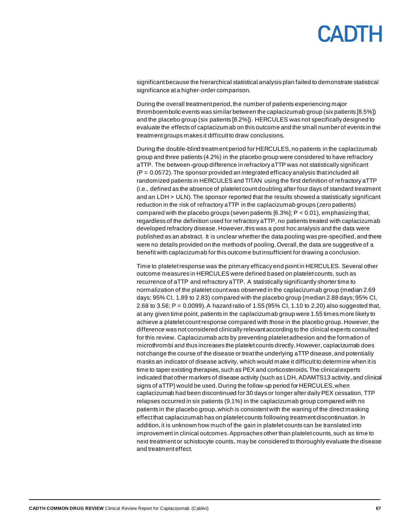significant because the hierarchical statistical analysis plan failed to demonstrate statistical significance at a higher-order comparison.

During the overall treatment period, the number of patients experiencing major thromboembolic events was similar between the caplacizumab group (six patients [8.5%]) and the placebo group (six patients [8.2%]). HERCULES was not specifically designed to evaluate the effects of caplacizumab on this outcome and the small number of events in the treatment groups makes it difficult to draw conclusions.

During the double-blind treatment period for HERCULES, no patients in the caplacizumab group and three patients (4.2%) in the placebo group were considered to have refractory aTTP. The between-group difference in refractory aTTP was not statistically significant  $(P = 0.0572)$ . The sponsor provided an integrated efficacy analysis that included all randomized patients in HERCULES and TITAN using the first definition of refractory aTTP (i.e., defined as the absence of platelet count doubling after four days of standard treatment and an LDH > ULN). The sponsor reported that the results showed a statistically significant reduction in the risk of refractory aTTP in the caplacizumab groups (zero patients) compared with the placebo groups (seven patients  $[6.3\%]$ ; P < 0.01), emphasizing that, regardless of the definition used for refractory aTTP, no patients treated with caplacizumab developed refractory disease. However, this was a post hoc analysis and the data were published as an abstract. It is unclear whether the data pooling was pre-specified, and there were no details provided on the methods of pooling. Overall, the data are suggestive of a benefit with caplacizumab for this outcome but insufficient for drawing a conclusion.

Time to platelet response was the primary efficacy end point in HERCULES. Several other outcome measures in HERCULES were defined based on platelet counts, such as recurrence of aTTP and refractory aTTP. A statistically significantly shorter time to normalization of the platelet count was observed in the caplacizumab group (median 2.69 days; 95% CI, 1.89 to 2.83) compared with the placebo group (median 2.88 days; 95% CI, 2.68 to 3.56; P = 0.0099). A hazard ratio of 1.55 (95% CI, 1.10 to 2.20) also suggested that, at any given time point, patients in the caplacizumab group were 1.55 times more likely to achieve a platelet count response compared with those in the placebo group. However, the difference was not considered clinically relevant according to the clinical experts consulted for this review. Caplacizumab acts by preventing platelet adhesion and the formation of microthrombi and thus increases the platelet counts directly. However, caplacizumab does not change the course of the disease or treat the underlying aTTP disease, and potentially masks an indicator of disease activity, which would make it difficult to determine when it is time to taper existing therapies, such as PEX and corticosteroids. The clinical experts indicated that other markers of disease activity (such as LDH, ADAMTS13 activity, and clinical signs of aTTP) would be used. During the follow-up period for HERCULES, when caplacizumab had been discontinued for 30 days or longer after daily PEX cessation, TTP relapses occurred in six patients (9.1%) in the caplacizumab group compared with no patients in the placebo group, which is consistent with the waning of the direct masking effect that caplacizumab has on platelet counts following treatment discontinuation. In addition, it is unknown how much of the gain in platelet counts can be translated into improvement in clinical outcomes. Approaches other than platelet counts, such as time to next treatment or schistocyte counts, may be considered to thoroughly evaluate the disease and treatment effect.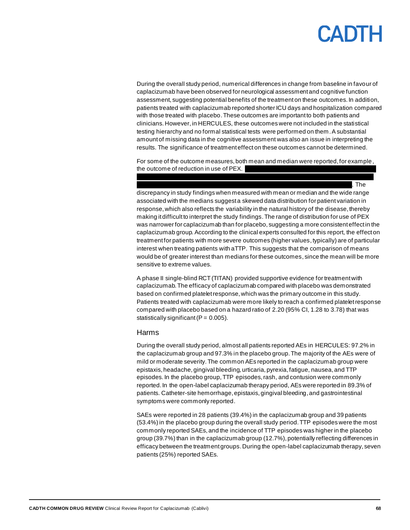# **ADIH**

During the overall study period, numerical differences in change from baseline in favour of caplacizumab have been observed for neurological assessment and cognitive function assessment, suggesting potential benefits of the treatment on these outcomes. In addition, patients treated with caplacizumab reported shorter ICU days and hospitalization compared with those treated with placebo. These outcomes are important to both patients and clinicians. However,in HERCULES, these outcomes were not included in the statistical testing hierarchy and no formal statistical tests were performed on them. A substantial amount of missing data in the cognitive assessment was also an issue in interpreting the results. The significance of treatment effect on these outcomes cannot be determined.

For some of the outcome measures, both mean and median were reported, for example, the outcome of reduction in use of PEX. vvvv vv vvv vvv vvv vvvv vvv vvvvv vv vvv vvvvvvvvvvvv vvvvv vvv vvv vvvv vvv vvvvv vv

 $\sim$  vv $\sim$  vv $\sim$  vv $\sim$  vv $\sim$  vv $\sim$  vv $\sim$  vv $\sim$  vv $\sim$  vv $\sim$  vv $\sim$  vv $\sim$  vv $\sim$  vv $\sim$  vv $\sim$  vv $\sim$  vv $\sim$  vv $\sim$  vv $\sim$  vv $\sim$  vv $\sim$  vv $\sim$  vv $\sim$  vv $\sim$  vv $\sim$  vv $\sim$  vv $\sim$  vv $\sim$  vv $\sim$  vv $\sim$  vv $\sim$  vv $\sim$ discrepancy in study findings when measured with mean or median and the wide range associated with the medians suggest a skewed data distribution for patient variation in response, which also reflects the variability in the natural history of the disease, thereby making it difficult to interpret the study findings. The range of distribution for use of PEX was narrower for caplacizumab than for placebo, suggesting a more consistent effect in the caplacizumab group. According to the clinical experts consulted for this report, the effect on treatment for patients with more severe outcomes (higher values, typically) are of particular interest when treating patients with aTTP. This suggests that the comparison of means would be of greater interest than medians for these outcomes, since the mean will be more sensitive to extreme values.

A phase II single-blind RCT (TITAN) provided supportive evidence for treatment with caplacizumab. The efficacy of caplacizumab compared with placebo was demonstrated based on confirmed platelet response, which was the primary outcome in this study. Patients treated with caplacizumab were more likely to reach a confirmed platelet response compared with placebo based on a hazard ratio of 2.20 (95% CI, 1.28 to 3.78) that was statistically significant ( $P = 0.005$ ).

#### Harms

During the overall study period, almost all patients reported AEs in HERCULES: 97.2% in the caplacizumab group and 97.3% in the placebo group. The majority of the AEs were of mild or moderate severity. The common AEs reported in the caplacizumab group were epistaxis, headache, gingival bleeding, urticaria, pyrexia, fatigue, nausea, and TTP episodes. In the placebo group, TTP episodes, rash, and contusion were commonly reported. In the open-label caplacizumab therapy period, AEs were reported in 89.3% of patients. Catheter-site hemorrhage, epistaxis, gingival bleeding,and gastrointestinal symptoms were commonly reported.

SAEs were reported in 28 patients (39.4%) in the caplacizumab group and 39 patients (53.4%) in the placebo group during the overall study period. TTP episodes were the most commonly reported SAEs, and the incidence of TTP episodes was higher in the placebo group (39.7%) than in the caplacizumab group (12.7%), potentially reflecting differences in efficacy between the treatment groups.During the open-label caplacizumab therapy, seven patients (25%) reported SAEs.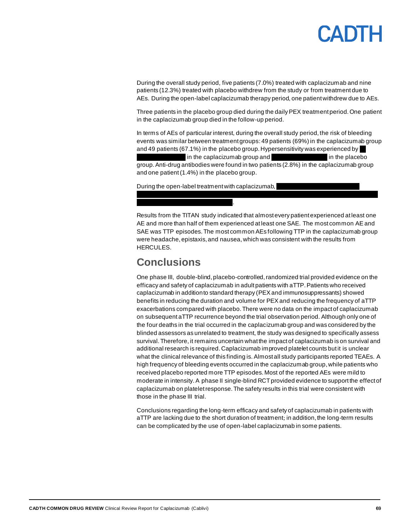During the overall study period, five patients (7.0%) treated with caplacizumab and nine patients (12.3%) treated with placebo withdrew from the study or from treatment due to AEs. During the open-label caplacizumab therapy period, one patient withdrew due to AEs.

Three patients in the placebo group died during the daily PEX treatment period. One patient in the caplacizumab group died in the follow-up period.

In terms of AEs of particular interest, during the overall study period, the risk of bleeding events was similar between treatment groups:49 patients (69%) in the caplacizumab group and 49 patients (67.1%) in the placebo group. Hypersensitivity was experienced by in the caplacizumab group and variation of the placebo group. Anti-drug antibodies were found in two patients (2.8%) in the caplacizumab group and one patient(1.4%) in the placebo group.

During the open-label treatment with caplacizumab,

v vvovv $\sim$ vv $\sim$ 

Results from the TITAN study indicated that almost every patient experienced at least one AE and more than half of them experienced at least one SAE. The most common AE and SAE was TTP episodes. The most common AEs following TTP in the caplacizumab group were headache, epistaxis, and nausea, which was consistent with the results from HERCULES.

vvvvvvv vv vvvvvvvv vvvvvvv vvvvvvvv vvvvvvvvvvvvvvvv vvvv vvvvvvvvv vvvvvvvvvv vvvv

# **Conclusions**

One phase III, double-blind, placebo-controlled,randomized trial provided evidence on the efficacy and safety of caplacizumab in adult patients with aTTP. Patients who received caplacizumab in addition to standard therapy (PEX and immunosuppressants) showed benefits in reducing the duration and volume for PEX and reducing the frequency of aTTP exacerbations compared with placebo.There were no data on the impact of caplacizumab on subsequent aTTP recurrence beyond the trial observation period. Although only one of the four deaths in the trial occurred in the caplacizumab group and was considered by the blinded assessors as unrelated to treatment, the study was designed to specifically assess survival. Therefore, it remains uncertain what the impact of caplacizumab is on survival and additional research is required. Caplacizumab improved platelet counts but it is unclear what the clinical relevance of this finding is. Almost all study participants reported TEAEs. A high frequency of bleeding events occurred in the caplacizumab group, while patients who received placebo reported more TTP episodes. Most of the reported AEs were mild to moderate in intensity.A phase II single-blind RCT provided evidence to support the effect of caplacizumab on platelet response. The safety results in this trial were consistent with those in the phase III trial.

Conclusions regarding the long-term efficacy and safety of caplacizumab in patients with aTTP are lacking due to the short duration of treatment; in addition, the long-term results can be complicated by the use of open-label caplacizumab in some patients.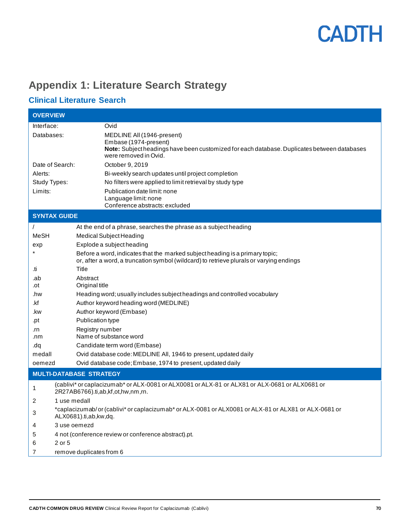# **Appendix 1: Literature Search Strategy**

# **Clinical Literature Search**

| <b>OVERVIEW</b>     |                                                                                                                                                                         |  |
|---------------------|-------------------------------------------------------------------------------------------------------------------------------------------------------------------------|--|
| Interface:          | Ovid                                                                                                                                                                    |  |
| Databases:          | MEDLINE All (1946-present)                                                                                                                                              |  |
|                     | Embase (1974-present)                                                                                                                                                   |  |
|                     | Note: Subject headings have been customized for each database. Duplicates between databases<br>were removed in Ovid.                                                    |  |
| Date of Search:     | October 9, 2019                                                                                                                                                         |  |
| Alerts:             | Bi-weekly search updates until project completion                                                                                                                       |  |
| Study Types:        | No filters were applied to limit retrieval by study type                                                                                                                |  |
| Limits:             | Publication date limit: none                                                                                                                                            |  |
|                     | Language limit: none                                                                                                                                                    |  |
|                     | Conference abstracts: excluded                                                                                                                                          |  |
| <b>SYNTAX GUIDE</b> |                                                                                                                                                                         |  |
|                     | At the end of a phrase, searches the phrase as a subject heading                                                                                                        |  |
| <b>MeSH</b>         | Medical Subject Heading                                                                                                                                                 |  |
| exp                 | Explode a subject heading                                                                                                                                               |  |
|                     | Before a word, indicates that the marked subject heading is a primary topic;<br>or, after a word, a truncation symbol (wildcard) to retrieve plurals or varying endings |  |
| .ti                 | Title                                                                                                                                                                   |  |
| .ab                 | Abstract                                                                                                                                                                |  |
| .ot                 | Original title                                                                                                                                                          |  |
| .hw                 | Heading word; usually includes subject headings and controlled vocabulary                                                                                               |  |
| .kf                 | Author keyword heading word (MEDLINE)                                                                                                                                   |  |
| .kw                 | Author keyword (Embase)                                                                                                                                                 |  |
| .pt                 | Publication type                                                                                                                                                        |  |
| .rn                 | Registry number                                                                                                                                                         |  |
| .nm                 | Name of substance word                                                                                                                                                  |  |
| pb.<br>medall       | Candidate term word (Embase)                                                                                                                                            |  |
| oemezd              | Ovid database code: MEDLINE All, 1946 to present, updated daily<br>Ovid database code; Embase, 1974 to present, updated daily                                           |  |
|                     |                                                                                                                                                                         |  |
|                     | <b>MULTI-DATABASE STRATEGY</b>                                                                                                                                          |  |
| 1                   | (cablivi* or caplacizumab* or ALX-0081 or ALX0081 or ALX-81 or ALX81 or ALX-0681 or ALX0681 or<br>2R27AB6766).ti,ab,kf,ot,hw,nm,rn.                                     |  |
| 2                   | 1 use medall                                                                                                                                                            |  |
| 3                   | *caplacizumab/or (cablivi* or caplacizumab* or ALX-0081 or ALX0081 or ALX-81 or ALX81 or ALX-0681 or<br>ALX0681).ti,ab,kw,dq.                                           |  |
| 4                   | 3 use oemezd                                                                                                                                                            |  |
| 5                   | 4 not (conference review or conference abstract).pt.                                                                                                                    |  |
| 2 or 5<br>6         |                                                                                                                                                                         |  |
| 7                   | remove duplicates from 6                                                                                                                                                |  |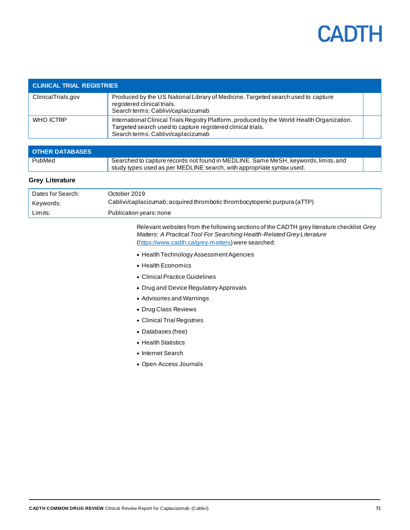

| <b>CLINICAL TRIAL REGISTRIES</b> |                                                                                                                                                                                                  |  |
|----------------------------------|--------------------------------------------------------------------------------------------------------------------------------------------------------------------------------------------------|--|
| ClinicalTrials.gov               | Produced by the US National Library of Medicine. Targeted search used to capture<br>registered clinical trials.<br>Search terms: Cablivi/caplacizumab                                            |  |
| WHO ICTRP                        | International Clinical Trials Registry Platform, produced by the World Health Organization.<br>Targeted search used to capture registered clinical trials.<br>Search terms: Cablivi/caplacizumab |  |

| <b>OTHER DATABASES</b> |                                                                                                                                                             |  |
|------------------------|-------------------------------------------------------------------------------------------------------------------------------------------------------------|--|
| PubMed                 | Searched to capture records not found in MEDLINE. Same MeSH, keywords, limits, and<br>study types used as per MEDLINE search, with appropriate syntax used. |  |

#### **Grey Literature**

| Dates for Search: | October 2019 .                                                            |
|-------------------|---------------------------------------------------------------------------|
| Keywords:         | Cablivi/caplacizumab; acquired thrombotic thrombocytopenic purpura (aTTP) |
| Limits:           | Publication years: none                                                   |

Relevant websites from the following sections of the CADTH grey literature checklist *Grey Matters: A Practical Tool For Searching Health-Related Grey Literature* [\(https://www.cadth.ca/grey-matters\)](https://www.cadth.ca/grey-matters) were searched:

- Health Technology Assessment Agencies
- Health Economics
- Clinical Practice Guidelines
- Drug and Device Regulatory Approvals
- Advisories and Warnings
- Drug Class Reviews
- Clinical Trial Registries
- Databases (free)
- Health Statistics
- Internet Search
- Open Access Journals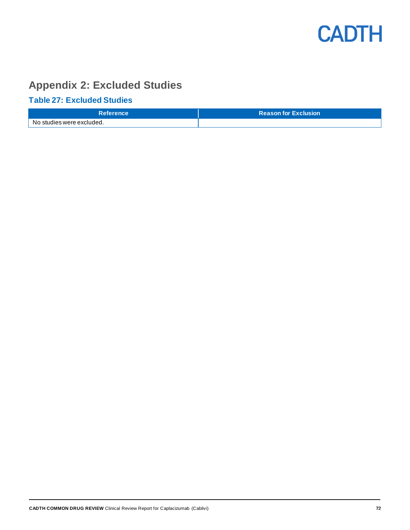

# **Appendix 2: Excluded Studies**

# **Table 27: Excluded Studies**

| <b>Reference</b>          | <b>Reason for Exclusion</b> |
|---------------------------|-----------------------------|
| No studies were excluded. |                             |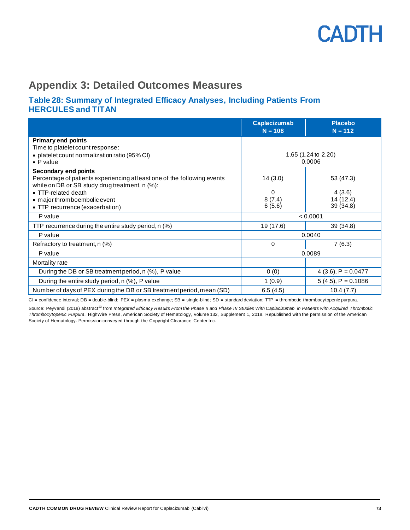

### **Appendix 3: Detailed Outcomes Measures**

#### **Table 28: Summary of Integrated Efficacy Analyses, Including Patients From HERCULES and TITAN**

|                                                                                                                                                                                                                                              | <b>Caplacizumab</b><br>$N = 108$ | <b>Placebo</b><br>$N = 112$                 |
|----------------------------------------------------------------------------------------------------------------------------------------------------------------------------------------------------------------------------------------------|----------------------------------|---------------------------------------------|
| <b>Primary end points</b><br>Time to platelet count response:<br>• platelet count normalization ratio (95% CI)<br>$\bullet$ P value                                                                                                          | 1.65 (1.24 to 2.20)<br>0.0006    |                                             |
| Secondary end points<br>Percentage of patients experiencing at least one of the following events<br>while on DB or SB study drug treatment, n (%):<br>• TTP-related death<br>• major thromboembolic event<br>• TTP recurrence (exacerbation) | 14(3.0)<br>0<br>8(7.4)<br>6(5.6) | 53 (47.3)<br>4(3.6)<br>14(12.4)<br>39(34.8) |
| P value                                                                                                                                                                                                                                      | < 0.0001                         |                                             |
| TTP recurrence during the entire study period, n (%)                                                                                                                                                                                         | 19 (17.6)                        | 39(34.8)                                    |
| P value                                                                                                                                                                                                                                      | 0.0040                           |                                             |
| Refractory to treatment, n (%)                                                                                                                                                                                                               | 0                                | 7(6.3)                                      |
| P value                                                                                                                                                                                                                                      | 0.0089                           |                                             |
| Mortality rate                                                                                                                                                                                                                               |                                  |                                             |
| During the DB or SB treatment period, n (%), P value                                                                                                                                                                                         | 0(0)                             | $4(3.6)$ , P = 0.0477                       |
| During the entire study period, n (%), P value                                                                                                                                                                                               | 1(0.9)                           | $5(4.5)$ , P = 0.1086                       |
| Number of days of PEX during the DB or SB treatment period, mean (SD)                                                                                                                                                                        | 6.5(4.5)                         | 10.4(7.7)                                   |

CI = confidence interval; DB = double-blind; PEX = plasma exchange; SB = single-blind; SD = standard deviation; TTP = thrombotic thrombocytopenic purpura.

Source: Peyvandi (2018) abstract<sup>23</sup> from Integrated Efficacy Results From the Phase II and Phase III Studies With Caplacizumab in Patients with Acquired Thrombotic *Thrombocytopenic Purpura*, HighWire Press, American Society of Hematology, volume 132, Supplement 1, 2018. Republished with the permission of the American Society of Hematology. Permission conveyed through the Copyright Clearance Center Inc.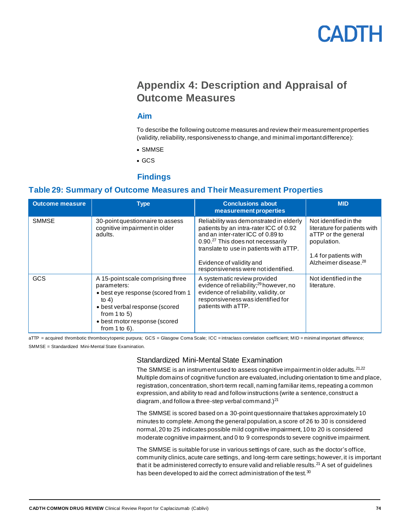## CADTH

### **Appendix 4: Description and Appraisal of Outcome Measures**

#### **Aim**

To describe the following outcome measures and review their measurement properties (validity, reliability, responsiveness to change, and minimal important difference):

- SMMSE
- GCS

#### **Findings**

#### **Table 29: Summary of Outcome Measures and Their Measurement Properties**

| <b>Outcome measure</b> | <b>Type</b>                                                                                                                                                                                                     | <b>Conclusions about</b><br>measurement properties                                                                                                                                                                                                                                    | <b>MID</b>                                                                                                                                               |
|------------------------|-----------------------------------------------------------------------------------------------------------------------------------------------------------------------------------------------------------------|---------------------------------------------------------------------------------------------------------------------------------------------------------------------------------------------------------------------------------------------------------------------------------------|----------------------------------------------------------------------------------------------------------------------------------------------------------|
| <b>SMMSE</b>           | 30-point questionnaire to assess<br>cognitive impairment in older<br>adults.                                                                                                                                    | Reliability was demonstrated in elderly<br>patients by an intra-rater ICC of 0.92<br>and an inter-rater ICC of 0.89 to<br>0.90. <sup>27</sup> This does not necessarily<br>translate to use in patients with aTTP.<br>Evidence of validity and<br>responsiveness were not identified. | Not identified in the<br>literature for patients with<br>aTTP or the general<br>population.<br>1.4 for patients with<br>Alzheimer disease. <sup>28</sup> |
| <b>GCS</b>             | A 15-point scale comprising three<br>parameters:<br>• best eye response (scored from 1<br>to $4)$<br>• best verbal response (scored<br>from $1$ to $5$ )<br>• best motor response (scored<br>from $1$ to $6$ ). | A systematic review provided<br>evidence of reliability; <sup>29</sup> however, no<br>evidence of reliability, validity, or<br>responsiveness was identified for<br>patients with aTTP.                                                                                               | Not identified in the<br>literature.                                                                                                                     |

aTTP = acquired thrombotic thrombocytopenic purpura; GCS = Glasgow Coma Scale; ICC = intraclass correlation coefficient; MID = minimal important difference; SMMSE = Standardized Mini-Mental State Examination.

#### Standardized Mini-Mental State Examination

The SMMSE is an instrument used to assess cognitive impairment in older adults.  $21,22$ Multiple domains of cognitive function are evaluated, including orientation to time and place, registration, concentration, short-term recall, naming familiar items, repeating a common expression, and ability to read and follow instructions (write a sentence, construct a diagram, and follow a three-step verbal command.) $^{21}$ 

The SMMSE is scored based on a 30-point questionnaire that takes approximately 10 minutes to complete. Among the general population, a score of 26 to 30 is considered normal, 20 to 25 indicates possible mild cognitive impairment, 10 to 20 is considered moderate cognitive impairment, and 0 to 9 corresponds to severe cognitive impairment.

The SMMSE is suitable for use in various settings of care, such as the doctor's office, community clinics, acute care settings, and long-term care settings; however, it is important that it be administered correctly to ensure valid and reliable results.<sup>21</sup> A set of guidelines has been developed to aid the correct administration of the test.<sup>30</sup>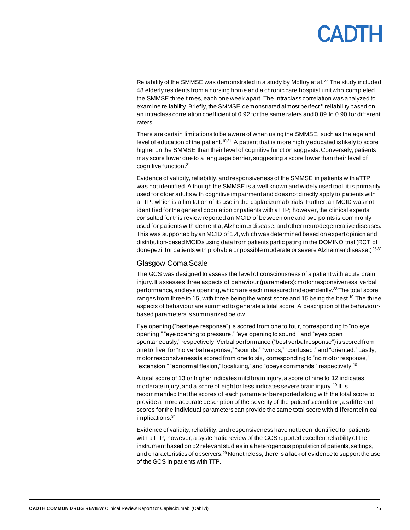# CANTH

Reliability of the SMMSE was demonstrated in a study by Molloy et al. $^{27}$  The study included 48 elderly residents from a nursing home and a chronic care hospital unit who completed the SMMSE three times, each one week apart. The intraclass correlation was analyzed to examine reliability. Briefly, the SMMSE demonstrated almost perfect<sup>31</sup> reliability based on an intraclass correlation coefficient of 0.92 for the same raters and 0.89 to 0.90 for different raters.

There are certain limitations to be aware of when using the SMMSE, such as the age and level of education of the patient.<sup>10,21</sup> A patient that is more highly educated is likely to score higher on the SMMSE than their level of cognitive function suggests. Conversely, patients may score lower due to a language barrier, suggesting a score lower than their level of cognitive function.<sup>21</sup>

Evidence of validity, reliability, and responsiveness of the SMMSE in patients with aTTP was not identified. Although the SMMSE is a well known and widely used tool, it is primarily used for older adults with cognitive impairment and does not directly apply to patients with aTTP, which is a limitation of its use in the caplacizumab trials. Further, an MCID was not identified for the general population or patients with aTTP; however, the clinical experts consulted for this review reported an MCID of between one and two points is commonly used for patients with dementia, Alzheimer disease, and other neurodegenerative diseases. This was supported by an MCID of 1.4, which was determined based on expert opinion and distribution-based MCIDs using data from patients participating in the DOMINO trial (RCT of donepezil for patients with probable or possible moderate or severe Alzheimer disease.) 28,32

#### Glasgow Coma Scale

The GCS was designed to assess the level of consciousness of a patient with acute brain injury. It assesses three aspects of behaviour (parameters): motor responsiveness, verbal performance, and eye opening, which are each measured independently.<sup>33</sup>The total score ranges from three to 15, with three being the worst score and 15 being the best.<sup>10</sup> The three aspects of behaviour are summed to generate a total score. A description of the behaviourbased parameters is summarized below.

Eye opening ("best eye response") is scored from one to four, corresponding to "no eye opening," "eye opening to pressure," "eye opening to sound," and "eyes open spontaneously," respectively. Verbal performance ("best verbal response") is scored from one to five, for "no verbal response," "sounds," "words," "confused," and "oriented." Lastly, motor responsiveness is scored from one to six, corresponding to "no motor response," "extension," "abnormal flexion," localizing," and "obeys commands," respectively.<sup>10</sup>

A total score of 13 or higher indicates mild brain injury, a score of nine to 12 indicates moderate injury, and a score of eight or less indicates severe brain injury.<sup>10</sup> It is recommended that the scores of each parameter be reported along with the total score to provide a more accurate description of the severity of the patient's condition, as different scores for the individual parameters can provide the same total score with different clinical implications.<sup>34</sup>

Evidence of validity, reliability, and responsiveness have not been identified for patients with aTTP; however, a systematic review of the GCS reported excellent reliability of the instrument based on 52 relevant studies in a heterogenous population of patients, settings, and characteristics of observers. $^{29}$ Nonetheless, there is a lack of evidence to support the use of the GCS in patients with TTP.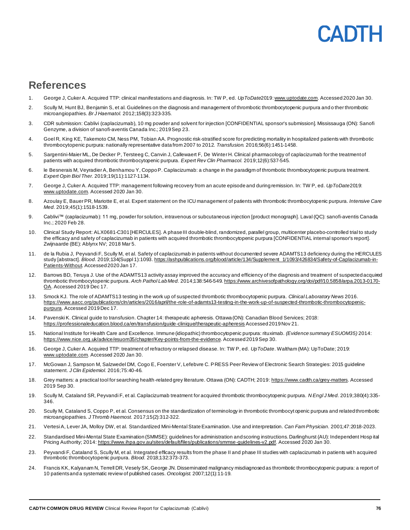# PADTH

### **References**

- 1. George J, Cuker A. Acquired TTP: clinical manifestations and diagnosis. In: TW P, ed. *UpToDate*201[9: www.uptodate.com](file://///cadth-shares/Proj-Ctrl_Intake/Formulary/Active/SR0633%20Cablivi/Publishing/01_Copy%20Edit/www.uptodate.com). Accessed 2020 Jan 30.
- 2. Scully M, Hunt BJ, Benjamin S, et al. Guidelines on the diagnosis and management of thrombotic thrombocytopenic purpura and o ther thrombotic microangiopathies. *Br J Haematol.* 2012;158(3):323-335.
- 3. CDR submission: Cablivi (caplacizumab), 10 mg powder and solvent for injection [CONFIDENTIAL sponsor's submission]. Mississauga (ON): Sanofi Genzyme, a division of sanofi-aventis Canada Inc.; 2019 Sep 23.
- 4. Goel R, King KE, Takemoto CM, Ness PM, Tobian AA. Prognostic risk-stratified score for predicting mortality in hospitalized patients with thrombotic thrombocytopenic purpura: nationally representative data from 2007 to 2012. *Transfusion.* 2016;56(6):1451-1458.
- 5. Sargentini-Maier ML, De Decker P, Tersteeg C, Canvin J, Callewaert F, De Winter H. Clinical pharmacology of caplacizumab for the treatment of patients with acquired thrombotic thrombocytopenic purpura. *Expert Rev Clin Pharmacol.* 2019;12(6):537-545.
- 6. le Besnerais M, Veyradier A, Benhamou Y, Coppo P. Caplacizumab: a change in the paradigm of thrombotic thrombocytopenic purpura treatment. *Expert Opin Biol Ther.* 2019;19(11):1127-1134.
- 7. George J, Cuker A. Acquired TTP: management following recovery from an acute episode and during remission. In: TW P, ed. *UpToDate*2019: [www.uptodate.com](file://///cadth-shares/Proj-Ctrl_Intake/Formulary/Active/SR0633%20Cablivi/Publishing/01_Copy%20Edit/www.uptodate.com). Accessed 2020 Jan 30.
- 8. Azoulay E, Bauer PR, Mariotte E, et al. Expert statement on the ICU management of patients with thrombotic thrombocytopenic purpura. *Intensive Care Med.* 2019;45(1):1518-1539.
- 9. Cablivi™ (caplacizumab): 11 mg, powder for solution, intravenous or subcutaneous injection [product monograph]. Laval (QC): sanofi-aventis Canada Inc.; 2020 Feb 28.
- 10. Clinical Study Report: ALX0681-C301 [HERCULES]. A phase III double-blind, randomized, parallel group, multicenter placebo-controlled trial to study the efficacy and safety of caplacizumab in patients with acquired thrombotic thrombocytopenic purpura [CONFIDENTIAL internal sponsor's report]. Zwijnaarde (BE): Ablynx NV; 2018 Mar 5.
- 11. de la Rubia J, Peyvandi F, Scully M, et al. Safety of caplacizumab in patients without documented severe ADAMTS13 deficiency during the HERCULES study [abstract]. *Blood.* 2019;134(Suppl 1):109[3. https://ashpublications.org/blood/article/134/Supplement\\_1/1093/426834/Safety-of-Caplacizumab-in-](https://ashpublications.org/blood/article/134/Supplement_1/1093/426834/Safety-of-Caplacizumab-in-Patients-Without)[Patients-Without](https://ashpublications.org/blood/article/134/Supplement_1/1093/426834/Safety-of-Caplacizumab-in-Patients-Without). Accessed 2020 Jan 17.
- 12. Barrows BD, Teruya J. Use of the ADAMTS13 activity assay improved the accuracy and efficiency of the diagnosis and treatment of suspected acquired thrombotic thrombocytopenic purpura. *Arch Pathol Lab Med.* 2014;138:546-54[9. https://www.archivesofpathology.org/doi/pdf/10.5858/arpa.2013-0170-](https://www.archivesofpathology.org/doi/pdf/10.5858/arpa.2013-0170-OA) [OA.](https://www.archivesofpathology.org/doi/pdf/10.5858/arpa.2013-0170-OA) Accessed 2019 Dec 17.
- 13. Smock KJ. The role of ADAMTS13 testing in the work up of suspected thrombotic thrombocytopenic purpura. *Clinical Laboratory News* 2016. [https://www.aacc.org/publications/cln/articles/2016/april/the-role-of-adamts13-testing-in-the-work-up-of-suspected-thrombotic-thrombocytopenic](https://www.aacc.org/publications/cln/articles/2016/april/the-role-of-adamts13-testing-in-the-work-up-of-suspected-thrombotic-thrombocytopenic-purpura)[purpura.](https://www.aacc.org/publications/cln/articles/2016/april/the-role-of-adamts13-testing-in-the-work-up-of-suspected-thrombotic-thrombocytopenic-purpura) Accessed 2019 Dec 17.
- 14. Pavenski K. Clinical guide to transfusion. Chapter 14: therapeutic apheresis. Ottawa (ON): Canadian Blood Services; 2018: <https://professionaleducation.blood.ca/en/transfusion/guide-clinique/therapeutic-apheresis> Accessed 2019 Nov 21.
- 15. National Institute for Health Care and Excellence. Immune (idiopathic) thrombocytopenic purpura: rituximab. *(Evidence summary ESUOM35)* 2014: <https://www.nice.org.uk/advice/esuom35/chapter/Key-points-from-the-evidence>. Accessed 2019 Sep 30.
- 16. George J, Cuker A. Acquired TTP: treatment of refractory or relapsed disease. In: TW P, ed. *UpToDate*. Waltham (MA): UpToDate; 2019: [www.uptodate.com](file://///cadth-shares/Proj-Ctrl_Intake/Formulary/Active/SR0633%20Cablivi/Publishing/01_Copy%20Edit/www.uptodate.com). Accessed 2020 Jan 30.
- 17. McGowan J, Sampson M, Salzwedel DM, Cogo E, Foerster V, Lefebvre C. PRESS Peer Review of Electronic Search Strategies: 2015 guideline statement. *J Clin Epidemiol.* 2016;75:40-46.
- 18. Grey matters: a practical tool for searching health-related grey literature. Ottawa (ON): CADTH; 201[9: https://www.cadth.ca/grey-matters](https://www.cadth.ca/grey-matters). Accessed 2019 Sep 30.
- 19. Scully M, Cataland SR, Peyvandi F, et al. Caplacizumab treatment for acquired thrombotic thrombocytopenic purpura. *N Engl J Med.* 2019;380(4):335- 346.
- 20. Scully M, Cataland S, Coppo P, et al. Consensus on the standardization of terminology in thrombotic thrombocyt openic purpura and related thrombotic microangiopathies. *J Thromb Haemost.* 2017;15(2):312-322.
- 21. Vertesi A, Lever JA, Molloy DW, et al. Standardized Mini-Mental State Examination. Use and interpretation. *Can Fam Physician.* 2001;47:2018-2023.
- 22. Standardised Mini-Mental State Examination (SMMSE): guidelines for administration and scoring instructions. Darlinghurst (AU): Independent Hosp ital Pricing Authority; 201[4: https://www.ihpa.gov.au/sites/default/files/publications/smmse-guidelines-v2.pdf](https://www.ihpa.gov.au/sites/default/files/publications/smmse-guidelines-v2.pdf). Accessed 2020 Jan 30.
- 23. Peyvandi F, Cataland S, Scully M, et al. Integrated efficacy results from the phase II and phase III studies with caplacizumab in patients with acquired thrombotic thrombocytopenic purpura. *Blood.* 2018;132:373-373.
- 24. Francis KK, Kalyanam N, Terrell DR, Vesely SK, George JN. Disseminated malignancy misdiagnosed as thrombotic thrombocytopenic purpura: a report of 10 patients and a systematic review of published cases. *Oncologist.* 2007;12(1):11-19.